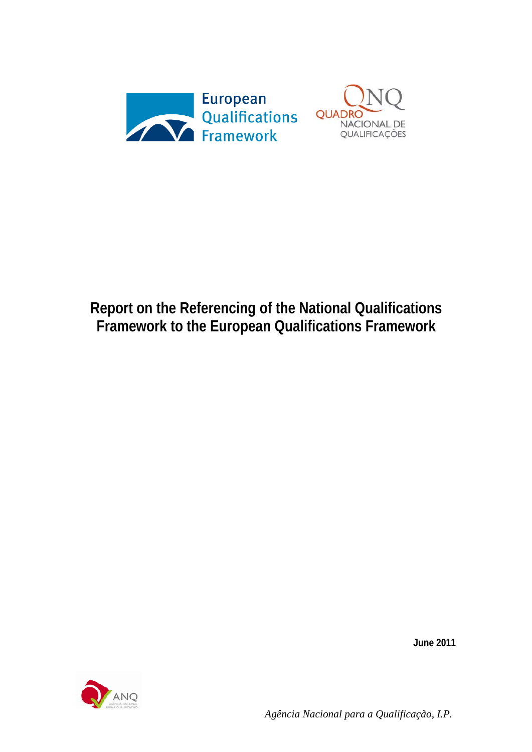



## **Report on the Referencing of the National Qualifications Framework to the European Qualifications Framework**



**June 2011** 

*Agência Nacional para a Qualificação, I.P.*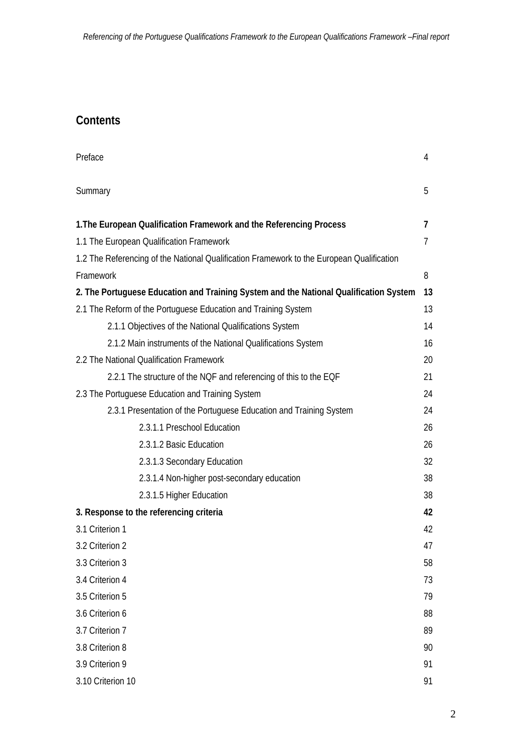## **Contents**

| Preface                                                                                   | 4  |
|-------------------------------------------------------------------------------------------|----|
| Summary                                                                                   | 5  |
| 1. The European Qualification Framework and the Referencing Process                       | 7  |
| 1.1 The European Qualification Framework                                                  | 7  |
| 1.2 The Referencing of the National Qualification Framework to the European Qualification |    |
| Framework                                                                                 | 8  |
| 2. The Portuguese Education and Training System and the National Qualification System     | 13 |
| 2.1 The Reform of the Portuguese Education and Training System                            | 13 |
| 2.1.1 Objectives of the National Qualifications System                                    | 14 |
| 2.1.2 Main instruments of the National Qualifications System                              | 16 |
| 2.2 The National Qualification Framework                                                  | 20 |
| 2.2.1 The structure of the NQF and referencing of this to the EQF                         | 21 |
| 2.3 The Portuguese Education and Training System                                          | 24 |
| 2.3.1 Presentation of the Portuguese Education and Training System                        | 24 |
| 2.3.1.1 Preschool Education                                                               | 26 |
| 2.3.1.2 Basic Education                                                                   | 26 |
| 2.3.1.3 Secondary Education                                                               | 32 |
| 2.3.1.4 Non-higher post-secondary education                                               | 38 |
| 2.3.1.5 Higher Education                                                                  | 38 |
| 3. Response to the referencing criteria                                                   | 42 |
| 3.1 Criterion 1                                                                           | 42 |
| 3.2 Criterion 2                                                                           | 47 |
| 3.3 Criterion 3                                                                           | 58 |
| 3.4 Criterion 4                                                                           | 73 |
| 3.5 Criterion 5                                                                           | 79 |
| 3.6 Criterion 6                                                                           | 88 |
| 3.7 Criterion 7                                                                           | 89 |
| 3.8 Criterion 8                                                                           | 90 |
| 3.9 Criterion 9                                                                           | 91 |
| 3.10 Criterion 10                                                                         | 91 |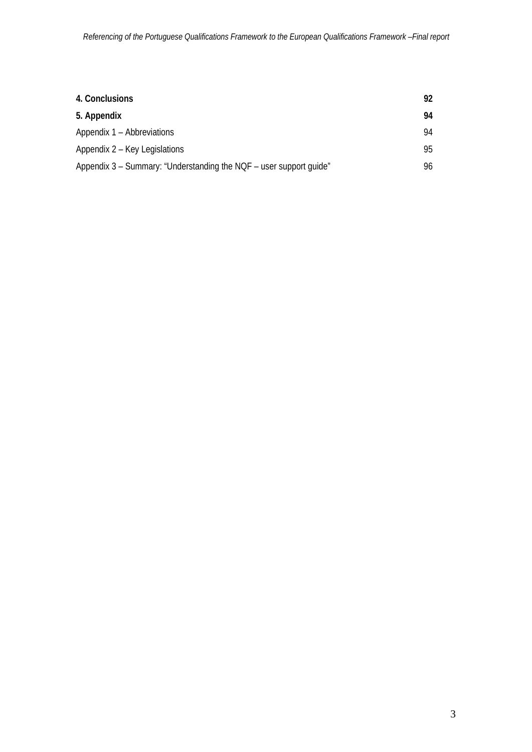| 4. Conclusions                                                     |    |
|--------------------------------------------------------------------|----|
| 5. Appendix                                                        | 94 |
| Appendix 1 – Abbreviations                                         | 94 |
| Appendix 2 – Key Legislations                                      | 95 |
| Appendix 3 – Summary: "Understanding the NQF – user support quide" | 96 |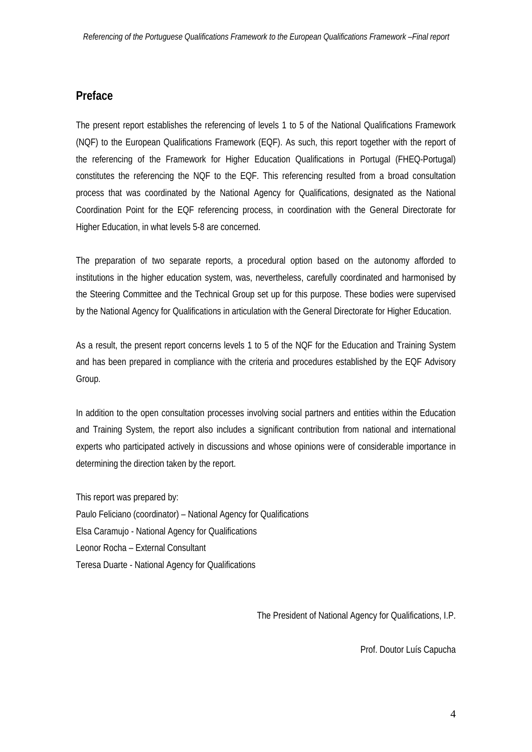## **Preface**

The present report establishes the referencing of levels 1 to 5 of the National Qualifications Framework (NQF) to the European Qualifications Framework (EQF). As such, this report together with the report of the referencing of the Framework for Higher Education Qualifications in Portugal (FHEQ-Portugal) constitutes the referencing the NQF to the EQF. This referencing resulted from a broad consultation process that was coordinated by the National Agency for Qualifications, designated as the National Coordination Point for the EQF referencing process, in coordination with the General Directorate for Higher Education, in what levels 5-8 are concerned.

The preparation of two separate reports, a procedural option based on the autonomy afforded to institutions in the higher education system, was, nevertheless, carefully coordinated and harmonised by the Steering Committee and the Technical Group set up for this purpose. These bodies were supervised by the National Agency for Qualifications in articulation with the General Directorate for Higher Education.

As a result, the present report concerns levels 1 to 5 of the NQF for the Education and Training System and has been prepared in compliance with the criteria and procedures established by the EQF Advisory Group.

In addition to the open consultation processes involving social partners and entities within the Education and Training System, the report also includes a significant contribution from national and international experts who participated actively in discussions and whose opinions were of considerable importance in determining the direction taken by the report.

This report was prepared by: Paulo Feliciano (coordinator) – National Agency for Qualifications Elsa Caramujo - National Agency for Qualifications Leonor Rocha – External Consultant Teresa Duarte - National Agency for Qualifications

The President of National Agency for Qualifications, I.P.

Prof. Doutor Luís Capucha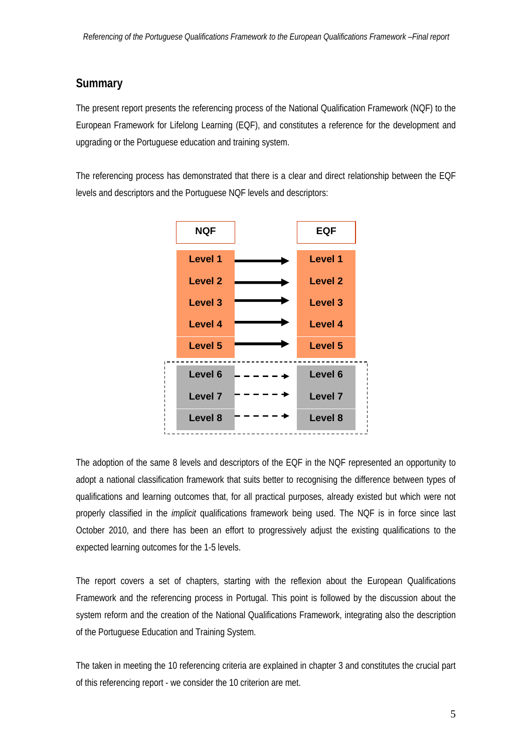### **Summary**

The present report presents the referencing process of the National Qualification Framework (NQF) to the European Framework for Lifelong Learning (EQF), and constitutes a reference for the development and upgrading or the Portuguese education and training system.

The referencing process has demonstrated that there is a clear and direct relationship between the EQF levels and descriptors and the Portuguese NQF levels and descriptors:



The adoption of the same 8 levels and descriptors of the EQF in the NQF represented an opportunity to adopt a national classification framework that suits better to recognising the difference between types of qualifications and learning outcomes that, for all practical purposes, already existed but which were not properly classified in the *implicit* qualifications framework being used. The NQF is in force since last October 2010, and there has been an effort to progressively adjust the existing qualifications to the expected learning outcomes for the 1-5 levels.

The report covers a set of chapters, starting with the reflexion about the European Qualifications Framework and the referencing process in Portugal. This point is followed by the discussion about the system reform and the creation of the National Qualifications Framework, integrating also the description of the Portuguese Education and Training System.

The taken in meeting the 10 referencing criteria are explained in chapter 3 and constitutes the crucial part of this referencing report - we consider the 10 criterion are met.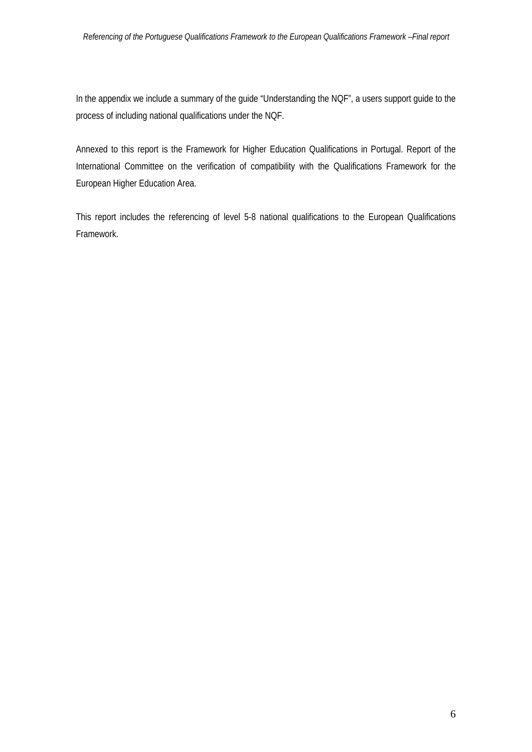In the appendix we include a summary of the guide "Understanding the NQF", a users support guide to the process of including national qualifications under the NQF.

Annexed to this report is the Framework for Higher Education Qualifications in Portugal. Report of the International Committee on the verification of compatibility with the Qualifications Framework for the European Higher Education Area.

This report includes the referencing of level 5-8 national qualifications to the European Qualifications Framework.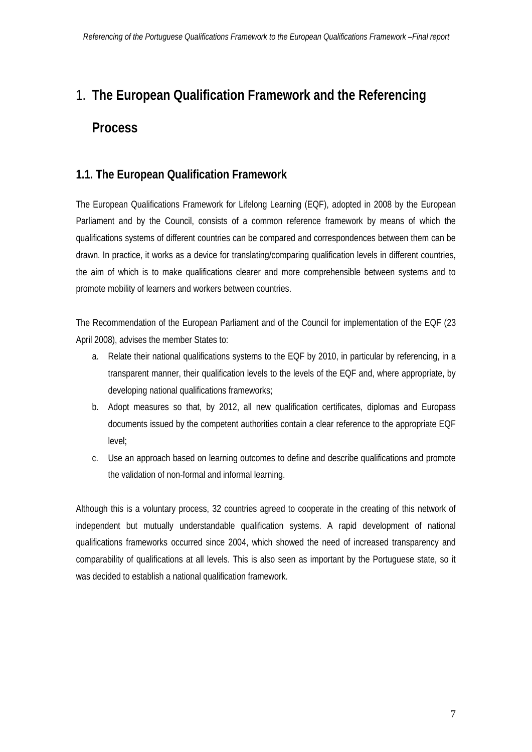# 1. **The European Qualification Framework and the Referencing Process**

## **1.1. The European Qualification Framework**

The European Qualifications Framework for Lifelong Learning (EQF), adopted in 2008 by the European Parliament and by the Council, consists of a common reference framework by means of which the qualifications systems of different countries can be compared and correspondences between them can be drawn. In practice, it works as a device for translating/comparing qualification levels in different countries, the aim of which is to make qualifications clearer and more comprehensible between systems and to promote mobility of learners and workers between countries.

The Recommendation of the European Parliament and of the Council for implementation of the EQF (23 April 2008), advises the member States to:

- a. Relate their national qualifications systems to the EQF by 2010, in particular by referencing, in a transparent manner, their qualification levels to the levels of the EQF and, where appropriate, by developing national qualifications frameworks;
- b. Adopt measures so that, by 2012, all new qualification certificates, diplomas and Europass documents issued by the competent authorities contain a clear reference to the appropriate EQF level;
- c. Use an approach based on learning outcomes to define and describe qualifications and promote the validation of non-formal and informal learning.

Although this is a voluntary process, 32 countries agreed to cooperate in the creating of this network of independent but mutually understandable qualification systems. A rapid development of national qualifications frameworks occurred since 2004, which showed the need of increased transparency and comparability of qualifications at all levels. This is also seen as important by the Portuguese state, so it was decided to establish a national qualification framework.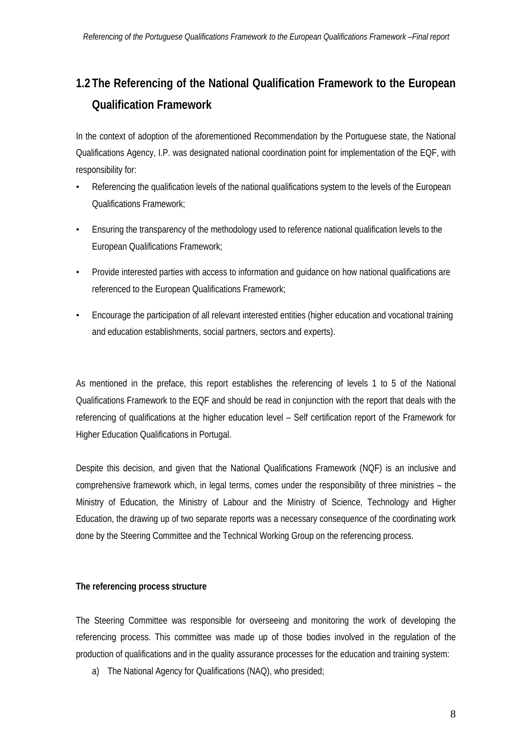## **1.2 The Referencing of the National Qualification Framework to the European Qualification Framework**

In the context of adoption of the aforementioned Recommendation by the Portuguese state, the National Qualifications Agency, I.P. was designated national coordination point for implementation of the EQF, with responsibility for:

- Referencing the qualification levels of the national qualifications system to the levels of the European Qualifications Framework;
- Ensuring the transparency of the methodology used to reference national qualification levels to the European Qualifications Framework;
- Provide interested parties with access to information and guidance on how national qualifications are referenced to the European Qualifications Framework;
- Encourage the participation of all relevant interested entities (higher education and vocational training and education establishments, social partners, sectors and experts).

As mentioned in the preface, this report establishes the referencing of levels 1 to 5 of the National Qualifications Framework to the EQF and should be read in conjunction with the report that deals with the referencing of qualifications at the higher education level – Self certification report of the Framework for Higher Education Qualifications in Portugal.

Despite this decision, and given that the National Qualifications Framework (NQF) is an inclusive and comprehensive framework which, in legal terms, comes under the responsibility of three ministries – the Ministry of Education, the Ministry of Labour and the Ministry of Science, Technology and Higher Education, the drawing up of two separate reports was a necessary consequence of the coordinating work done by the Steering Committee and the Technical Working Group on the referencing process.

#### **The referencing process structure**

The Steering Committee was responsible for overseeing and monitoring the work of developing the referencing process. This committee was made up of those bodies involved in the regulation of the production of qualifications and in the quality assurance processes for the education and training system:

a) The National Agency for Qualifications (NAQ), who presided;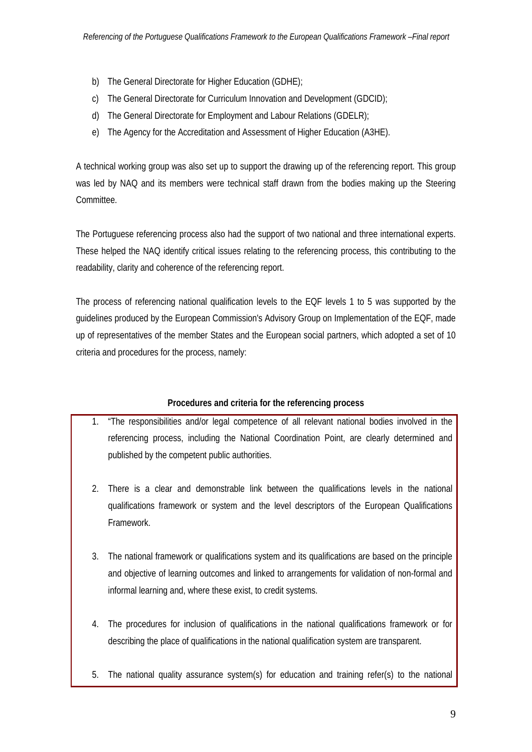- b) The General Directorate for Higher Education (GDHE);
- c) The General Directorate for Curriculum Innovation and Development (GDCID);
- d) The General Directorate for Employment and Labour Relations (GDELR);
- e) The Agency for the Accreditation and Assessment of Higher Education (A3HE).

A technical working group was also set up to support the drawing up of the referencing report. This group was led by NAQ and its members were technical staff drawn from the bodies making up the Steering Committee.

The Portuguese referencing process also had the support of two national and three international experts. These helped the NAQ identify critical issues relating to the referencing process, this contributing to the readability, clarity and coherence of the referencing report.

The process of referencing national qualification levels to the EQF levels 1 to 5 was supported by the guidelines produced by the European Commission's Advisory Group on Implementation of the EQF, made up of representatives of the member States and the European social partners, which adopted a set of 10 criteria and procedures for the process, namely:

#### **Procedures and criteria for the referencing process**

- 1. "The responsibilities and/or legal competence of all relevant national bodies involved in the referencing process, including the National Coordination Point, are clearly determined and published by the competent public authorities.
- 2. There is a clear and demonstrable link between the qualifications levels in the national qualifications framework or system and the level descriptors of the European Qualifications Framework.
- 3. The national framework or qualifications system and its qualifications are based on the principle and objective of learning outcomes and linked to arrangements for validation of non-formal and informal learning and, where these exist, to credit systems.
- 4. The procedures for inclusion of qualifications in the national qualifications framework or for describing the place of qualifications in the national qualification system are transparent.
- 5. The national quality assurance system(s) for education and training refer(s) to the national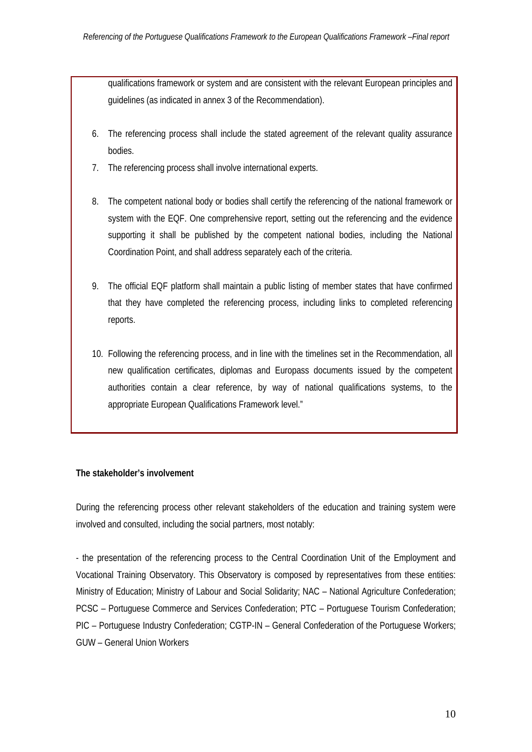qualifications framework or system and are consistent with the relevant European principles and guidelines (as indicated in annex 3 of the Recommendation).

- 6. The referencing process shall include the stated agreement of the relevant quality assurance bodies.
- 7. The referencing process shall involve international experts.
- 8. The competent national body or bodies shall certify the referencing of the national framework or system with the EQF. One comprehensive report, setting out the referencing and the evidence supporting it shall be published by the competent national bodies, including the National Coordination Point, and shall address separately each of the criteria.
- 9. The official EQF platform shall maintain a public listing of member states that have confirmed that they have completed the referencing process, including links to completed referencing reports.
- 10. Following the referencing process, and in line with the timelines set in the Recommendation, all new qualification certificates, diplomas and Europass documents issued by the competent authorities contain a clear reference, by way of national qualifications systems, to the appropriate European Qualifications Framework level."

#### **The stakeholder's involvement**

During the referencing process other relevant stakeholders of the education and training system were involved and consulted, including the social partners, most notably:

- the presentation of the referencing process to the Central Coordination Unit of the Employment and Vocational Training Observatory. This Observatory is composed by representatives from these entities: Ministry of Education; Ministry of Labour and Social Solidarity; NAC – National Agriculture Confederation; PCSC – Portuguese Commerce and Services Confederation; PTC – Portuguese Tourism Confederation; PIC – Portuguese Industry Confederation; CGTP-IN – General Confederation of the Portuguese Workers; GUW – General Union Workers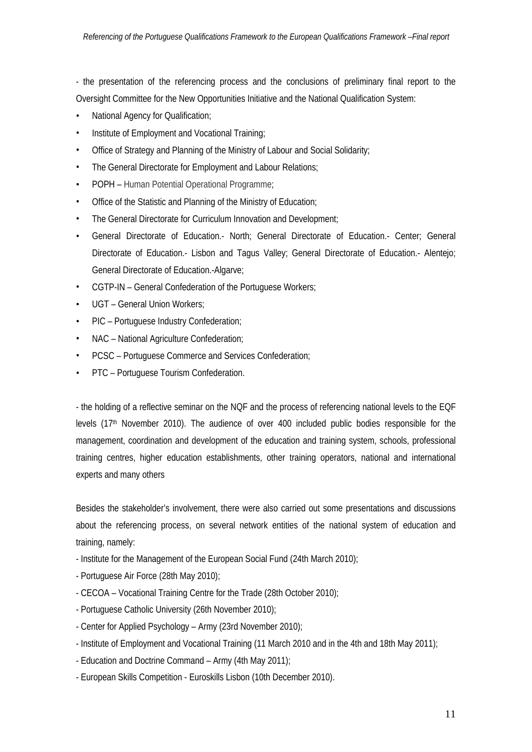- the presentation of the referencing process and the conclusions of preliminary final report to the Oversight Committee for the New Opportunities Initiative and the National Qualification System:

- National Agency for Qualification;
- Institute of Employment and Vocational Training;
- Office of Strategy and Planning of the Ministry of Labour and Social Solidarity;
- The General Directorate for Employment and Labour Relations;
- POPH Human Potential Operational Programme;
- Office of the Statistic and Planning of the Ministry of Education;
- The General Directorate for Curriculum Innovation and Development;
- General Directorate of Education.- North; General Directorate of Education.- Center; General Directorate of Education.- Lisbon and Tagus Valley; General Directorate of Education.- Alentejo; General Directorate of Education.-Algarve;
- CGTP-IN General Confederation of the Portuguese Workers;
- UGT General Union Workers;
- PIC Portuguese Industry Confederation;
- NAC National Agriculture Confederation;
- PCSC Portuguese Commerce and Services Confederation;
- PTC Portuguese Tourism Confederation.

- the holding of a reflective seminar on the NQF and the process of referencing national levels to the EQF levels (17th November 2010). The audience of over 400 included public bodies responsible for the management, coordination and development of the education and training system, schools, professional training centres, higher education establishments, other training operators, national and international experts and many others

Besides the stakeholder's involvement, there were also carried out some presentations and discussions about the referencing process, on several network entities of the national system of education and training, namely:

- Institute for the Management of the European Social Fund (24th March 2010);
- Portuguese Air Force (28th May 2010);
- CECOA Vocational Training Centre for the Trade (28th October 2010);
- Portuguese Catholic University (26th November 2010);
- Center for Applied Psychology Army (23rd November 2010);
- Institute of Employment and Vocational Training (11 March 2010 and in the 4th and 18th May 2011);
- Education and Doctrine Command Army (4th May 2011);
- European Skills Competition Euroskills Lisbon (10th December 2010).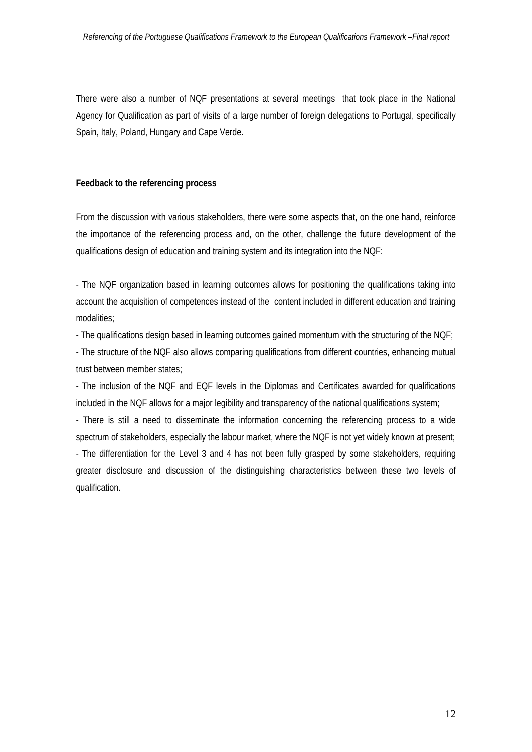There were also a number of NQF presentations at several meetings that took place in the National Agency for Qualification as part of visits of a large number of foreign delegations to Portugal, specifically Spain, Italy, Poland, Hungary and Cape Verde.

#### **Feedback to the referencing process**

From the discussion with various stakeholders, there were some aspects that, on the one hand, reinforce the importance of the referencing process and, on the other, challenge the future development of the qualifications design of education and training system and its integration into the NQF:

- The NQF organization based in learning outcomes allows for positioning the qualifications taking into account the acquisition of competences instead of the content included in different education and training modalities;

- The qualifications design based in learning outcomes gained momentum with the structuring of the NQF;

- The structure of the NQF also allows comparing qualifications from different countries, enhancing mutual trust between member states;

- The inclusion of the NQF and EQF levels in the Diplomas and Certificates awarded for qualifications included in the NQF allows for a major legibility and transparency of the national qualifications system;

- There is still a need to disseminate the information concerning the referencing process to a wide spectrum of stakeholders, especially the labour market, where the NQF is not yet widely known at present;

- The differentiation for the Level 3 and 4 has not been fully grasped by some stakeholders, requiring greater disclosure and discussion of the distinguishing characteristics between these two levels of qualification.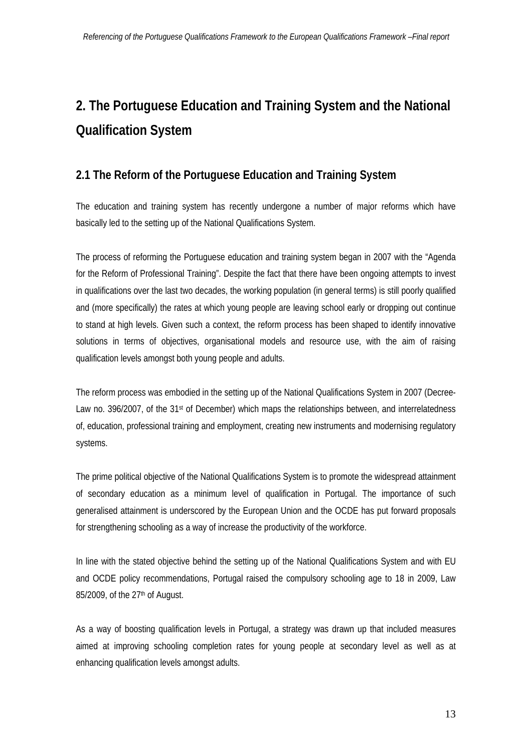## **2. The Portuguese Education and Training System and the National Qualification System**

## **2.1 The Reform of the Portuguese Education and Training System**

The education and training system has recently undergone a number of major reforms which have basically led to the setting up of the National Qualifications System.

The process of reforming the Portuguese education and training system began in 2007 with the "Agenda for the Reform of Professional Training". Despite the fact that there have been ongoing attempts to invest in qualifications over the last two decades, the working population (in general terms) is still poorly qualified and (more specifically) the rates at which young people are leaving school early or dropping out continue to stand at high levels. Given such a context, the reform process has been shaped to identify innovative solutions in terms of objectives, organisational models and resource use, with the aim of raising qualification levels amongst both young people and adults.

The reform process was embodied in the setting up of the National Qualifications System in 2007 (Decree-Law no. 396/2007, of the 31<sup>st</sup> of December) which maps the relationships between, and interrelatedness of, education, professional training and employment, creating new instruments and modernising regulatory systems.

The prime political objective of the National Qualifications System is to promote the widespread attainment of secondary education as a minimum level of qualification in Portugal. The importance of such generalised attainment is underscored by the European Union and the OCDE has put forward proposals for strengthening schooling as a way of increase the productivity of the workforce.

In line with the stated objective behind the setting up of the National Qualifications System and with EU and OCDE policy recommendations, Portugal raised the compulsory schooling age to 18 in 2009, Law 85/2009, of the 27<sup>th</sup> of August.

As a way of boosting qualification levels in Portugal, a strategy was drawn up that included measures aimed at improving schooling completion rates for young people at secondary level as well as at enhancing qualification levels amongst adults.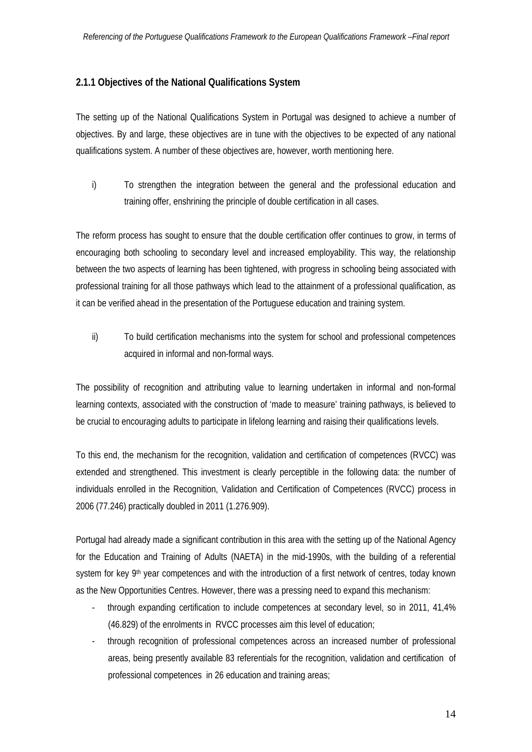#### **2.1.1 Objectives of the National Qualifications System**

The setting up of the National Qualifications System in Portugal was designed to achieve a number of objectives. By and large, these objectives are in tune with the objectives to be expected of any national qualifications system. A number of these objectives are, however, worth mentioning here.

i) To strengthen the integration between the general and the professional education and training offer, enshrining the principle of double certification in all cases.

The reform process has sought to ensure that the double certification offer continues to grow, in terms of encouraging both schooling to secondary level and increased employability. This way, the relationship between the two aspects of learning has been tightened, with progress in schooling being associated with professional training for all those pathways which lead to the attainment of a professional qualification, as it can be verified ahead in the presentation of the Portuguese education and training system.

ii) To build certification mechanisms into the system for school and professional competences acquired in informal and non-formal ways.

The possibility of recognition and attributing value to learning undertaken in informal and non-formal learning contexts, associated with the construction of 'made to measure' training pathways, is believed to be crucial to encouraging adults to participate in lifelong learning and raising their qualifications levels.

To this end, the mechanism for the recognition, validation and certification of competences (RVCC) was extended and strengthened. This investment is clearly perceptible in the following data: the number of individuals enrolled in the Recognition, Validation and Certification of Competences (RVCC) process in 2006 (77.246) practically doubled in 2011 (1.276.909).

Portugal had already made a significant contribution in this area with the setting up of the National Agency for the Education and Training of Adults (NAETA) in the mid-1990s, with the building of a referential system for key 9<sup>th</sup> year competences and with the introduction of a first network of centres, today known as the New Opportunities Centres. However, there was a pressing need to expand this mechanism:

- through expanding certification to include competences at secondary level, so in 2011, 41,4% (46.829) of the enrolments in RVCC processes aim this level of education;
- through recognition of professional competences across an increased number of professional areas, being presently available 83 referentials for the recognition, validation and certification of professional competences in 26 education and training areas;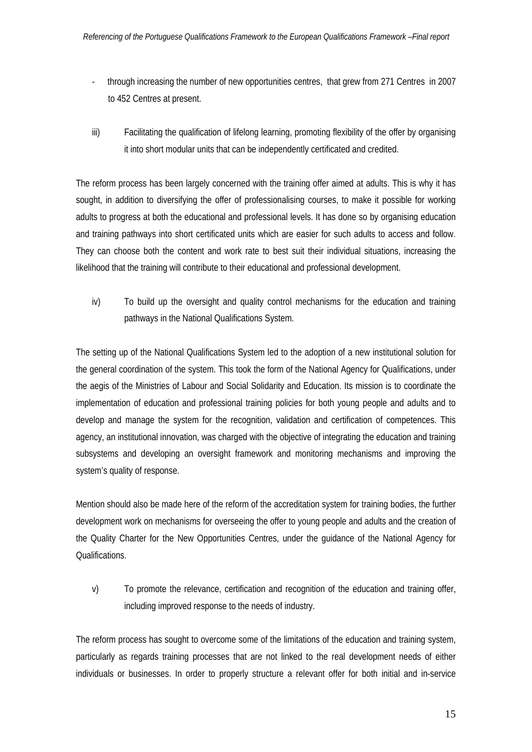- through increasing the number of new opportunities centres, that grew from 271 Centres in 2007 to 452 Centres at present.
- iii) Facilitating the qualification of lifelong learning, promoting flexibility of the offer by organising it into short modular units that can be independently certificated and credited.

The reform process has been largely concerned with the training offer aimed at adults. This is why it has sought, in addition to diversifying the offer of professionalising courses, to make it possible for working adults to progress at both the educational and professional levels. It has done so by organising education and training pathways into short certificated units which are easier for such adults to access and follow. They can choose both the content and work rate to best suit their individual situations, increasing the likelihood that the training will contribute to their educational and professional development.

iv) To build up the oversight and quality control mechanisms for the education and training pathways in the National Qualifications System.

The setting up of the National Qualifications System led to the adoption of a new institutional solution for the general coordination of the system. This took the form of the National Agency for Qualifications, under the aegis of the Ministries of Labour and Social Solidarity and Education. Its mission is to coordinate the implementation of education and professional training policies for both young people and adults and to develop and manage the system for the recognition, validation and certification of competences. This agency, an institutional innovation, was charged with the objective of integrating the education and training subsystems and developing an oversight framework and monitoring mechanisms and improving the system's quality of response.

Mention should also be made here of the reform of the accreditation system for training bodies, the further development work on mechanisms for overseeing the offer to young people and adults and the creation of the Quality Charter for the New Opportunities Centres, under the guidance of the National Agency for Qualifications.

v) To promote the relevance, certification and recognition of the education and training offer, including improved response to the needs of industry.

The reform process has sought to overcome some of the limitations of the education and training system, particularly as regards training processes that are not linked to the real development needs of either individuals or businesses. In order to properly structure a relevant offer for both initial and in-service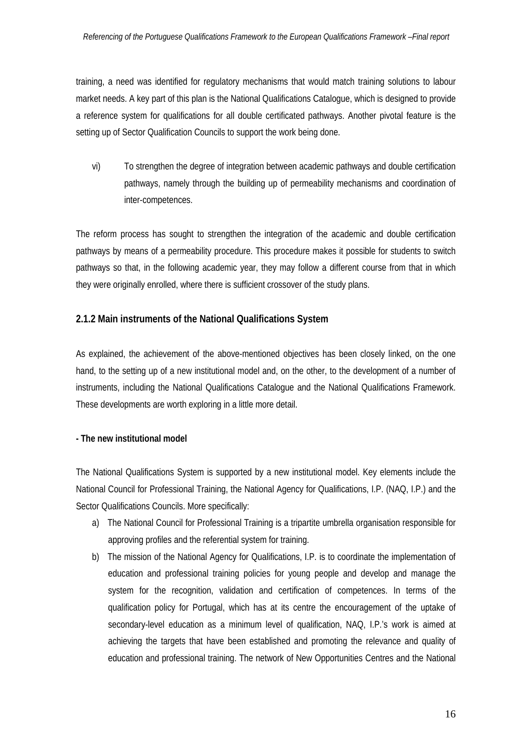training, a need was identified for regulatory mechanisms that would match training solutions to labour market needs. A key part of this plan is the National Qualifications Catalogue, which is designed to provide a reference system for qualifications for all double certificated pathways. Another pivotal feature is the setting up of Sector Qualification Councils to support the work being done.

vi) To strengthen the degree of integration between academic pathways and double certification pathways, namely through the building up of permeability mechanisms and coordination of inter-competences.

The reform process has sought to strengthen the integration of the academic and double certification pathways by means of a permeability procedure. This procedure makes it possible for students to switch pathways so that, in the following academic year, they may follow a different course from that in which they were originally enrolled, where there is sufficient crossover of the study plans.

#### **2.1.2 Main instruments of the National Qualifications System**

As explained, the achievement of the above-mentioned objectives has been closely linked, on the one hand, to the setting up of a new institutional model and, on the other, to the development of a number of instruments, including the National Qualifications Catalogue and the National Qualifications Framework. These developments are worth exploring in a little more detail.

#### **- The new institutional model**

The National Qualifications System is supported by a new institutional model. Key elements include the National Council for Professional Training, the National Agency for Qualifications, I.P. (NAQ, I.P.) and the Sector Qualifications Councils. More specifically:

- a) The National Council for Professional Training is a tripartite umbrella organisation responsible for approving profiles and the referential system for training.
- b) The mission of the National Agency for Qualifications, I.P. is to coordinate the implementation of education and professional training policies for young people and develop and manage the system for the recognition, validation and certification of competences. In terms of the qualification policy for Portugal, which has at its centre the encouragement of the uptake of secondary-level education as a minimum level of qualification, NAQ, I.P.'s work is aimed at achieving the targets that have been established and promoting the relevance and quality of education and professional training. The network of New Opportunities Centres and the National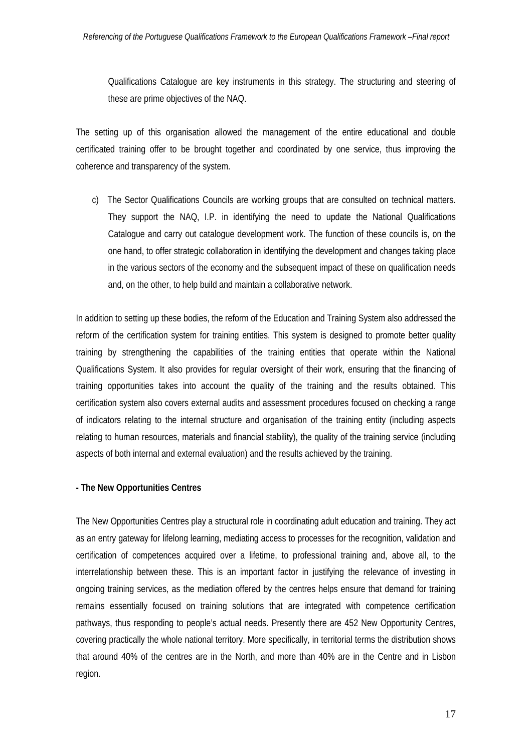Qualifications Catalogue are key instruments in this strategy. The structuring and steering of these are prime objectives of the NAQ.

The setting up of this organisation allowed the management of the entire educational and double certificated training offer to be brought together and coordinated by one service, thus improving the coherence and transparency of the system.

c) The Sector Qualifications Councils are working groups that are consulted on technical matters. They support the NAQ, I.P. in identifying the need to update the National Qualifications Catalogue and carry out catalogue development work. The function of these councils is, on the one hand, to offer strategic collaboration in identifying the development and changes taking place in the various sectors of the economy and the subsequent impact of these on qualification needs and, on the other, to help build and maintain a collaborative network.

In addition to setting up these bodies, the reform of the Education and Training System also addressed the reform of the certification system for training entities. This system is designed to promote better quality training by strengthening the capabilities of the training entities that operate within the National Qualifications System. It also provides for regular oversight of their work, ensuring that the financing of training opportunities takes into account the quality of the training and the results obtained. This certification system also covers external audits and assessment procedures focused on checking a range of indicators relating to the internal structure and organisation of the training entity (including aspects relating to human resources, materials and financial stability), the quality of the training service (including aspects of both internal and external evaluation) and the results achieved by the training.

#### **- The New Opportunities Centres**

The New Opportunities Centres play a structural role in coordinating adult education and training. They act as an entry gateway for lifelong learning, mediating access to processes for the recognition, validation and certification of competences acquired over a lifetime, to professional training and, above all, to the interrelationship between these. This is an important factor in justifying the relevance of investing in ongoing training services, as the mediation offered by the centres helps ensure that demand for training remains essentially focused on training solutions that are integrated with competence certification pathways, thus responding to people's actual needs. Presently there are 452 New Opportunity Centres, covering practically the whole national territory. More specifically, in territorial terms the distribution shows that around 40% of the centres are in the North, and more than 40% are in the Centre and in Lisbon region.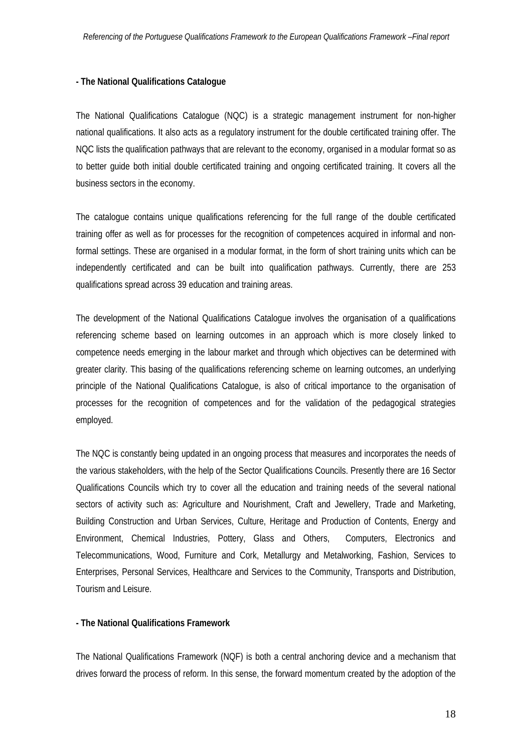#### **- The National Qualifications Catalogue**

The National Qualifications Catalogue (NQC) is a strategic management instrument for non-higher national qualifications. It also acts as a regulatory instrument for the double certificated training offer. The NQC lists the qualification pathways that are relevant to the economy, organised in a modular format so as to better guide both initial double certificated training and ongoing certificated training. It covers all the business sectors in the economy.

The catalogue contains unique qualifications referencing for the full range of the double certificated training offer as well as for processes for the recognition of competences acquired in informal and nonformal settings. These are organised in a modular format, in the form of short training units which can be independently certificated and can be built into qualification pathways. Currently, there are 253 qualifications spread across 39 education and training areas.

The development of the National Qualifications Catalogue involves the organisation of a qualifications referencing scheme based on learning outcomes in an approach which is more closely linked to competence needs emerging in the labour market and through which objectives can be determined with greater clarity. This basing of the qualifications referencing scheme on learning outcomes, an underlying principle of the National Qualifications Catalogue, is also of critical importance to the organisation of processes for the recognition of competences and for the validation of the pedagogical strategies employed.

The NQC is constantly being updated in an ongoing process that measures and incorporates the needs of the various stakeholders, with the help of the Sector Qualifications Councils. Presently there are 16 Sector Qualifications Councils which try to cover all the education and training needs of the several national sectors of activity such as: Agriculture and Nourishment, Craft and Jewellery, Trade and Marketing, Building Construction and Urban Services, Culture, Heritage and Production of Contents, Energy and Environment, Chemical Industries, Pottery, Glass and Others, Computers, Electronics and Telecommunications, Wood, Furniture and Cork, Metallurgy and Metalworking, Fashion, Services to Enterprises, Personal Services, Healthcare and Services to the Community, Transports and Distribution, Tourism and Leisure.

#### **- The National Qualifications Framework**

The National Qualifications Framework (NQF) is both a central anchoring device and a mechanism that drives forward the process of reform. In this sense, the forward momentum created by the adoption of the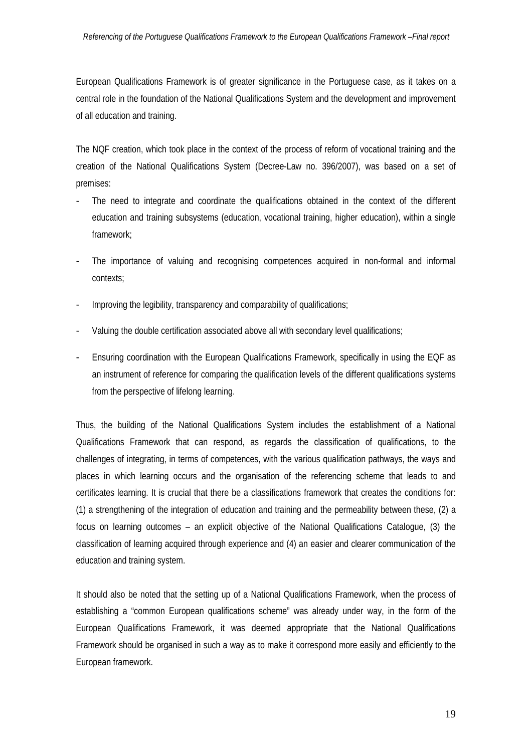European Qualifications Framework is of greater significance in the Portuguese case, as it takes on a central role in the foundation of the National Qualifications System and the development and improvement of all education and training.

The NQF creation, which took place in the context of the process of reform of vocational training and the creation of the National Qualifications System (Decree-Law no. 396/2007), was based on a set of premises:

- The need to integrate and coordinate the qualifications obtained in the context of the different education and training subsystems (education, vocational training, higher education), within a single framework;
- The importance of valuing and recognising competences acquired in non-formal and informal contexts;
- Improving the legibility, transparency and comparability of qualifications;
- Valuing the double certification associated above all with secondary level qualifications;
- Ensuring coordination with the European Qualifications Framework, specifically in using the EQF as an instrument of reference for comparing the qualification levels of the different qualifications systems from the perspective of lifelong learning.

Thus, the building of the National Qualifications System includes the establishment of a National Qualifications Framework that can respond, as regards the classification of qualifications, to the challenges of integrating, in terms of competences, with the various qualification pathways, the ways and places in which learning occurs and the organisation of the referencing scheme that leads to and certificates learning. It is crucial that there be a classifications framework that creates the conditions for: (1) a strengthening of the integration of education and training and the permeability between these, (2) a focus on learning outcomes – an explicit objective of the National Qualifications Catalogue, (3) the classification of learning acquired through experience and (4) an easier and clearer communication of the education and training system.

It should also be noted that the setting up of a National Qualifications Framework, when the process of establishing a "common European qualifications scheme" was already under way, in the form of the European Qualifications Framework, it was deemed appropriate that the National Qualifications Framework should be organised in such a way as to make it correspond more easily and efficiently to the European framework.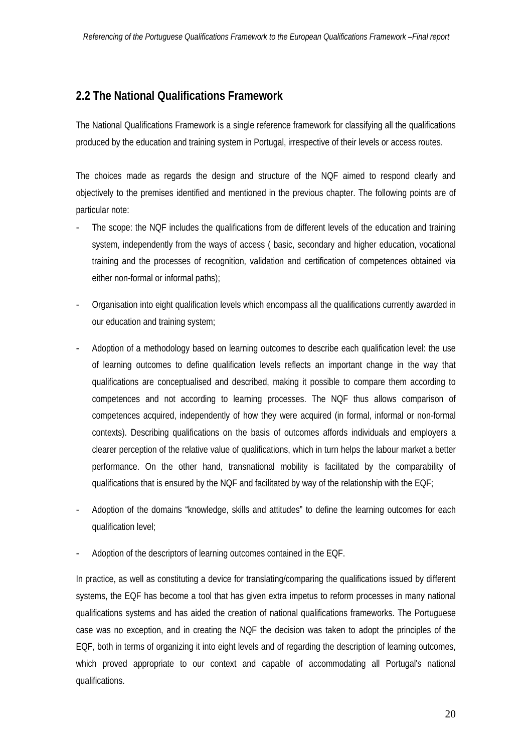## **2.2 The National Qualifications Framework**

The National Qualifications Framework is a single reference framework for classifying all the qualifications produced by the education and training system in Portugal, irrespective of their levels or access routes.

The choices made as regards the design and structure of the NQF aimed to respond clearly and objectively to the premises identified and mentioned in the previous chapter. The following points are of particular note:

- The scope: the NQF includes the qualifications from de different levels of the education and training system, independently from the ways of access ( basic, secondary and higher education, vocational training and the processes of recognition, validation and certification of competences obtained via either non-formal or informal paths);
- Organisation into eight qualification levels which encompass all the qualifications currently awarded in our education and training system;
- Adoption of a methodology based on learning outcomes to describe each qualification level: the use of learning outcomes to define qualification levels reflects an important change in the way that qualifications are conceptualised and described, making it possible to compare them according to competences and not according to learning processes. The NQF thus allows comparison of competences acquired, independently of how they were acquired (in formal, informal or non-formal contexts). Describing qualifications on the basis of outcomes affords individuals and employers a clearer perception of the relative value of qualifications, which in turn helps the labour market a better performance. On the other hand, transnational mobility is facilitated by the comparability of qualifications that is ensured by the NQF and facilitated by way of the relationship with the EQF;
- Adoption of the domains "knowledge, skills and attitudes" to define the learning outcomes for each qualification level;
- Adoption of the descriptors of learning outcomes contained in the EQF.

In practice, as well as constituting a device for translating/comparing the qualifications issued by different systems, the EQF has become a tool that has given extra impetus to reform processes in many national qualifications systems and has aided the creation of national qualifications frameworks. The Portuguese case was no exception, and in creating the NQF the decision was taken to adopt the principles of the EQF, both in terms of organizing it into eight levels and of regarding the description of learning outcomes, which proved appropriate to our context and capable of accommodating all Portugal's national qualifications.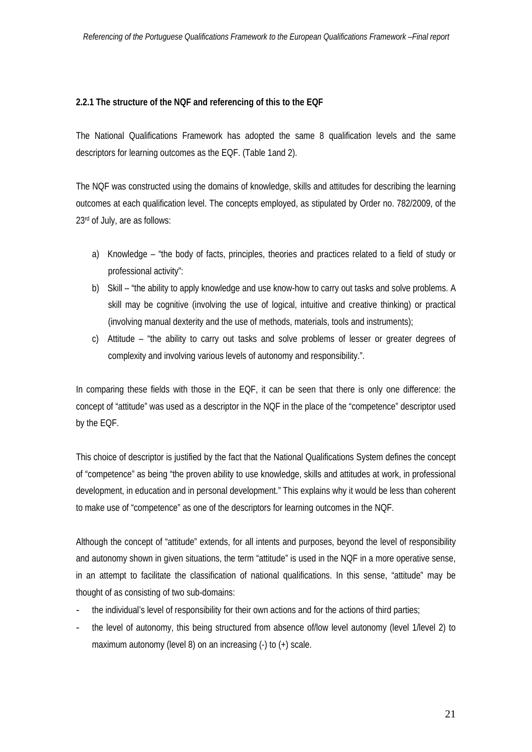#### **2.2.1 The structure of the NQF and referencing of this to the EQF**

The National Qualifications Framework has adopted the same 8 qualification levels and the same descriptors for learning outcomes as the EQF. (Table 1and 2).

The NQF was constructed using the domains of knowledge, skills and attitudes for describing the learning outcomes at each qualification level. The concepts employed, as stipulated by Order no. 782/2009, of the 23rd of July, are as follows:

- a) Knowledge "the body of facts, principles, theories and practices related to a field of study or professional activity":
- b) Skill "the ability to apply knowledge and use know-how to carry out tasks and solve problems. A skill may be cognitive (involving the use of logical, intuitive and creative thinking) or practical (involving manual dexterity and the use of methods, materials, tools and instruments);
- c) Attitude "the ability to carry out tasks and solve problems of lesser or greater degrees of complexity and involving various levels of autonomy and responsibility.".

In comparing these fields with those in the EQF, it can be seen that there is only one difference: the concept of "attitude" was used as a descriptor in the NQF in the place of the "competence" descriptor used by the EQF.

This choice of descriptor is justified by the fact that the National Qualifications System defines the concept of "competence" as being "the proven ability to use knowledge, skills and attitudes at work, in professional development, in education and in personal development." This explains why it would be less than coherent to make use of "competence" as one of the descriptors for learning outcomes in the NQF.

Although the concept of "attitude" extends, for all intents and purposes, beyond the level of responsibility and autonomy shown in given situations, the term "attitude" is used in the NQF in a more operative sense, in an attempt to facilitate the classification of national qualifications. In this sense, "attitude" may be thought of as consisting of two sub-domains:

- the individual's level of responsibility for their own actions and for the actions of third parties;
- the level of autonomy, this being structured from absence of/low level autonomy (level 1/level 2) to maximum autonomy (level 8) on an increasing (-) to (+) scale.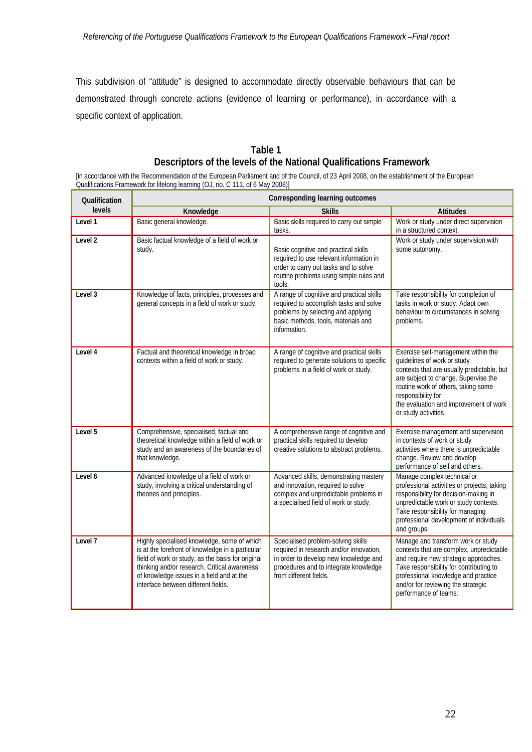This subdivision of "attitude" is designed to accommodate directly observable behaviours that can be demonstrated through concrete actions (evidence of learning or performance), in accordance with a specific context of application.

#### **Table 1 Descriptors of the levels of the National Qualifications Framework**

[in accordance with the Recommendation of the European Parliament and of the Council, of 23 April 2008, on the establishment of the European Qualifications Framework for lifelong learning (OJ, no. C 111, of 6 May 2008)]

| Qualification      | Corresponding learning outcomes                                                                                                                                                                                                                                                          |                                                                                                                                                                                           |                                                                                                                                                                                                                                                                                        |  |
|--------------------|------------------------------------------------------------------------------------------------------------------------------------------------------------------------------------------------------------------------------------------------------------------------------------------|-------------------------------------------------------------------------------------------------------------------------------------------------------------------------------------------|----------------------------------------------------------------------------------------------------------------------------------------------------------------------------------------------------------------------------------------------------------------------------------------|--|
| levels             | Knowledge                                                                                                                                                                                                                                                                                | <b>Skills</b>                                                                                                                                                                             | <b>Attitudes</b>                                                                                                                                                                                                                                                                       |  |
| Level 1            | Basic general knowledge.                                                                                                                                                                                                                                                                 | Basic skills required to carry out simple<br>tasks.                                                                                                                                       | Work or study under direct supervision<br>in a structured context.                                                                                                                                                                                                                     |  |
| Level <sub>2</sub> | Basic factual knowledge of a field of work or<br>study.                                                                                                                                                                                                                                  | Basic cognitive and practical skills<br>required to use relevant information in<br>order to carry out tasks and to solve<br>routine problems using simple rules and<br>tools.             | Work or study under supervision, with<br>some autonomy.                                                                                                                                                                                                                                |  |
| Level 3            | Knowledge of facts, principles, processes and<br>general concepts in a field of work or study.                                                                                                                                                                                           | A range of cognitive and practical skills<br>required to accomplish tasks and solve<br>problems by selecting and applying<br>basic methods, tools, materials and<br>information.          | Take responsibility for completion of<br>tasks in work or study. Adapt own<br>behaviour to circumstances in solving<br>problems.                                                                                                                                                       |  |
| Level 4            | Factual and theoretical knowledge in broad<br>contexts within a field of work or study.                                                                                                                                                                                                  | A range of cognitive and practical skills<br>required to generate solutions to specific<br>problems in a field of work or study.                                                          | Exercise self-management within the<br>quidelines of work or study<br>contexts that are usually predictable, but<br>are subject to change. Supervise the<br>routine work of others, taking some<br>responsibility for<br>the evaluation and improvement of work<br>or study activities |  |
| Level 5            | Comprehensive, specialised, factual and<br>theoretical knowledge within a field of work or<br>study and an awareness of the boundaries of<br>that knowledge.                                                                                                                             | A comprehensive range of cognitive and<br>practical skills required to develop<br>creative solutions to abstract problems.                                                                | Exercise management and supervision<br>in contexts of work or study<br>activities where there is unpredictable<br>change. Review and develop<br>performance of self and others.                                                                                                        |  |
| Level 6            | Advanced knowledge of a field of work or<br>study, involving a critical understanding of<br>theories and principles.                                                                                                                                                                     | Advanced skills, demonstrating mastery<br>and innovation, required to solve<br>complex and unpredictable problems in<br>a specialised field of work or study.                             | Manage complex technical or<br>professional activities or projects, taking<br>responsibility for decision-making in<br>unpredictable work or study contexts.<br>Take responsibility for managing<br>professional development of individuals<br>and groups.                             |  |
| Level 7            | Highly specialised knowledge, some of which<br>is at the forefront of knowledge in a particular<br>field of work or study, as the basis for original<br>thinking and/or research. Critical awareness<br>of knowledge issues in a field and at the<br>interface between different fields. | Specialised problem-solving skills<br>required in research and/or innovation,<br>in order to develop new knowledge and<br>procedures and to integrate knowledge<br>from different fields. | Manage and transform work or study<br>contexts that are complex, unpredictable<br>and require new strategic approaches.<br>Take responsibility for contributing to<br>professional knowledge and practice<br>and/or for reviewing the strategic<br>performance of teams.               |  |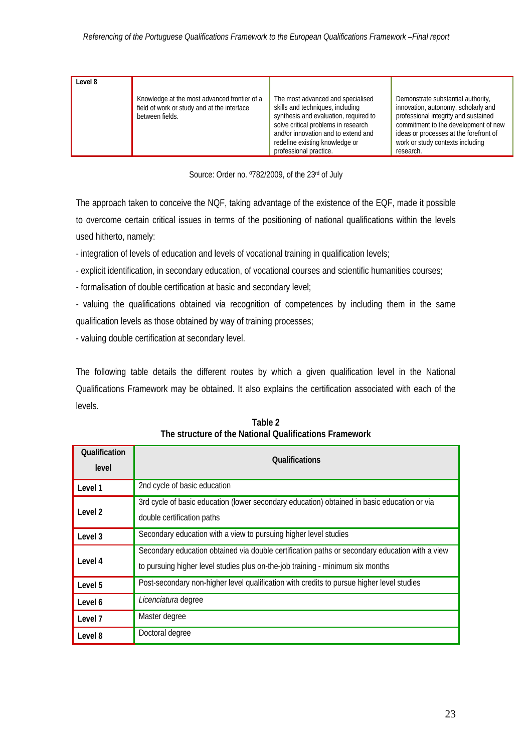| Level 8<br>Knowledge at the most advanced frontier of a<br>skills and techniques, including<br>field of work or study and at the interface<br>between fields.<br>redefine existing knowledge or<br>professional practice. | The most advanced and specialised<br>Demonstrate substantial authority,<br>innovation, autonomy, scholarly and<br>professional integrity and sustained<br>synthesis and evaluation, required to<br>solve critical problems in research<br>commitment to the development of new<br>and/or innovation and to extend and<br>ideas or processes at the forefront of<br>work or study contexts including<br>research. |
|---------------------------------------------------------------------------------------------------------------------------------------------------------------------------------------------------------------------------|------------------------------------------------------------------------------------------------------------------------------------------------------------------------------------------------------------------------------------------------------------------------------------------------------------------------------------------------------------------------------------------------------------------|
|---------------------------------------------------------------------------------------------------------------------------------------------------------------------------------------------------------------------------|------------------------------------------------------------------------------------------------------------------------------------------------------------------------------------------------------------------------------------------------------------------------------------------------------------------------------------------------------------------------------------------------------------------|

Source: Order no. º782/2009, of the 23rd of July

The approach taken to conceive the NQF, taking advantage of the existence of the EQF, made it possible to overcome certain critical issues in terms of the positioning of national qualifications within the levels used hitherto, namely:

- integration of levels of education and levels of vocational training in qualification levels;

- explicit identification, in secondary education, of vocational courses and scientific humanities courses;

- formalisation of double certification at basic and secondary level;

- valuing the qualifications obtained via recognition of competences by including them in the same qualification levels as those obtained by way of training processes;

- valuing double certification at secondary level.

The following table details the different routes by which a given qualification level in the National Qualifications Framework may be obtained. It also explains the certification associated with each of the levels.

| Qualification<br>level | <b>Qualifications</b>                                                                                                                                                            |  |  |
|------------------------|----------------------------------------------------------------------------------------------------------------------------------------------------------------------------------|--|--|
| Level 1                | 2nd cycle of basic education                                                                                                                                                     |  |  |
| Level 2                | 3rd cycle of basic education (lower secondary education) obtained in basic education or via<br>double certification paths                                                        |  |  |
| Level 3                | Secondary education with a view to pursuing higher level studies                                                                                                                 |  |  |
| Level 4                | Secondary education obtained via double certification paths or secondary education with a view<br>to pursuing higher level studies plus on-the-job training - minimum six months |  |  |
| Level 5                | Post-secondary non-higher level qualification with credits to pursue higher level studies                                                                                        |  |  |
| Level 6                | Licenciatura degree                                                                                                                                                              |  |  |
| Level 7                | Master degree                                                                                                                                                                    |  |  |
| Level 8                | Doctoral degree                                                                                                                                                                  |  |  |

**Table 2 The structure of the National Qualifications Framework**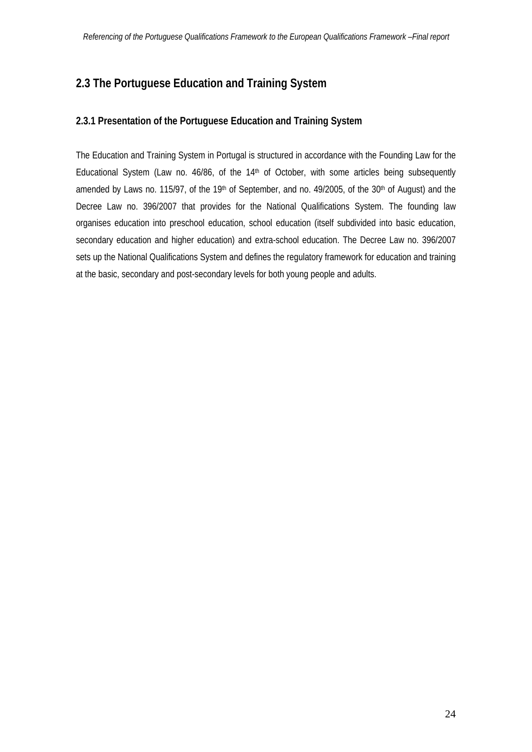## **2.3 The Portuguese Education and Training System**

### **2.3.1 Presentation of the Portuguese Education and Training System**

The Education and Training System in Portugal is structured in accordance with the Founding Law for the Educational System (Law no. 46/86, of the 14<sup>th</sup> of October, with some articles being subsequently amended by Laws no. 115/97, of the 19<sup>th</sup> of September, and no. 49/2005, of the 30<sup>th</sup> of August) and the Decree Law no. 396/2007 that provides for the National Qualifications System. The founding law organises education into preschool education, school education (itself subdivided into basic education, secondary education and higher education) and extra-school education. The Decree Law no. 396/2007 sets up the National Qualifications System and defines the regulatory framework for education and training at the basic, secondary and post-secondary levels for both young people and adults.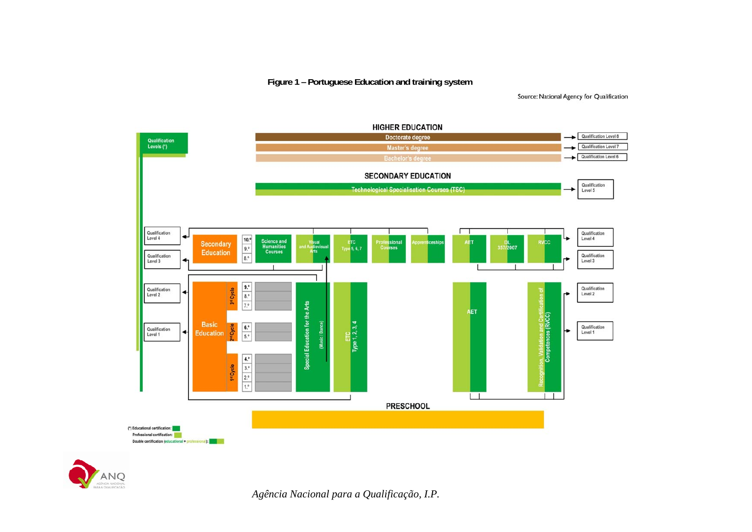**Figure 1 – Portuguese Education and training system** 

Source: National Agency for Qualification





*Agência Nacional para a Qualificação, I.P.*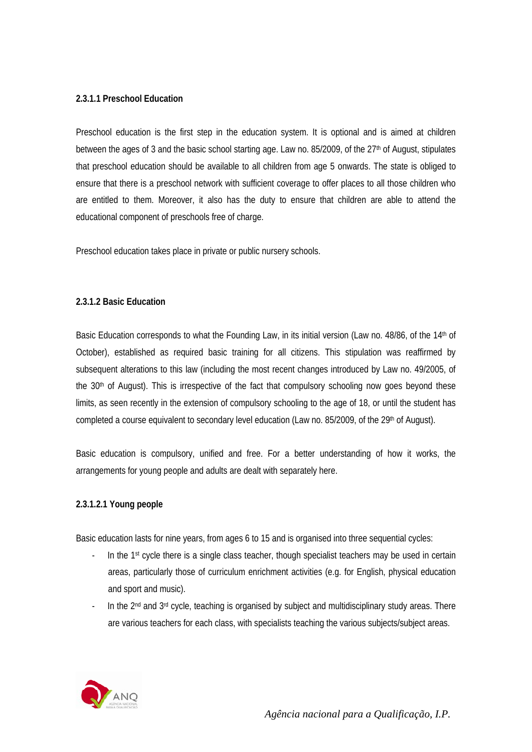#### **2.3.1.1 Preschool Education**

Preschool education is the first step in the education system. It is optional and is aimed at children between the ages of 3 and the basic school starting age. Law no. 85/2009, of the 27<sup>th</sup> of August, stipulates that preschool education should be available to all children from age 5 onwards. The state is obliged to ensure that there is a preschool network with sufficient coverage to offer places to all those children who are entitled to them. Moreover, it also has the duty to ensure that children are able to attend the educational component of preschools free of charge.

Preschool education takes place in private or public nursery schools.

#### **2.3.1.2 Basic Education**

Basic Education corresponds to what the Founding Law, in its initial version (Law no. 48/86, of the 14<sup>th</sup> of October), established as required basic training for all citizens. This stipulation was reaffirmed by subsequent alterations to this law (including the most recent changes introduced by Law no. 49/2005, of the  $30<sup>th</sup>$  of August). This is irrespective of the fact that compulsory schooling now goes beyond these limits, as seen recently in the extension of compulsory schooling to the age of 18, or until the student has completed a course equivalent to secondary level education (Law no. 85/2009, of the 29th of August).

Basic education is compulsory, unified and free. For a better understanding of how it works, the arrangements for young people and adults are dealt with separately here.

#### **2.3.1.2.1 Young people**

Basic education lasts for nine years, from ages 6 to 15 and is organised into three sequential cycles:

- In the 1<sup>st</sup> cycle there is a single class teacher, though specialist teachers may be used in certain areas, particularly those of curriculum enrichment activities (e.g. for English, physical education and sport and music).
- In the  $2<sup>nd</sup>$  and  $3<sup>rd</sup>$  cycle, teaching is organised by subject and multidisciplinary study areas. There are various teachers for each class, with specialists teaching the various subjects/subject areas.

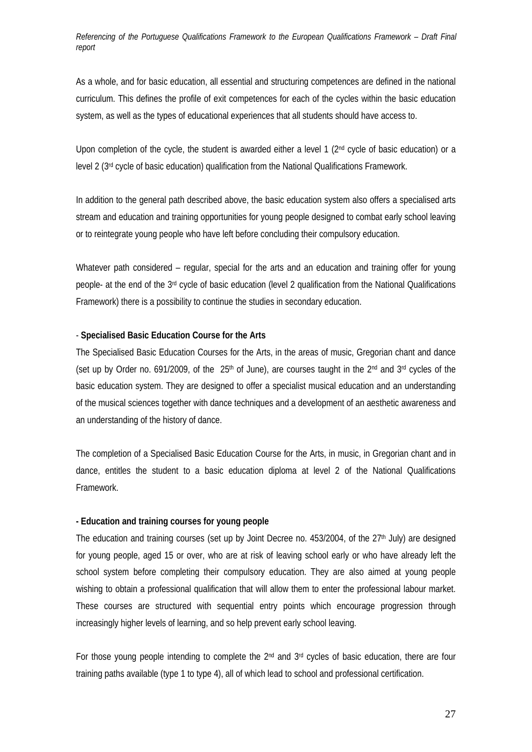As a whole, and for basic education, all essential and structuring competences are defined in the national curriculum. This defines the profile of exit competences for each of the cycles within the basic education system, as well as the types of educational experiences that all students should have access to.

Upon completion of the cycle, the student is awarded either a level 1 ( $2<sup>nd</sup>$  cycle of basic education) or a level 2 (3rd cycle of basic education) qualification from the National Qualifications Framework.

In addition to the general path described above, the basic education system also offers a specialised arts stream and education and training opportunities for young people designed to combat early school leaving or to reintegrate young people who have left before concluding their compulsory education.

Whatever path considered – regular, special for the arts and an education and training offer for young people- at the end of the 3rd cycle of basic education (level 2 qualification from the National Qualifications Framework) there is a possibility to continue the studies in secondary education.

#### - **Specialised Basic Education Course for the Arts**

The Specialised Basic Education Courses for the Arts, in the areas of music, Gregorian chant and dance (set up by Order no. 691/2009, of the  $25<sup>th</sup>$  of June), are courses taught in the  $2<sup>nd</sup>$  and  $3<sup>rd</sup>$  cycles of the basic education system. They are designed to offer a specialist musical education and an understanding of the musical sciences together with dance techniques and a development of an aesthetic awareness and an understanding of the history of dance.

The completion of a Specialised Basic Education Course for the Arts, in music, in Gregorian chant and in dance, entitles the student to a basic education diploma at level 2 of the National Qualifications Framework.

#### **- Education and training courses for young people**

The education and training courses (set up by Joint Decree no. 453/2004, of the 27<sup>th</sup> July) are designed for young people, aged 15 or over, who are at risk of leaving school early or who have already left the school system before completing their compulsory education. They are also aimed at young people wishing to obtain a professional qualification that will allow them to enter the professional labour market. These courses are structured with sequential entry points which encourage progression through increasingly higher levels of learning, and so help prevent early school leaving.

For those young people intending to complete the  $2<sup>nd</sup>$  and  $3<sup>rd</sup>$  cycles of basic education, there are four training paths available (type 1 to type 4), all of which lead to school and professional certification.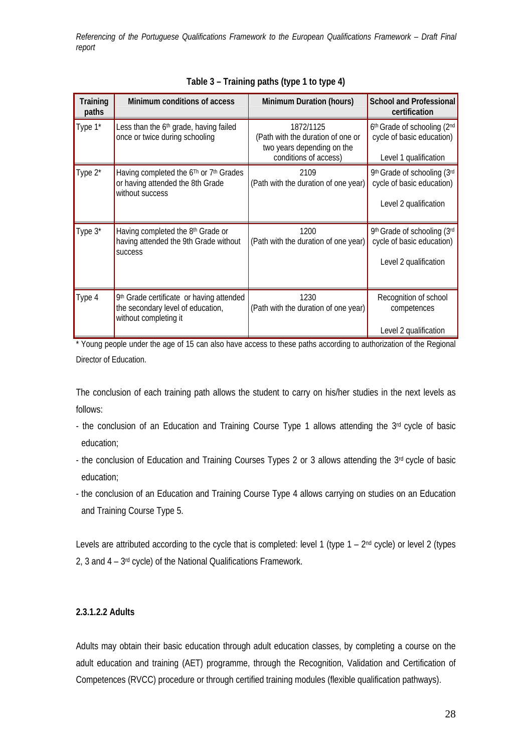| <b>Training</b><br>paths | Minimum conditions of access                                                                                          | <b>Minimum Duration (hours)</b>                                                                       | <b>School and Professional</b><br>certification                                   |
|--------------------------|-----------------------------------------------------------------------------------------------------------------------|-------------------------------------------------------------------------------------------------------|-----------------------------------------------------------------------------------|
| Type 1*                  | Less than the 6 <sup>th</sup> grade, having failed<br>once or twice during schooling                                  | 1872/1125<br>(Path with the duration of one or<br>two years depending on the<br>conditions of access) | 6th Grade of schooling (2nd<br>cycle of basic education)<br>Level 1 qualification |
| Type $2^*$               | Having completed the 6 <sup>Th</sup> or 7 <sup>th</sup> Grades<br>or having attended the 8th Grade<br>without success | 2109<br>(Path with the duration of one year)                                                          | 9th Grade of schooling (3rd<br>cycle of basic education)<br>Level 2 qualification |
| Type $3^*$               | Having completed the 8 <sup>th</sup> Grade or<br>having attended the 9th Grade without<br><b>SUCCESS</b>              | 1200<br>(Path with the duration of one year)                                                          | 9th Grade of schooling (3rd<br>cycle of basic education)<br>Level 2 qualification |
| Type 4                   | 9th Grade certificate or having attended<br>the secondary level of education,<br>without completing it                | 1230<br>(Path with the duration of one year)                                                          | Recognition of school<br>competences<br>Level 2 qualification                     |

**Table 3 – Training paths (type 1 to type 4)**

\* Young people under the age of 15 can also have access to these paths according to authorization of the Regional Director of Education.

The conclusion of each training path allows the student to carry on his/her studies in the next levels as follows:

- the conclusion of an Education and Training Course Type 1 allows attending the 3<sup>rd</sup> cycle of basic education;
- the conclusion of Education and Training Courses Types 2 or 3 allows attending the 3<sup>rd</sup> cycle of basic education;
- the conclusion of an Education and Training Course Type 4 allows carrying on studies on an Education and Training Course Type 5.

Levels are attributed according to the cycle that is completed: level 1 (type  $1 - 2<sup>nd</sup>$  cycle) or level 2 (types 2, 3 and 4 – 3rd cycle) of the National Qualifications Framework.

#### **2.3.1.2.2 Adults**

Adults may obtain their basic education through adult education classes, by completing a course on the adult education and training (AET) programme, through the Recognition, Validation and Certification of Competences (RVCC) procedure or through certified training modules (flexible qualification pathways).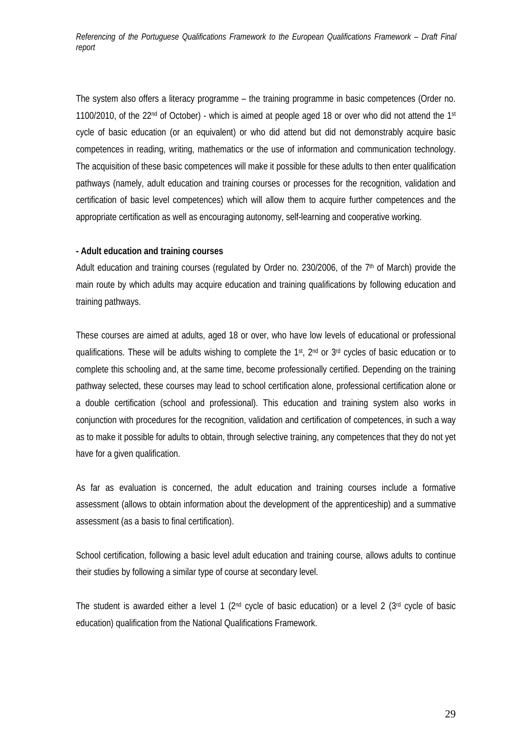The system also offers a literacy programme – the training programme in basic competences (Order no. 1100/2010, of the  $22<sup>nd</sup>$  of October) - which is aimed at people aged 18 or over who did not attend the 1st cycle of basic education (or an equivalent) or who did attend but did not demonstrably acquire basic competences in reading, writing, mathematics or the use of information and communication technology. The acquisition of these basic competences will make it possible for these adults to then enter qualification pathways (namely, adult education and training courses or processes for the recognition, validation and certification of basic level competences) which will allow them to acquire further competences and the appropriate certification as well as encouraging autonomy, self-learning and cooperative working.

#### **- Adult education and training courses**

Adult education and training courses (regulated by Order no. 230/2006, of the 7<sup>th</sup> of March) provide the main route by which adults may acquire education and training qualifications by following education and training pathways.

These courses are aimed at adults, aged 18 or over, who have low levels of educational or professional qualifications. These will be adults wishing to complete the 1st, 2nd or 3rd cycles of basic education or to complete this schooling and, at the same time, become professionally certified. Depending on the training pathway selected, these courses may lead to school certification alone, professional certification alone or a double certification (school and professional). This education and training system also works in conjunction with procedures for the recognition, validation and certification of competences, in such a way as to make it possible for adults to obtain, through selective training, any competences that they do not yet have for a given qualification.

As far as evaluation is concerned, the adult education and training courses include a formative assessment (allows to obtain information about the development of the apprenticeship) and a summative assessment (as a basis to final certification).

School certification, following a basic level adult education and training course, allows adults to continue their studies by following a similar type of course at secondary level.

The student is awarded either a level 1 ( $2<sup>nd</sup>$  cycle of basic education) or a level 2 ( $3<sup>rd</sup>$  cycle of basic education) qualification from the National Qualifications Framework.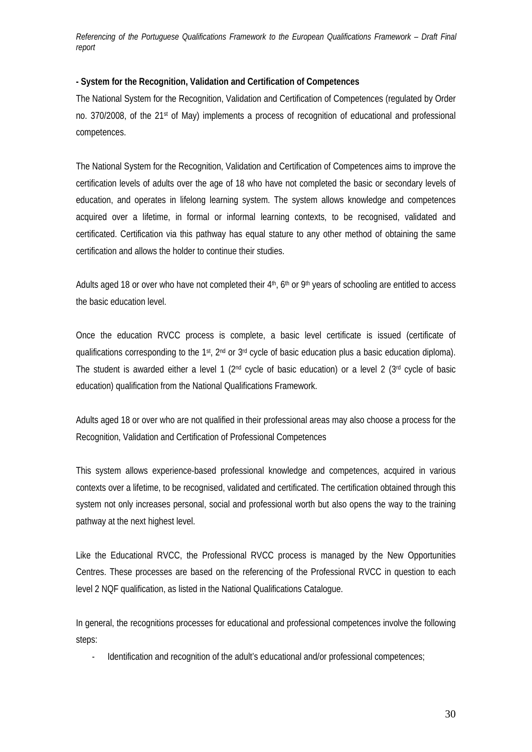#### **- System for the Recognition, Validation and Certification of Competences**

The National System for the Recognition, Validation and Certification of Competences (regulated by Order no. 370/2008, of the 21<sup>st</sup> of May) implements a process of recognition of educational and professional competences.

The National System for the Recognition, Validation and Certification of Competences aims to improve the certification levels of adults over the age of 18 who have not completed the basic or secondary levels of education, and operates in lifelong learning system. The system allows knowledge and competences acquired over a lifetime, in formal or informal learning contexts, to be recognised, validated and certificated. Certification via this pathway has equal stature to any other method of obtaining the same certification and allows the holder to continue their studies.

Adults aged 18 or over who have not completed their  $4<sup>th</sup>$ , 6<sup>th</sup> or 9<sup>th</sup> years of schooling are entitled to access the basic education level.

Once the education RVCC process is complete, a basic level certificate is issued (certificate of qualifications corresponding to the 1<sup>st</sup>, 2<sup>nd</sup> or 3<sup>rd</sup> cycle of basic education plus a basic education diploma). The student is awarded either a level 1  $(2^{nd}$  cycle of basic education) or a level 2  $(3^{rd}$  cycle of basic education) qualification from the National Qualifications Framework.

Adults aged 18 or over who are not qualified in their professional areas may also choose a process for the Recognition, Validation and Certification of Professional Competences

This system allows experience-based professional knowledge and competences, acquired in various contexts over a lifetime, to be recognised, validated and certificated. The certification obtained through this system not only increases personal, social and professional worth but also opens the way to the training pathway at the next highest level.

Like the Educational RVCC, the Professional RVCC process is managed by the New Opportunities Centres. These processes are based on the referencing of the Professional RVCC in question to each level 2 NQF qualification, as listed in the National Qualifications Catalogue.

In general, the recognitions processes for educational and professional competences involve the following steps:

- Identification and recognition of the adult's educational and/or professional competences;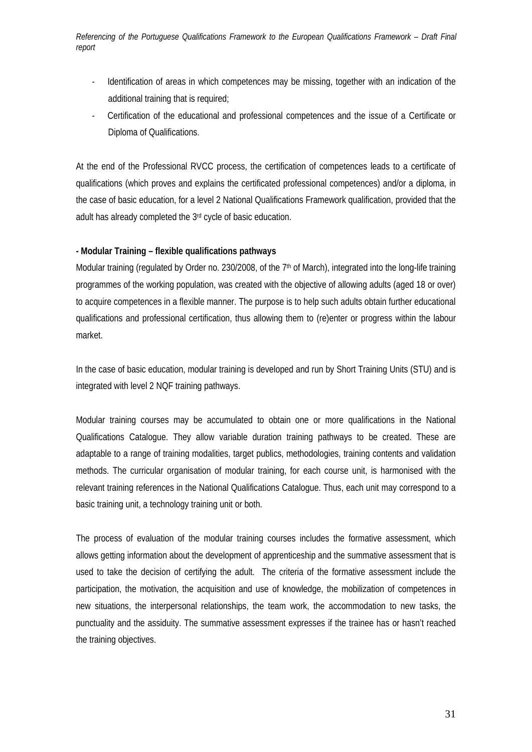- Identification of areas in which competences may be missing, together with an indication of the additional training that is required;
- Certification of the educational and professional competences and the issue of a Certificate or Diploma of Qualifications.

At the end of the Professional RVCC process, the certification of competences leads to a certificate of qualifications (which proves and explains the certificated professional competences) and/or a diploma, in the case of basic education, for a level 2 National Qualifications Framework qualification, provided that the adult has already completed the 3<sup>rd</sup> cycle of basic education.

#### **- Modular Training – flexible qualifications pathways**

Modular training (regulated by Order no. 230/2008, of the  $7<sup>th</sup>$  of March), integrated into the long-life training programmes of the working population, was created with the objective of allowing adults (aged 18 or over) to acquire competences in a flexible manner. The purpose is to help such adults obtain further educational qualifications and professional certification, thus allowing them to (re)enter or progress within the labour market.

In the case of basic education, modular training is developed and run by Short Training Units (STU) and is integrated with level 2 NQF training pathways.

Modular training courses may be accumulated to obtain one or more qualifications in the National Qualifications Catalogue. They allow variable duration training pathways to be created. These are adaptable to a range of training modalities, target publics, methodologies, training contents and validation methods. The curricular organisation of modular training, for each course unit, is harmonised with the relevant training references in the National Qualifications Catalogue. Thus, each unit may correspond to a basic training unit, a technology training unit or both.

The process of evaluation of the modular training courses includes the formative assessment, which allows getting information about the development of apprenticeship and the summative assessment that is used to take the decision of certifying the adult. The criteria of the formative assessment include the participation, the motivation, the acquisition and use of knowledge, the mobilization of competences in new situations, the interpersonal relationships, the team work, the accommodation to new tasks, the punctuality and the assiduity. The summative assessment expresses if the trainee has or hasn't reached the training objectives.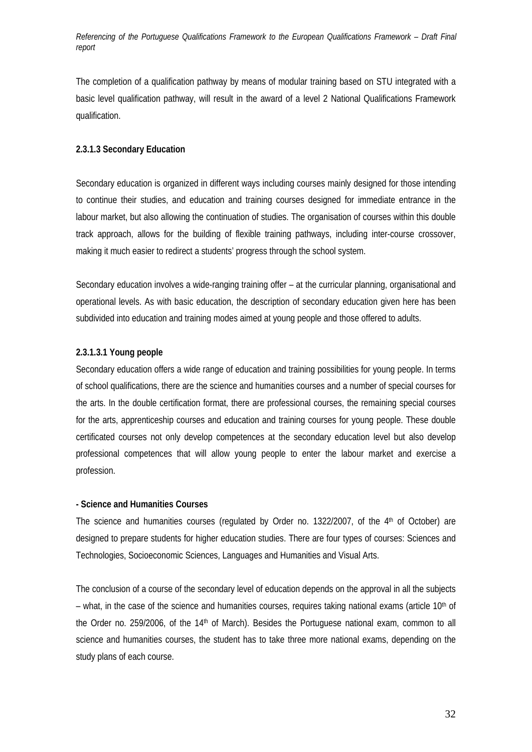The completion of a qualification pathway by means of modular training based on STU integrated with a basic level qualification pathway, will result in the award of a level 2 National Qualifications Framework qualification.

#### **2.3.1.3 Secondary Education**

Secondary education is organized in different ways including courses mainly designed for those intending to continue their studies, and education and training courses designed for immediate entrance in the labour market, but also allowing the continuation of studies. The organisation of courses within this double track approach, allows for the building of flexible training pathways, including inter-course crossover, making it much easier to redirect a students' progress through the school system.

Secondary education involves a wide-ranging training offer – at the curricular planning, organisational and operational levels. As with basic education, the description of secondary education given here has been subdivided into education and training modes aimed at young people and those offered to adults.

#### **2.3.1.3.1 Young people**

Secondary education offers a wide range of education and training possibilities for young people. In terms of school qualifications, there are the science and humanities courses and a number of special courses for the arts. In the double certification format, there are professional courses, the remaining special courses for the arts, apprenticeship courses and education and training courses for young people. These double certificated courses not only develop competences at the secondary education level but also develop professional competences that will allow young people to enter the labour market and exercise a profession.

#### **- Science and Humanities Courses**

The science and humanities courses (regulated by Order no. 1322/2007, of the  $4<sup>th</sup>$  of October) are designed to prepare students for higher education studies. There are four types of courses: Sciences and Technologies, Socioeconomic Sciences, Languages and Humanities and Visual Arts.

The conclusion of a course of the secondary level of education depends on the approval in all the subjects – what, in the case of the science and humanities courses, requires taking national exams (article 10<sup>th</sup> of the Order no. 259/2006, of the 14<sup>th</sup> of March). Besides the Portuguese national exam, common to all science and humanities courses, the student has to take three more national exams, depending on the study plans of each course.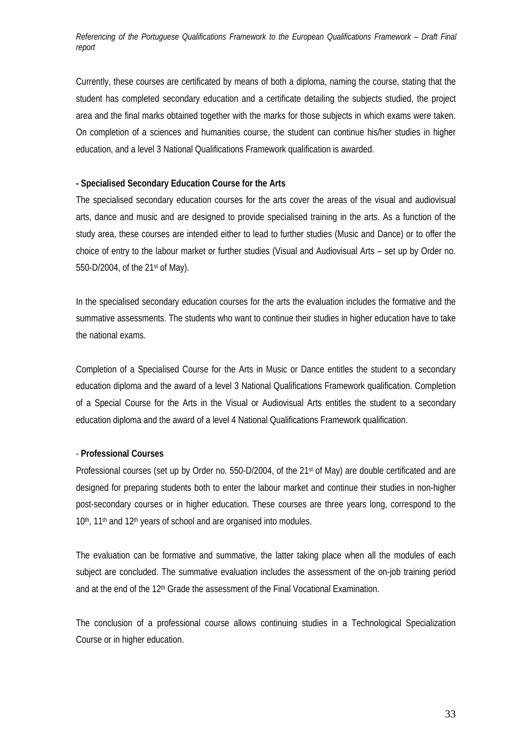Currently, these courses are certificated by means of both a diploma, naming the course, stating that the student has completed secondary education and a certificate detailing the subjects studied, the project area and the final marks obtained together with the marks for those subjects in which exams were taken. On completion of a sciences and humanities course, the student can continue his/her studies in higher education, and a level 3 National Qualifications Framework qualification is awarded.

#### **- Specialised Secondary Education Course for the Arts**

The specialised secondary education courses for the arts cover the areas of the visual and audiovisual arts, dance and music and are designed to provide specialised training in the arts. As a function of the study area, these courses are intended either to lead to further studies (Music and Dance) or to offer the choice of entry to the labour market or further studies (Visual and Audiovisual Arts – set up by Order no. 550-D/2004, of the 21st of May).

In the specialised secondary education courses for the arts the evaluation includes the formative and the summative assessments. The students who want to continue their studies in higher education have to take the national exams.

Completion of a Specialised Course for the Arts in Music or Dance entitles the student to a secondary education diploma and the award of a level 3 National Qualifications Framework qualification. Completion of a Special Course for the Arts in the Visual or Audiovisual Arts entitles the student to a secondary education diploma and the award of a level 4 National Qualifications Framework qualification.

#### - **Professional Courses**

Professional courses (set up by Order no. 550-D/2004, of the 21<sup>st</sup> of May) are double certificated and are designed for preparing students both to enter the labour market and continue their studies in non-higher post-secondary courses or in higher education. These courses are three years long, correspond to the 10<sup>th</sup>, 11<sup>th</sup> and 12<sup>th</sup> years of school and are organised into modules.

The evaluation can be formative and summative, the latter taking place when all the modules of each subject are concluded. The summative evaluation includes the assessment of the on-job training period and at the end of the 12<sup>th</sup> Grade the assessment of the Final Vocational Examination.

The conclusion of a professional course allows continuing studies in a Technological Specialization Course or in higher education.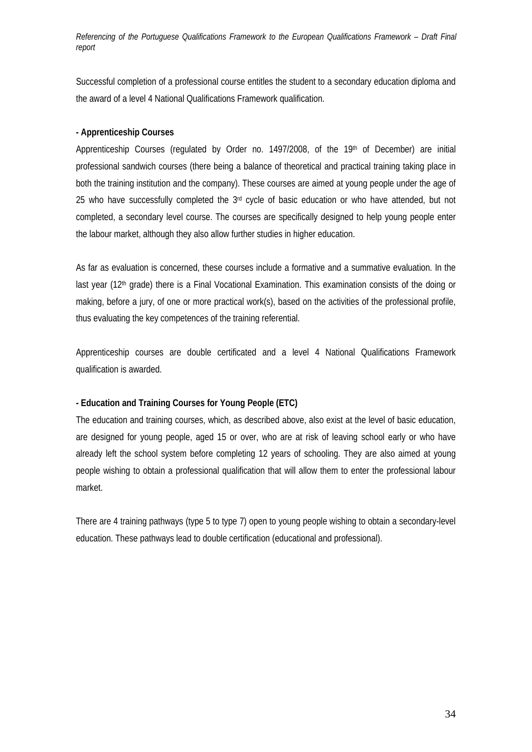Successful completion of a professional course entitles the student to a secondary education diploma and the award of a level 4 National Qualifications Framework qualification.

#### **- Apprenticeship Courses**

Apprenticeship Courses (regulated by Order no. 1497/2008, of the 19<sup>th</sup> of December) are initial professional sandwich courses (there being a balance of theoretical and practical training taking place in both the training institution and the company). These courses are aimed at young people under the age of 25 who have successfully completed the 3<sup>rd</sup> cycle of basic education or who have attended, but not completed, a secondary level course. The courses are specifically designed to help young people enter the labour market, although they also allow further studies in higher education.

As far as evaluation is concerned, these courses include a formative and a summative evaluation. In the last year (12<sup>th</sup> grade) there is a Final Vocational Examination. This examination consists of the doing or making, before a jury, of one or more practical work(s), based on the activities of the professional profile, thus evaluating the key competences of the training referential.

Apprenticeship courses are double certificated and a level 4 National Qualifications Framework qualification is awarded.

#### **- Education and Training Courses for Young People (ETC)**

The education and training courses, which, as described above, also exist at the level of basic education, are designed for young people, aged 15 or over, who are at risk of leaving school early or who have already left the school system before completing 12 years of schooling. They are also aimed at young people wishing to obtain a professional qualification that will allow them to enter the professional labour market.

There are 4 training pathways (type 5 to type 7) open to young people wishing to obtain a secondary-level education. These pathways lead to double certification (educational and professional).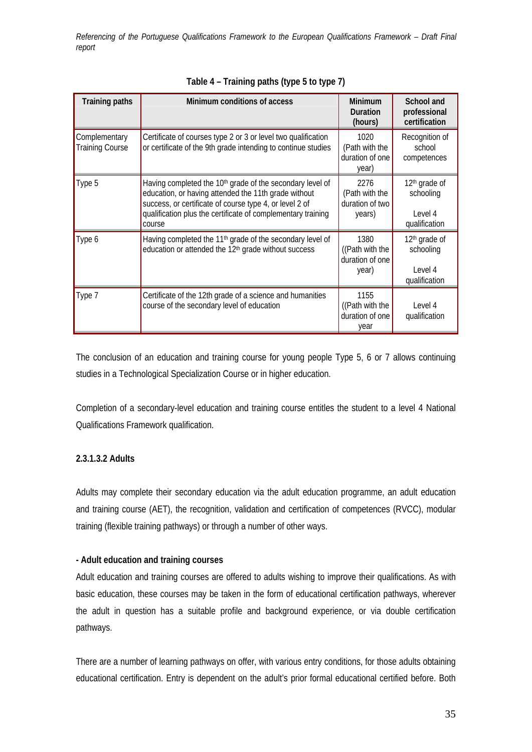| <b>Training paths</b>                   | Minimum conditions of access                                                                                                                                                                                                                                       | <b>Minimum</b><br>Duration<br>(hours)               | School and<br>professional<br>certification                        |
|-----------------------------------------|--------------------------------------------------------------------------------------------------------------------------------------------------------------------------------------------------------------------------------------------------------------------|-----------------------------------------------------|--------------------------------------------------------------------|
| Complementary<br><b>Training Course</b> | Certificate of courses type 2 or 3 or level two qualification<br>or certificate of the 9th grade intending to continue studies                                                                                                                                     | 1020<br>(Path with the<br>duration of one<br>year)  | Recognition of<br>school<br>competences                            |
| Type 5                                  | Having completed the 10 <sup>th</sup> grade of the secondary level of<br>education, or having attended the 11th grade without<br>success, or certificate of course type 4, or level 2 of<br>qualification plus the certificate of complementary training<br>course | 2276<br>(Path with the<br>duration of two<br>years) | 12 <sup>th</sup> grade of<br>schooling<br>Level 4<br>qualification |
| Type 6                                  | Having completed the 11 <sup>th</sup> grade of the secondary level of<br>education or attended the 12 <sup>th</sup> grade without success                                                                                                                          | 1380<br>((Path with the<br>duration of one<br>year) | 12 <sup>th</sup> grade of<br>schooling<br>Level 4<br>qualification |
| Type 7                                  | Certificate of the 12th grade of a science and humanities<br>course of the secondary level of education                                                                                                                                                            | 1155<br>((Path with the<br>duration of one<br>year  | Level 4<br>qualification                                           |

**Table 4 – Training paths (type 5 to type 7)**

The conclusion of an education and training course for young people Type 5, 6 or 7 allows continuing studies in a Technological Specialization Course or in higher education.

Completion of a secondary-level education and training course entitles the student to a level 4 National Qualifications Framework qualification.

#### **2.3.1.3.2 Adults**

Adults may complete their secondary education via the adult education programme, an adult education and training course (AET), the recognition, validation and certification of competences (RVCC), modular training (flexible training pathways) or through a number of other ways.

#### **- Adult education and training courses**

Adult education and training courses are offered to adults wishing to improve their qualifications. As with basic education, these courses may be taken in the form of educational certification pathways, wherever the adult in question has a suitable profile and background experience, or via double certification pathways.

There are a number of learning pathways on offer, with various entry conditions, for those adults obtaining educational certification. Entry is dependent on the adult's prior formal educational certified before. Both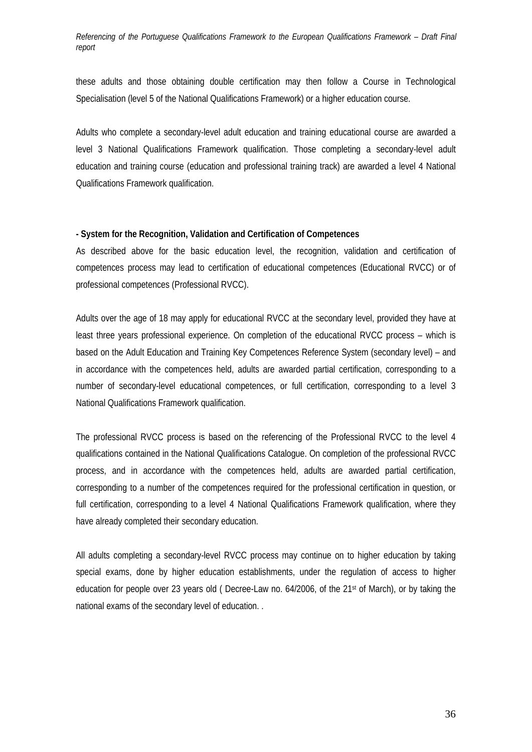these adults and those obtaining double certification may then follow a Course in Technological Specialisation (level 5 of the National Qualifications Framework) or a higher education course.

Adults who complete a secondary-level adult education and training educational course are awarded a level 3 National Qualifications Framework qualification. Those completing a secondary-level adult education and training course (education and professional training track) are awarded a level 4 National Qualifications Framework qualification.

#### **- System for the Recognition, Validation and Certification of Competences**

As described above for the basic education level, the recognition, validation and certification of competences process may lead to certification of educational competences (Educational RVCC) or of professional competences (Professional RVCC).

Adults over the age of 18 may apply for educational RVCC at the secondary level, provided they have at least three years professional experience. On completion of the educational RVCC process – which is based on the Adult Education and Training Key Competences Reference System (secondary level) – and in accordance with the competences held, adults are awarded partial certification, corresponding to a number of secondary-level educational competences, or full certification, corresponding to a level 3 National Qualifications Framework qualification.

The professional RVCC process is based on the referencing of the Professional RVCC to the level 4 qualifications contained in the National Qualifications Catalogue. On completion of the professional RVCC process, and in accordance with the competences held, adults are awarded partial certification, corresponding to a number of the competences required for the professional certification in question, or full certification, corresponding to a level 4 National Qualifications Framework qualification, where they have already completed their secondary education.

All adults completing a secondary-level RVCC process may continue on to higher education by taking special exams, done by higher education establishments, under the regulation of access to higher education for people over 23 years old (Decree-Law no. 64/2006, of the 21<sup>st</sup> of March), or by taking the national exams of the secondary level of education. .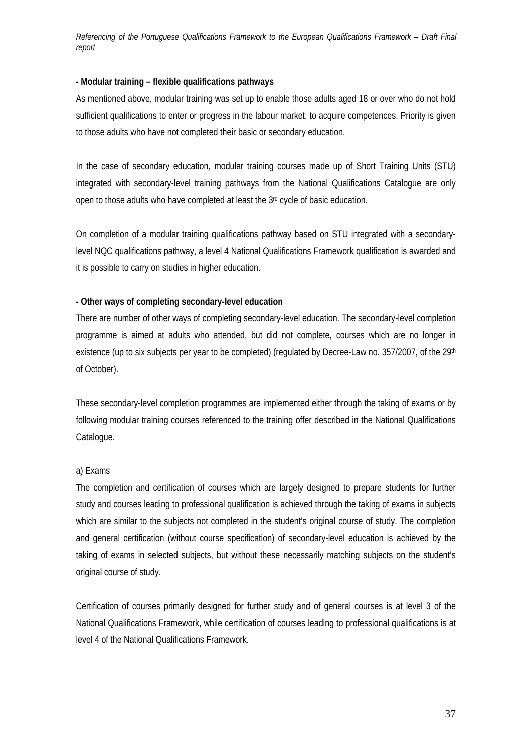## **- Modular training – flexible qualifications pathways**

As mentioned above, modular training was set up to enable those adults aged 18 or over who do not hold sufficient qualifications to enter or progress in the labour market, to acquire competences. Priority is given to those adults who have not completed their basic or secondary education.

In the case of secondary education, modular training courses made up of Short Training Units (STU) integrated with secondary-level training pathways from the National Qualifications Catalogue are only open to those adults who have completed at least the 3<sup>rd</sup> cycle of basic education.

On completion of a modular training qualifications pathway based on STU integrated with a secondarylevel NQC qualifications pathway, a level 4 National Qualifications Framework qualification is awarded and it is possible to carry on studies in higher education.

### **- Other ways of completing secondary-level education**

There are number of other ways of completing secondary-level education. The secondary-level completion programme is aimed at adults who attended, but did not complete, courses which are no longer in existence (up to six subjects per year to be completed) (regulated by Decree-Law no. 357/2007, of the 29<sup>th</sup> of October).

These secondary-level completion programmes are implemented either through the taking of exams or by following modular training courses referenced to the training offer described in the National Qualifications Catalogue.

#### a) Exams

The completion and certification of courses which are largely designed to prepare students for further study and courses leading to professional qualification is achieved through the taking of exams in subjects which are similar to the subjects not completed in the student's original course of study. The completion and general certification (without course specification) of secondary-level education is achieved by the taking of exams in selected subjects, but without these necessarily matching subjects on the student's original course of study.

Certification of courses primarily designed for further study and of general courses is at level 3 of the National Qualifications Framework, while certification of courses leading to professional qualifications is at level 4 of the National Qualifications Framework.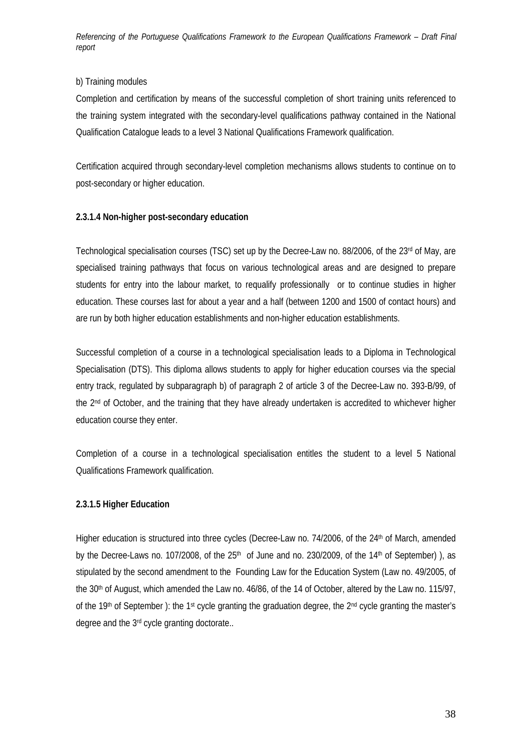# b) Training modules

Completion and certification by means of the successful completion of short training units referenced to the training system integrated with the secondary-level qualifications pathway contained in the National Qualification Catalogue leads to a level 3 National Qualifications Framework qualification.

Certification acquired through secondary-level completion mechanisms allows students to continue on to post-secondary or higher education.

# **2.3.1.4 Non-higher post-secondary education**

Technological specialisation courses (TSC) set up by the Decree-Law no. 88/2006, of the 23<sup>rd</sup> of May, are specialised training pathways that focus on various technological areas and are designed to prepare students for entry into the labour market, to requalify professionally or to continue studies in higher education. These courses last for about a year and a half (between 1200 and 1500 of contact hours) and are run by both higher education establishments and non-higher education establishments.

Successful completion of a course in a technological specialisation leads to a Diploma in Technological Specialisation (DTS). This diploma allows students to apply for higher education courses via the special entry track, regulated by subparagraph b) of paragraph 2 of article 3 of the Decree-Law no. 393-B/99, of the 2nd of October, and the training that they have already undertaken is accredited to whichever higher education course they enter.

Completion of a course in a technological specialisation entitles the student to a level 5 National Qualifications Framework qualification.

# **2.3.1.5 Higher Education**

Higher education is structured into three cycles (Decree-Law no. 74/2006, of the 24th of March, amended by the Decree-Laws no. 107/2008, of the  $25<sup>th</sup>$  of June and no. 230/2009, of the 14<sup>th</sup> of September) ), as stipulated by the second amendment to the Founding Law for the Education System (Law no. 49/2005, of the 30<sup>th</sup> of August, which amended the Law no. 46/86, of the 14 of October, altered by the Law no. 115/97, of the 19<sup>th</sup> of September): the 1<sup>st</sup> cycle granting the graduation degree, the 2<sup>nd</sup> cycle granting the master's degree and the 3rd cycle granting doctorate..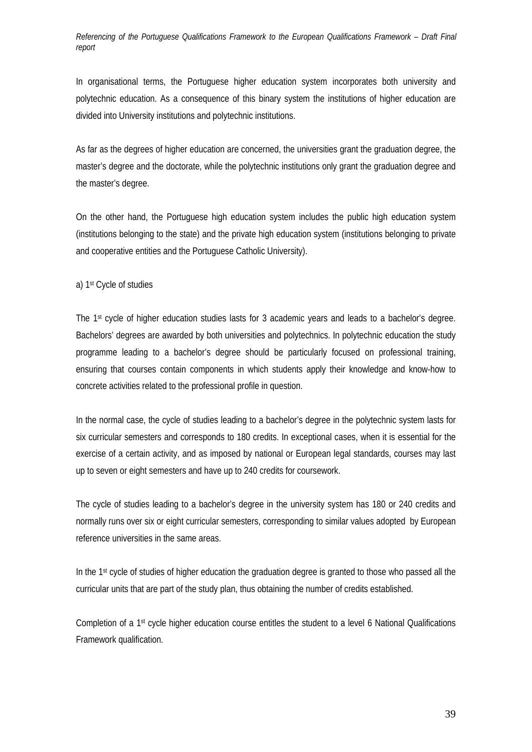In organisational terms, the Portuguese higher education system incorporates both university and polytechnic education. As a consequence of this binary system the institutions of higher education are divided into University institutions and polytechnic institutions.

As far as the degrees of higher education are concerned, the universities grant the graduation degree, the master's degree and the doctorate, while the polytechnic institutions only grant the graduation degree and the master's degree.

On the other hand, the Portuguese high education system includes the public high education system (institutions belonging to the state) and the private high education system (institutions belonging to private and cooperative entities and the Portuguese Catholic University).

a) 1st Cycle of studies

The 1<sup>st</sup> cycle of higher education studies lasts for 3 academic years and leads to a bachelor's degree. Bachelors' degrees are awarded by both universities and polytechnics. In polytechnic education the study programme leading to a bachelor's degree should be particularly focused on professional training, ensuring that courses contain components in which students apply their knowledge and know-how to concrete activities related to the professional profile in question.

In the normal case, the cycle of studies leading to a bachelor's degree in the polytechnic system lasts for six curricular semesters and corresponds to 180 credits. In exceptional cases, when it is essential for the exercise of a certain activity, and as imposed by national or European legal standards, courses may last up to seven or eight semesters and have up to 240 credits for coursework.

The cycle of studies leading to a bachelor's degree in the university system has 180 or 240 credits and normally runs over six or eight curricular semesters, corresponding to similar values adopted by European reference universities in the same areas.

In the 1<sup>st</sup> cycle of studies of higher education the graduation degree is granted to those who passed all the curricular units that are part of the study plan, thus obtaining the number of credits established.

Completion of a 1st cycle higher education course entitles the student to a level 6 National Qualifications Framework qualification.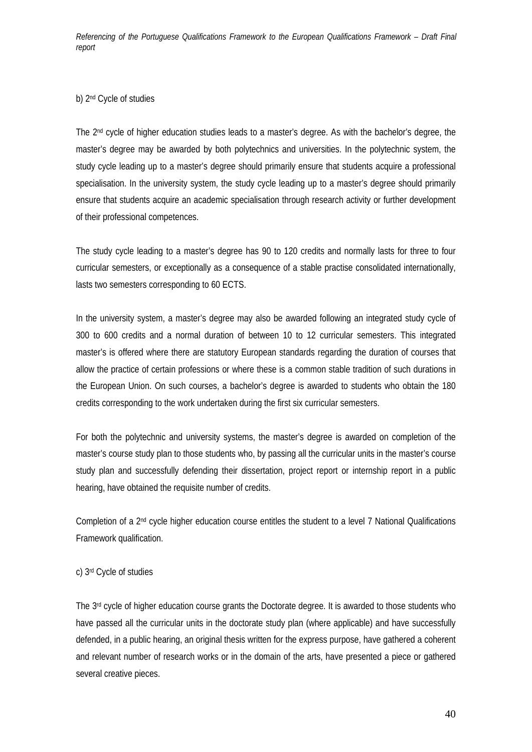## b) 2<sup>nd</sup> Cycle of studies

The 2nd cycle of higher education studies leads to a master's degree. As with the bachelor's degree, the master's degree may be awarded by both polytechnics and universities. In the polytechnic system, the study cycle leading up to a master's degree should primarily ensure that students acquire a professional specialisation. In the university system, the study cycle leading up to a master's degree should primarily ensure that students acquire an academic specialisation through research activity or further development of their professional competences.

The study cycle leading to a master's degree has 90 to 120 credits and normally lasts for three to four curricular semesters, or exceptionally as a consequence of a stable practise consolidated internationally, lasts two semesters corresponding to 60 ECTS.

In the university system, a master's degree may also be awarded following an integrated study cycle of 300 to 600 credits and a normal duration of between 10 to 12 curricular semesters. This integrated master's is offered where there are statutory European standards regarding the duration of courses that allow the practice of certain professions or where these is a common stable tradition of such durations in the European Union. On such courses, a bachelor's degree is awarded to students who obtain the 180 credits corresponding to the work undertaken during the first six curricular semesters.

For both the polytechnic and university systems, the master's degree is awarded on completion of the master's course study plan to those students who, by passing all the curricular units in the master's course study plan and successfully defending their dissertation, project report or internship report in a public hearing, have obtained the requisite number of credits.

Completion of a 2nd cycle higher education course entitles the student to a level 7 National Qualifications Framework qualification.

#### c) 3rd Cycle of studies

The 3<sup>rd</sup> cycle of higher education course grants the Doctorate degree. It is awarded to those students who have passed all the curricular units in the doctorate study plan (where applicable) and have successfully defended, in a public hearing, an original thesis written for the express purpose, have gathered a coherent and relevant number of research works or in the domain of the arts, have presented a piece or gathered several creative pieces.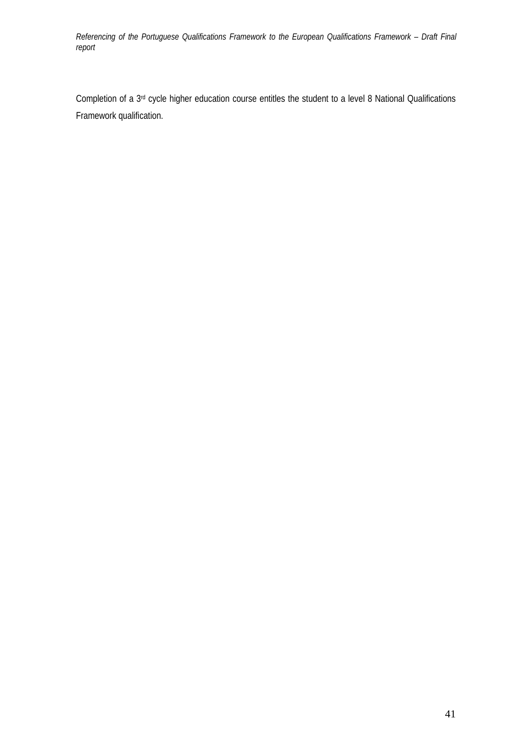Completion of a 3rd cycle higher education course entitles the student to a level 8 National Qualifications Framework qualification.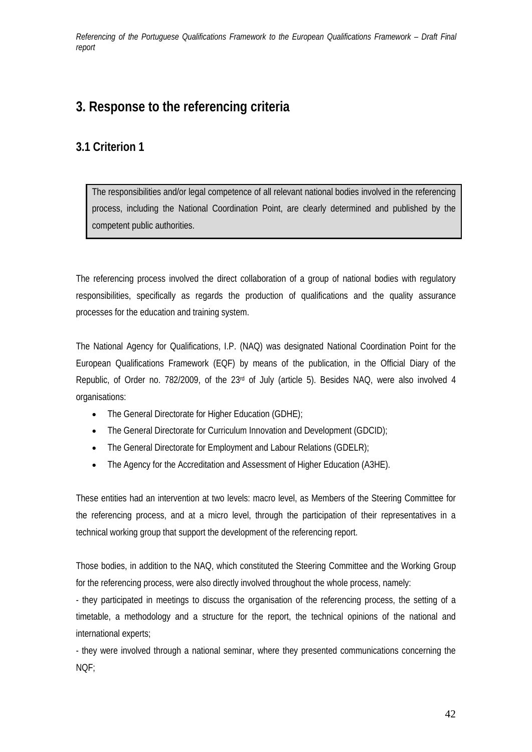# **3. Response to the referencing criteria**

# **3.1 Criterion 1**

The responsibilities and/or legal competence of all relevant national bodies involved in the referencing process, including the National Coordination Point, are clearly determined and published by the competent public authorities.

The referencing process involved the direct collaboration of a group of national bodies with regulatory responsibilities, specifically as regards the production of qualifications and the quality assurance processes for the education and training system.

The National Agency for Qualifications, I.P. (NAQ) was designated National Coordination Point for the European Qualifications Framework (EQF) by means of the publication, in the Official Diary of the Republic, of Order no. 782/2009, of the 23rd of July (article 5). Besides NAQ, were also involved 4 organisations:

- The General Directorate for Higher Education (GDHE);
- The General Directorate for Curriculum Innovation and Development (GDCID);
- The General Directorate for Employment and Labour Relations (GDELR);
- The Agency for the Accreditation and Assessment of Higher Education (A3HE).

These entities had an intervention at two levels: macro level, as Members of the Steering Committee for the referencing process, and at a micro level, through the participation of their representatives in a technical working group that support the development of the referencing report.

Those bodies, in addition to the NAQ, which constituted the Steering Committee and the Working Group for the referencing process, were also directly involved throughout the whole process, namely:

- they participated in meetings to discuss the organisation of the referencing process, the setting of a timetable, a methodology and a structure for the report, the technical opinions of the national and international experts;

- they were involved through a national seminar, where they presented communications concerning the NQF;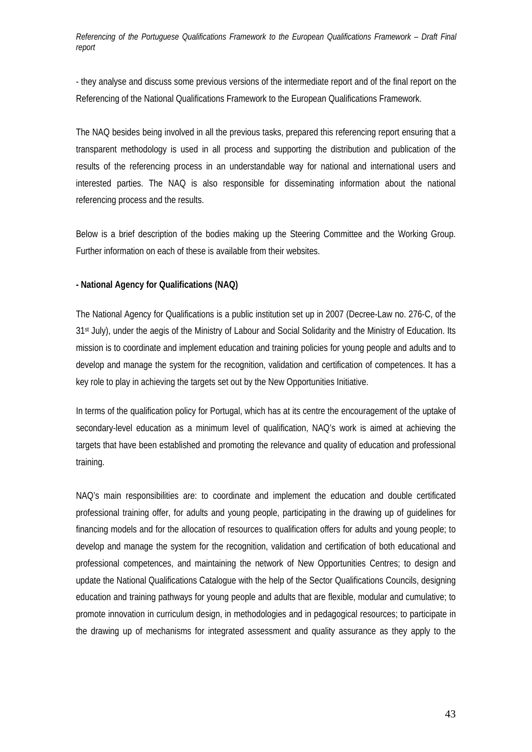- they analyse and discuss some previous versions of the intermediate report and of the final report on the Referencing of the National Qualifications Framework to the European Qualifications Framework.

The NAQ besides being involved in all the previous tasks, prepared this referencing report ensuring that a transparent methodology is used in all process and supporting the distribution and publication of the results of the referencing process in an understandable way for national and international users and interested parties. The NAQ is also responsible for disseminating information about the national referencing process and the results.

Below is a brief description of the bodies making up the Steering Committee and the Working Group. Further information on each of these is available from their websites.

## **- National Agency for Qualifications (NAQ)**

The National Agency for Qualifications is a public institution set up in 2007 (Decree-Law no. 276-C, of the 31st July), under the aegis of the Ministry of Labour and Social Solidarity and the Ministry of Education. Its mission is to coordinate and implement education and training policies for young people and adults and to develop and manage the system for the recognition, validation and certification of competences. It has a key role to play in achieving the targets set out by the New Opportunities Initiative.

In terms of the qualification policy for Portugal, which has at its centre the encouragement of the uptake of secondary-level education as a minimum level of qualification, NAQ's work is aimed at achieving the targets that have been established and promoting the relevance and quality of education and professional training.

NAQ's main responsibilities are: to coordinate and implement the education and double certificated professional training offer, for adults and young people, participating in the drawing up of guidelines for financing models and for the allocation of resources to qualification offers for adults and young people; to develop and manage the system for the recognition, validation and certification of both educational and professional competences, and maintaining the network of New Opportunities Centres; to design and update the National Qualifications Catalogue with the help of the Sector Qualifications Councils, designing education and training pathways for young people and adults that are flexible, modular and cumulative; to promote innovation in curriculum design, in methodologies and in pedagogical resources; to participate in the drawing up of mechanisms for integrated assessment and quality assurance as they apply to the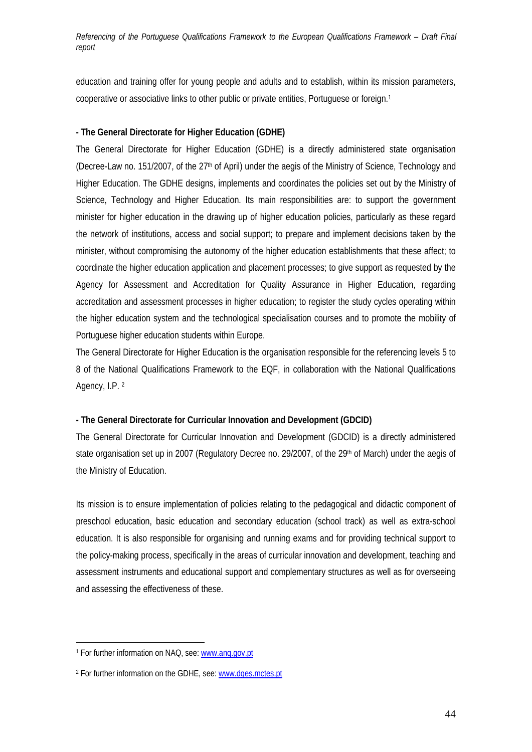education and training offer for young people and adults and to establish, within its mission parameters, cooperative or associative links to other public or private entities, Portuguese or foreign.1

### **- The General Directorate for Higher Education (GDHE)**

The General Directorate for Higher Education (GDHE) is a directly administered state organisation (Decree-Law no. 151/2007, of the 27<sup>th</sup> of April) under the aegis of the Ministry of Science, Technology and Higher Education. The GDHE designs, implements and coordinates the policies set out by the Ministry of Science, Technology and Higher Education. Its main responsibilities are: to support the government minister for higher education in the drawing up of higher education policies, particularly as these regard the network of institutions, access and social support; to prepare and implement decisions taken by the minister, without compromising the autonomy of the higher education establishments that these affect; to coordinate the higher education application and placement processes; to give support as requested by the Agency for Assessment and Accreditation for Quality Assurance in Higher Education, regarding accreditation and assessment processes in higher education; to register the study cycles operating within the higher education system and the technological specialisation courses and to promote the mobility of Portuguese higher education students within Europe.

The General Directorate for Higher Education is the organisation responsible for the referencing levels 5 to 8 of the National Qualifications Framework to the EQF, in collaboration with the National Qualifications Agency, I.P. 2

#### **- The General Directorate for Curricular Innovation and Development (GDCID)**

The General Directorate for Curricular Innovation and Development (GDCID) is a directly administered state organisation set up in 2007 (Regulatory Decree no. 29/2007, of the 29th of March) under the aegis of the Ministry of Education.

Its mission is to ensure implementation of policies relating to the pedagogical and didactic component of preschool education, basic education and secondary education (school track) as well as extra-school education. It is also responsible for organising and running exams and for providing technical support to the policy-making process, specifically in the areas of curricular innovation and development, teaching and assessment instruments and educational support and complementary structures as well as for overseeing and assessing the effectiveness of these.

<u>.</u>

<sup>1</sup> For further information on NAQ, see: www.anq.gov.pt

<sup>2</sup> For further information on the GDHE, see: www.dges.mctes.pt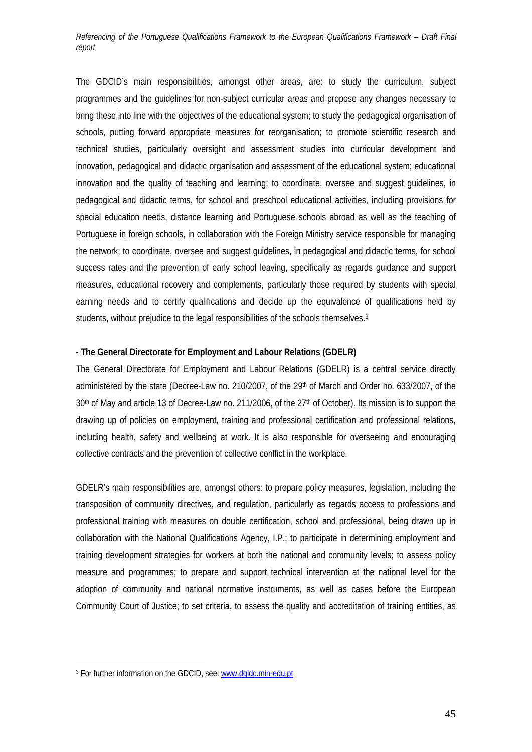The GDCID's main responsibilities, amongst other areas, are: to study the curriculum, subject programmes and the guidelines for non-subject curricular areas and propose any changes necessary to bring these into line with the objectives of the educational system; to study the pedagogical organisation of schools, putting forward appropriate measures for reorganisation; to promote scientific research and technical studies, particularly oversight and assessment studies into curricular development and innovation, pedagogical and didactic organisation and assessment of the educational system; educational innovation and the quality of teaching and learning; to coordinate, oversee and suggest guidelines, in pedagogical and didactic terms, for school and preschool educational activities, including provisions for special education needs, distance learning and Portuguese schools abroad as well as the teaching of Portuguese in foreign schools, in collaboration with the Foreign Ministry service responsible for managing the network; to coordinate, oversee and suggest guidelines, in pedagogical and didactic terms, for school success rates and the prevention of early school leaving, specifically as regards guidance and support measures, educational recovery and complements, particularly those required by students with special earning needs and to certify qualifications and decide up the equivalence of qualifications held by students, without prejudice to the legal responsibilities of the schools themselves.3

#### **- The General Directorate for Employment and Labour Relations (GDELR)**

The General Directorate for Employment and Labour Relations (GDELR) is a central service directly administered by the state (Decree-Law no. 210/2007, of the 29<sup>th</sup> of March and Order no. 633/2007, of the  $30<sup>th</sup>$  of May and article 13 of Decree-Law no. 211/2006, of the 27<sup>th</sup> of October). Its mission is to support the drawing up of policies on employment, training and professional certification and professional relations, including health, safety and wellbeing at work. It is also responsible for overseeing and encouraging collective contracts and the prevention of collective conflict in the workplace.

GDELR's main responsibilities are, amongst others: to prepare policy measures, legislation, including the transposition of community directives, and regulation, particularly as regards access to professions and professional training with measures on double certification, school and professional, being drawn up in collaboration with the National Qualifications Agency, I.P.; to participate in determining employment and training development strategies for workers at both the national and community levels; to assess policy measure and programmes; to prepare and support technical intervention at the national level for the adoption of community and national normative instruments, as well as cases before the European Community Court of Justice; to set criteria, to assess the quality and accreditation of training entities, as

1

<sup>3</sup> For further information on the GDCID, see: www.dgidc.min-edu.pt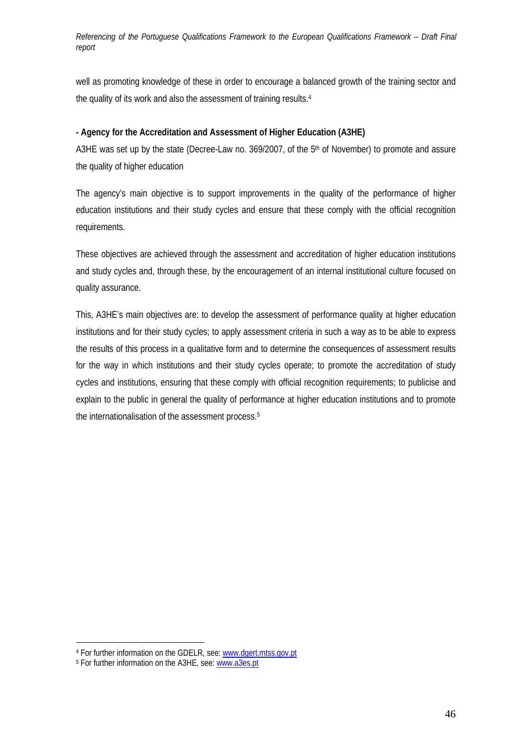well as promoting knowledge of these in order to encourage a balanced growth of the training sector and the quality of its work and also the assessment of training results.4

# **- Agency for the Accreditation and Assessment of Higher Education (A3HE)**

A3HE was set up by the state (Decree-Law no. 369/2007, of the 5<sup>th</sup> of November) to promote and assure the quality of higher education

The agency's main objective is to support improvements in the quality of the performance of higher education institutions and their study cycles and ensure that these comply with the official recognition requirements.

These objectives are achieved through the assessment and accreditation of higher education institutions and study cycles and, through these, by the encouragement of an internal institutional culture focused on quality assurance.

This, A3HE's main objectives are: to develop the assessment of performance quality at higher education institutions and for their study cycles; to apply assessment criteria in such a way as to be able to express the results of this process in a qualitative form and to determine the consequences of assessment results for the way in which institutions and their study cycles operate; to promote the accreditation of study cycles and institutions, ensuring that these comply with official recognition requirements; to publicise and explain to the public in general the quality of performance at higher education institutions and to promote the internationalisation of the assessment process.<sup>5</sup>

<u>.</u>

<sup>4</sup> For further information on the GDELR, see: www.dgert.mtss.gov.pt

<sup>5</sup> For further information on the A3HE, see: www.a3es.pt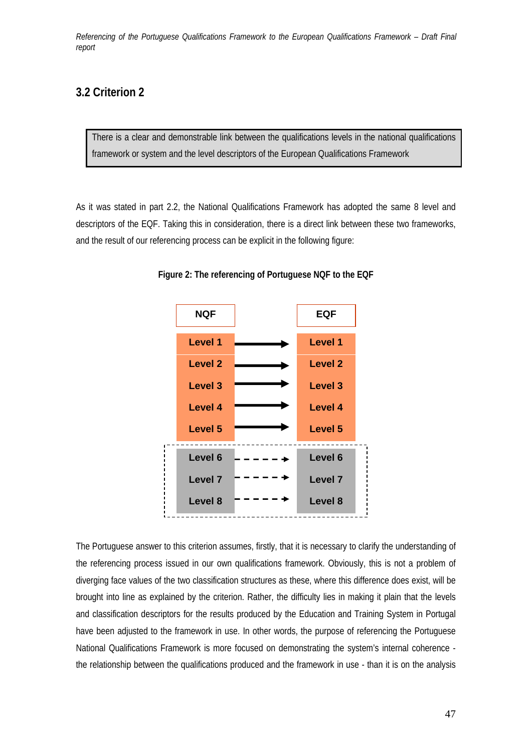# **3.2 Criterion 2**

There is a clear and demonstrable link between the qualifications levels in the national qualifications framework or system and the level descriptors of the European Qualifications Framework

As it was stated in part 2.2, the National Qualifications Framework has adopted the same 8 level and descriptors of the EQF. Taking this in consideration, there is a direct link between these two frameworks, and the result of our referencing process can be explicit in the following figure:

| <b>NQF</b>          |  | <b>EQF</b>     |  |
|---------------------|--|----------------|--|
| Level 1             |  | <b>Level 1</b> |  |
| <b>Level 2</b>      |  | <b>Level 2</b> |  |
| Level 3             |  | Level 3        |  |
| <b>Level 4</b>      |  | <b>Level 4</b> |  |
| <b>Level 5</b>      |  | Level 5        |  |
| ı<br>Level 6        |  | Level 6        |  |
| Level <sub>7</sub>  |  | Level 7        |  |
| <b>Level 8</b><br>п |  | Level 8        |  |

**Figure 2: The referencing of Portuguese NQF to the EQF** 

The Portuguese answer to this criterion assumes, firstly, that it is necessary to clarify the understanding of the referencing process issued in our own qualifications framework. Obviously, this is not a problem of diverging face values of the two classification structures as these, where this difference does exist, will be brought into line as explained by the criterion. Rather, the difficulty lies in making it plain that the levels and classification descriptors for the results produced by the Education and Training System in Portugal have been adjusted to the framework in use. In other words, the purpose of referencing the Portuguese National Qualifications Framework is more focused on demonstrating the system's internal coherence the relationship between the qualifications produced and the framework in use - than it is on the analysis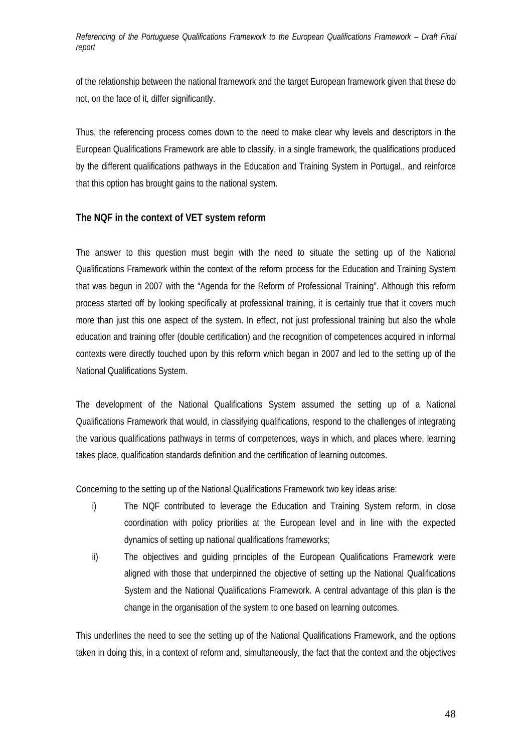of the relationship between the national framework and the target European framework given that these do not, on the face of it, differ significantly.

Thus, the referencing process comes down to the need to make clear why levels and descriptors in the European Qualifications Framework are able to classify, in a single framework, the qualifications produced by the different qualifications pathways in the Education and Training System in Portugal., and reinforce that this option has brought gains to the national system.

# **The NQF in the context of VET system reform**

The answer to this question must begin with the need to situate the setting up of the National Qualifications Framework within the context of the reform process for the Education and Training System that was begun in 2007 with the "Agenda for the Reform of Professional Training". Although this reform process started off by looking specifically at professional training, it is certainly true that it covers much more than just this one aspect of the system. In effect, not just professional training but also the whole education and training offer (double certification) and the recognition of competences acquired in informal contexts were directly touched upon by this reform which began in 2007 and led to the setting up of the National Qualifications System.

The development of the National Qualifications System assumed the setting up of a National Qualifications Framework that would, in classifying qualifications, respond to the challenges of integrating the various qualifications pathways in terms of competences, ways in which, and places where, learning takes place, qualification standards definition and the certification of learning outcomes.

Concerning to the setting up of the National Qualifications Framework two key ideas arise:

- i) The NQF contributed to leverage the Education and Training System reform, in close coordination with policy priorities at the European level and in line with the expected dynamics of setting up national qualifications frameworks;
- ii) The objectives and guiding principles of the European Qualifications Framework were aligned with those that underpinned the objective of setting up the National Qualifications System and the National Qualifications Framework. A central advantage of this plan is the change in the organisation of the system to one based on learning outcomes.

This underlines the need to see the setting up of the National Qualifications Framework, and the options taken in doing this, in a context of reform and, simultaneously, the fact that the context and the objectives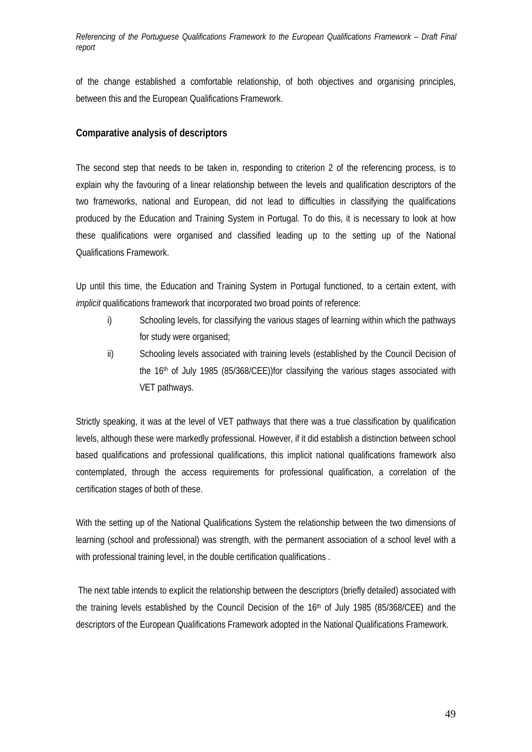of the change established a comfortable relationship, of both objectives and organising principles, between this and the European Qualifications Framework.

## **Comparative analysis of descriptors**

The second step that needs to be taken in, responding to criterion 2 of the referencing process, is to explain why the favouring of a linear relationship between the levels and qualification descriptors of the two frameworks, national and European, did not lead to difficulties in classifying the qualifications produced by the Education and Training System in Portugal. To do this, it is necessary to look at how these qualifications were organised and classified leading up to the setting up of the National Qualifications Framework.

Up until this time, the Education and Training System in Portugal functioned, to a certain extent, with *implicit* qualifications framework that incorporated two broad points of reference:

- i) Schooling levels, for classifying the various stages of learning within which the pathways for study were organised;
- ii) Schooling levels associated with training levels (established by the Council Decision of the 16<sup>th</sup> of July 1985 (85/368/CEE))for classifying the various stages associated with VET pathways.

Strictly speaking, it was at the level of VET pathways that there was a true classification by qualification levels, although these were markedly professional. However, if it did establish a distinction between school based qualifications and professional qualifications, this implicit national qualifications framework also contemplated, through the access requirements for professional qualification, a correlation of the certification stages of both of these.

With the setting up of the National Qualifications System the relationship between the two dimensions of learning (school and professional) was strength, with the permanent association of a school level with a with professional training level, in the double certification qualifications .

 The next table intends to explicit the relationship between the descriptors (briefly detailed) associated with the training levels established by the Council Decision of the  $16<sup>th</sup>$  of July 1985 (85/368/CEE) and the descriptors of the European Qualifications Framework adopted in the National Qualifications Framework.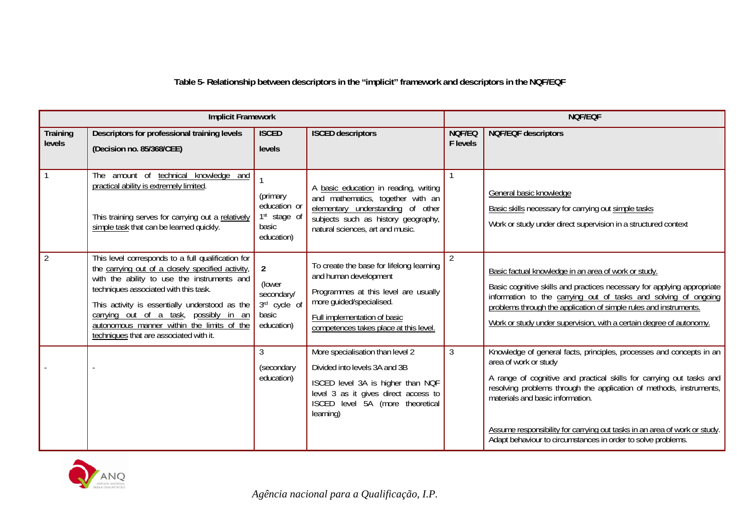**Table 5- Relationship between descriptors in the "implicit" framework and descriptors in the NQF/EQF** 

| <b>Implicit Framework</b> |                                                                                                                                                                                                                                                                                                                                                                                      |                                                                               |                                                                                                                                                                                                                 |                    | NQF/EQF                                                                                                                                                                                                                                                                                                                                                                                                                       |  |  |
|---------------------------|--------------------------------------------------------------------------------------------------------------------------------------------------------------------------------------------------------------------------------------------------------------------------------------------------------------------------------------------------------------------------------------|-------------------------------------------------------------------------------|-----------------------------------------------------------------------------------------------------------------------------------------------------------------------------------------------------------------|--------------------|-------------------------------------------------------------------------------------------------------------------------------------------------------------------------------------------------------------------------------------------------------------------------------------------------------------------------------------------------------------------------------------------------------------------------------|--|--|
| Training<br>levels        | Descriptors for professional training levels<br>(Decision no. 85/368/CEE)                                                                                                                                                                                                                                                                                                            | <b>ISCED</b><br>levels                                                        | <b>ISCED</b> descriptors                                                                                                                                                                                        | NQF/EQ<br>F levels | <b>NQF/EQF descriptors</b>                                                                                                                                                                                                                                                                                                                                                                                                    |  |  |
|                           | The amount of technical knowledge and<br>practical ability is extremely limited.<br>This training serves for carrying out a relatively<br>simple task that can be learned quickly.                                                                                                                                                                                                   | (primary<br>education or<br>1st stage of<br>basic<br>education)               | A basic education in reading, writing<br>and mathematics, together with an<br>elementary understanding of other<br>subjects such as history geography,<br>natural sciences, art and music.                      |                    | General basic knowledge<br>Basic skills necessary for carrying out simple tasks<br>Work or study under direct supervision in a structured context                                                                                                                                                                                                                                                                             |  |  |
| $\overline{2}$            | This level corresponds to a full qualification for<br>the carrying out of a closely specified activity,<br>with the ability to use the instruments and<br>techniques associated with this task.<br>This activity is essentially understood as the<br>carrying out of a task, possibly in an<br>autonomous manner within the limits of the<br>techniques that are associated with it. | $\overline{2}$<br>(lower<br>secondary/<br>3rd cycle of<br>basic<br>education) | To create the base for lifelong learning<br>and human development<br>Programmes at this level are usually<br>more guided/specialised.<br>Full implementation of basic<br>competences takes place at this level. | $\overline{2}$     | Basic factual knowledge in an area of work or study.<br>Basic cognitive skills and practices necessary for applying appropriate<br>information to the carrying out of tasks and solving of ongoing<br>problems through the application of simple rules and instruments.<br>Work or study under supervision, with a certain degree of autonomy.                                                                                |  |  |
|                           |                                                                                                                                                                                                                                                                                                                                                                                      | 3<br>(secondary<br>education)                                                 | More specialisation than level 2<br>Divided into levels 3A and 3B<br>ISCED level 3A is higher than NQF<br>level 3 as it gives direct access to<br>ISCED level 5A (more theoretical<br>learning)                 | $\mathfrak{Z}$     | Knowledge of general facts, principles, processes and concepts in an<br>area of work or study<br>A range of cognitive and practical skills for carrying out tasks and<br>resolving problems through the application of methods, instruments,<br>materials and basic information.<br>Assume responsibility for carrying out tasks in an area of work or study.<br>Adapt behaviour to circumstances in order to solve problems. |  |  |

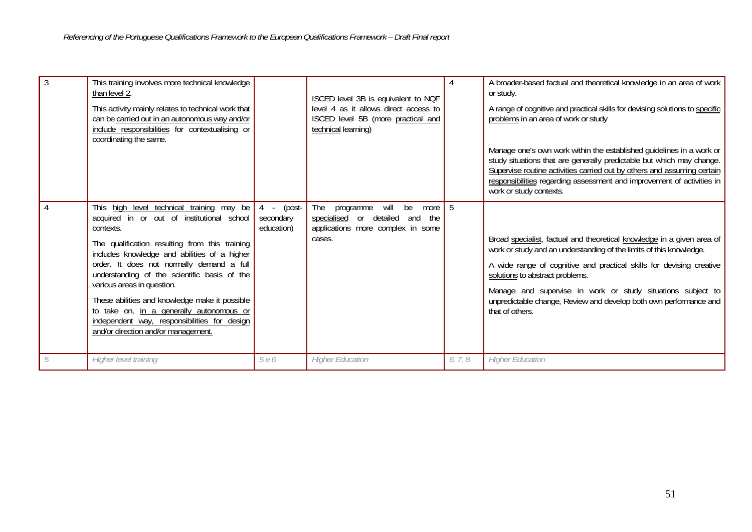|   | This high level technical training may be<br>acquired in or out of institutional school<br>contexts.<br>The qualification resulting from this training<br>includes knowledge and abilities of a higher<br>order. It does not normally demand a full | (post-<br>$4 -$<br>secondary<br>education) | The<br>programme<br>specialised<br>detailed<br>the<br>or<br>and<br>applications more complex in some<br>cases. |         | Broad specialist, factual and theoretical knowledge in a given area of<br>work or study and an understanding of the limits of this knowledge.                                                                                                                  |
|---|-----------------------------------------------------------------------------------------------------------------------------------------------------------------------------------------------------------------------------------------------------|--------------------------------------------|----------------------------------------------------------------------------------------------------------------|---------|----------------------------------------------------------------------------------------------------------------------------------------------------------------------------------------------------------------------------------------------------------------|
|   | understanding of the scientific basis of the<br>various areas in question.<br>These abilities and knowledge make it possible<br>to take on, in a generally autonomous or                                                                            |                                            |                                                                                                                |         | A wide range of cognitive and practical skills for devising creative<br>solutions to abstract problems.<br>Manage and supervise in work or study situations subject to<br>unpredictable change, Review and develop both own performance and<br>that of others. |
| 5 | independent way, responsibilities for design<br>and/or direction and/or management.<br>Higher level training                                                                                                                                        | 5 e 6                                      | <b>Higher Education</b>                                                                                        | 6, 7, 8 | <b>Higher Education</b>                                                                                                                                                                                                                                        |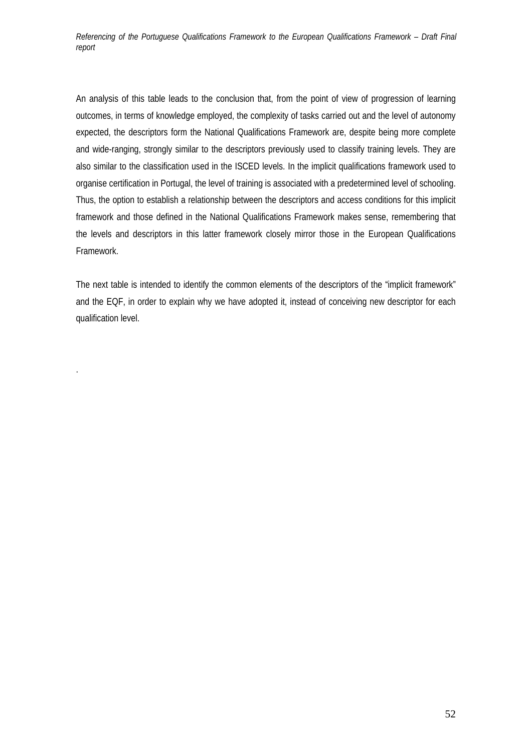An analysis of this table leads to the conclusion that, from the point of view of progression of learning outcomes, in terms of knowledge employed, the complexity of tasks carried out and the level of autonomy expected, the descriptors form the National Qualifications Framework are, despite being more complete and wide-ranging, strongly similar to the descriptors previously used to classify training levels. They are also similar to the classification used in the ISCED levels. In the implicit qualifications framework used to organise certification in Portugal, the level of training is associated with a predetermined level of schooling. Thus, the option to establish a relationship between the descriptors and access conditions for this implicit framework and those defined in the National Qualifications Framework makes sense, remembering that the levels and descriptors in this latter framework closely mirror those in the European Qualifications Framework.

The next table is intended to identify the common elements of the descriptors of the "implicit framework" and the EQF, in order to explain why we have adopted it, instead of conceiving new descriptor for each qualification level.

.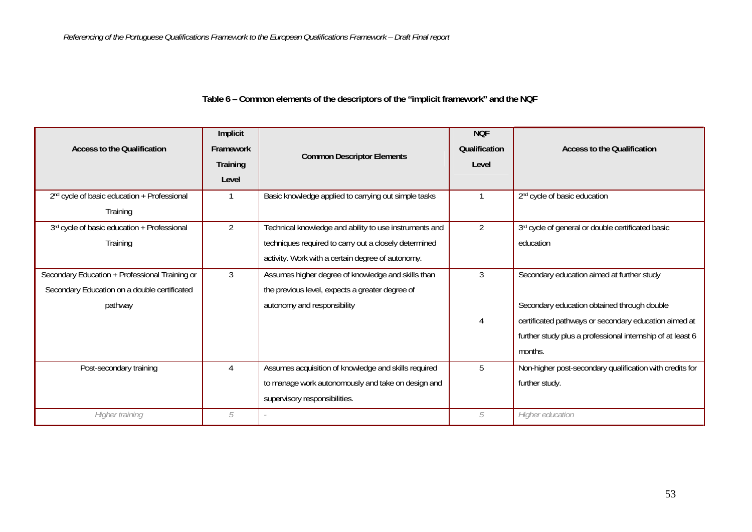# **Table 6 – Common elements of the descriptors of the "implicit framework" and the NQF**

| <b>Access to the Qualification</b>                                                                        | Implicit<br>Framework<br>Training<br>Level | <b>Common Descriptor Elements</b>                                                                                                                                    | <b>NQF</b><br>Qualification<br>Level | <b>Access to the Qualification</b>                                                                                                                                                                                          |
|-----------------------------------------------------------------------------------------------------------|--------------------------------------------|----------------------------------------------------------------------------------------------------------------------------------------------------------------------|--------------------------------------|-----------------------------------------------------------------------------------------------------------------------------------------------------------------------------------------------------------------------------|
| 2 <sup>nd</sup> cycle of basic education + Professional<br>Training                                       |                                            | Basic knowledge applied to carrying out simple tasks                                                                                                                 |                                      | 2 <sup>nd</sup> cycle of basic education                                                                                                                                                                                    |
| 3rd cycle of basic education + Professional<br>Training                                                   | $\overline{2}$                             | Technical knowledge and ability to use instruments and<br>techniques required to carry out a closely determined<br>activity. Work with a certain degree of autonomy. | $\overline{2}$                       | 3rd cycle of general or double certificated basic<br>education                                                                                                                                                              |
| Secondary Education + Professional Training or<br>Secondary Education on a double certificated<br>pathway | 3                                          | Assumes higher degree of knowledge and skills than<br>the previous level, expects a greater degree of<br>autonomy and responsibility                                 | 3<br>4                               | Secondary education aimed at further study<br>Secondary education obtained through double<br>certificated pathways or secondary education aimed at<br>further study plus a professional internship of at least 6<br>months. |
| Post-secondary training                                                                                   | 4                                          | Assumes acquisition of knowledge and skills required<br>to manage work autonomously and take on design and<br>supervisory responsibilities.                          | 5                                    | Non-higher post-secondary qualification with credits for<br>further study.                                                                                                                                                  |
| Higher training                                                                                           | 5                                          |                                                                                                                                                                      | 5                                    | Higher education                                                                                                                                                                                                            |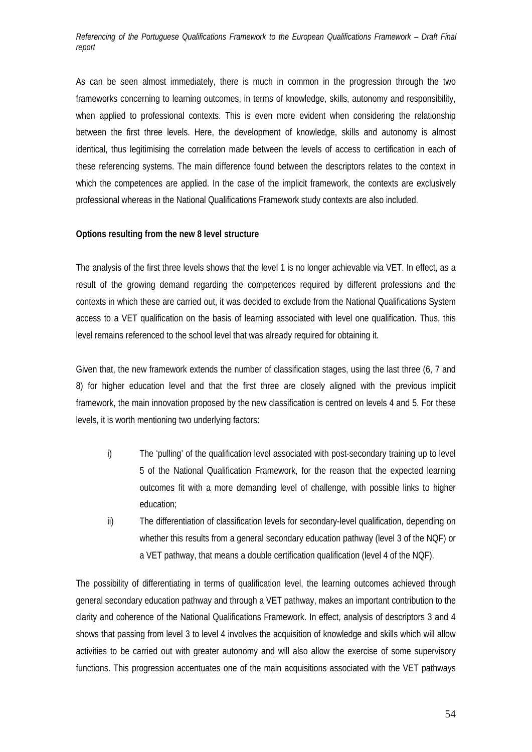As can be seen almost immediately, there is much in common in the progression through the two frameworks concerning to learning outcomes, in terms of knowledge, skills, autonomy and responsibility, when applied to professional contexts. This is even more evident when considering the relationship between the first three levels. Here, the development of knowledge, skills and autonomy is almost identical, thus legitimising the correlation made between the levels of access to certification in each of these referencing systems. The main difference found between the descriptors relates to the context in which the competences are applied. In the case of the implicit framework, the contexts are exclusively professional whereas in the National Qualifications Framework study contexts are also included.

### **Options resulting from the new 8 level structure**

The analysis of the first three levels shows that the level 1 is no longer achievable via VET. In effect, as a result of the growing demand regarding the competences required by different professions and the contexts in which these are carried out, it was decided to exclude from the National Qualifications System access to a VET qualification on the basis of learning associated with level one qualification. Thus, this level remains referenced to the school level that was already required for obtaining it.

Given that, the new framework extends the number of classification stages, using the last three (6, 7 and 8) for higher education level and that the first three are closely aligned with the previous implicit framework, the main innovation proposed by the new classification is centred on levels 4 and 5. For these levels, it is worth mentioning two underlying factors:

- i) The 'pulling' of the qualification level associated with post-secondary training up to level 5 of the National Qualification Framework, for the reason that the expected learning outcomes fit with a more demanding level of challenge, with possible links to higher education;
- ii) The differentiation of classification levels for secondary-level qualification, depending on whether this results from a general secondary education pathway (level 3 of the NQF) or a VET pathway, that means a double certification qualification (level 4 of the NQF).

The possibility of differentiating in terms of qualification level, the learning outcomes achieved through general secondary education pathway and through a VET pathway, makes an important contribution to the clarity and coherence of the National Qualifications Framework. In effect, analysis of descriptors 3 and 4 shows that passing from level 3 to level 4 involves the acquisition of knowledge and skills which will allow activities to be carried out with greater autonomy and will also allow the exercise of some supervisory functions. This progression accentuates one of the main acquisitions associated with the VET pathways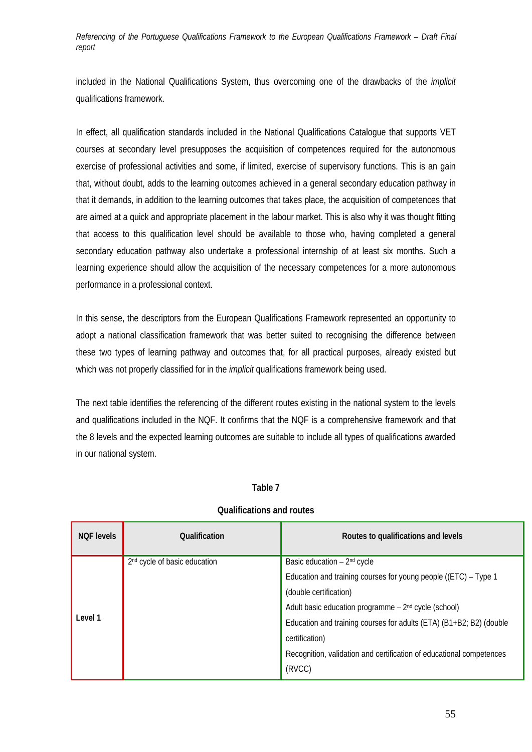included in the National Qualifications System, thus overcoming one of the drawbacks of the *implicit* qualifications framework.

In effect, all qualification standards included in the National Qualifications Catalogue that supports VET courses at secondary level presupposes the acquisition of competences required for the autonomous exercise of professional activities and some, if limited, exercise of supervisory functions. This is an gain that, without doubt, adds to the learning outcomes achieved in a general secondary education pathway in that it demands, in addition to the learning outcomes that takes place, the acquisition of competences that are aimed at a quick and appropriate placement in the labour market. This is also why it was thought fitting that access to this qualification level should be available to those who, having completed a general secondary education pathway also undertake a professional internship of at least six months. Such a learning experience should allow the acquisition of the necessary competences for a more autonomous performance in a professional context.

In this sense, the descriptors from the European Qualifications Framework represented an opportunity to adopt a national classification framework that was better suited to recognising the difference between these two types of learning pathway and outcomes that, for all practical purposes, already existed but which was not properly classified for in the *implicit* qualifications framework being used.

The next table identifies the referencing of the different routes existing in the national system to the levels and qualifications included in the NQF. It confirms that the NQF is a comprehensive framework and that the 8 levels and the expected learning outcomes are suitable to include all types of qualifications awarded in our national system.

| <b>NOF levels</b> | <b>Oualification</b>                     | Routes to qualifications and levels                                                                                                                                                                                                                                                                                                                              |
|-------------------|------------------------------------------|------------------------------------------------------------------------------------------------------------------------------------------------------------------------------------------------------------------------------------------------------------------------------------------------------------------------------------------------------------------|
| Level 1           | 2 <sup>nd</sup> cycle of basic education | Basic education $-2^{nd}$ cycle<br>Education and training courses for young people ((ETC) - Type 1<br>(double certification)<br>Adult basic education programme $-2nd$ cycle (school)<br>Education and training courses for adults (ETA) (B1+B2; B2) (double<br>certification)<br>Recognition, validation and certification of educational competences<br>(RVCC) |

# **Table 7**

# **Qualifications and routes**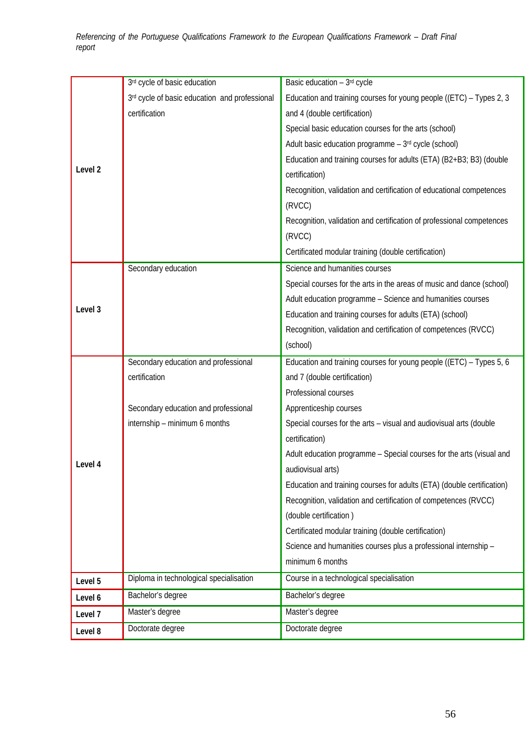|                    | 3rd cycle of basic education                  | Basic education $-3$ <sup>rd</sup> cycle                               |  |  |
|--------------------|-----------------------------------------------|------------------------------------------------------------------------|--|--|
|                    | 3rd cycle of basic education and professional | Education and training courses for young people ((ETC) - Types 2, 3    |  |  |
|                    | certification                                 | and 4 (double certification)                                           |  |  |
|                    |                                               | Special basic education courses for the arts (school)                  |  |  |
|                    |                                               | Adult basic education programme - 3rd cycle (school)                   |  |  |
|                    |                                               | Education and training courses for adults (ETA) (B2+B3; B3) (double    |  |  |
| Level <sub>2</sub> |                                               | certification)                                                         |  |  |
|                    |                                               | Recognition, validation and certification of educational competences   |  |  |
|                    |                                               | (RVCC)                                                                 |  |  |
|                    |                                               | Recognition, validation and certification of professional competences  |  |  |
|                    |                                               | (RVCC)                                                                 |  |  |
|                    |                                               | Certificated modular training (double certification)                   |  |  |
|                    | Secondary education                           | Science and humanities courses                                         |  |  |
|                    |                                               | Special courses for the arts in the areas of music and dance (school)  |  |  |
|                    |                                               | Adult education programme - Science and humanities courses             |  |  |
| Level 3            |                                               | Education and training courses for adults (ETA) (school)               |  |  |
|                    |                                               | Recognition, validation and certification of competences (RVCC)        |  |  |
|                    |                                               | (school)                                                               |  |  |
|                    | Secondary education and professional          | Education and training courses for young people ((ETC) - Types 5, 6    |  |  |
|                    | certification                                 | and 7 (double certification)                                           |  |  |
|                    |                                               | Professional courses                                                   |  |  |
|                    | Secondary education and professional          | Apprenticeship courses                                                 |  |  |
|                    | internship - minimum 6 months                 | Special courses for the arts - visual and audiovisual arts (double     |  |  |
|                    |                                               | certification)                                                         |  |  |
| Level 4            |                                               | Adult education programme - Special courses for the arts (visual and   |  |  |
|                    |                                               | audiovisual arts)                                                      |  |  |
|                    |                                               | Education and training courses for adults (ETA) (double certification) |  |  |
|                    |                                               | Recognition, validation and certification of competences (RVCC)        |  |  |
|                    |                                               | (double certification)                                                 |  |  |
|                    |                                               | Certificated modular training (double certification)                   |  |  |
|                    |                                               | Science and humanities courses plus a professional internship -        |  |  |
|                    |                                               | minimum 6 months                                                       |  |  |
|                    |                                               |                                                                        |  |  |
| Level 5            | Diploma in technological specialisation       | Course in a technological specialisation                               |  |  |
| Level 6            | Bachelor's degree                             | Bachelor's degree                                                      |  |  |
| Level 7            | Master's degree                               | Master's degree<br>Doctorate degree                                    |  |  |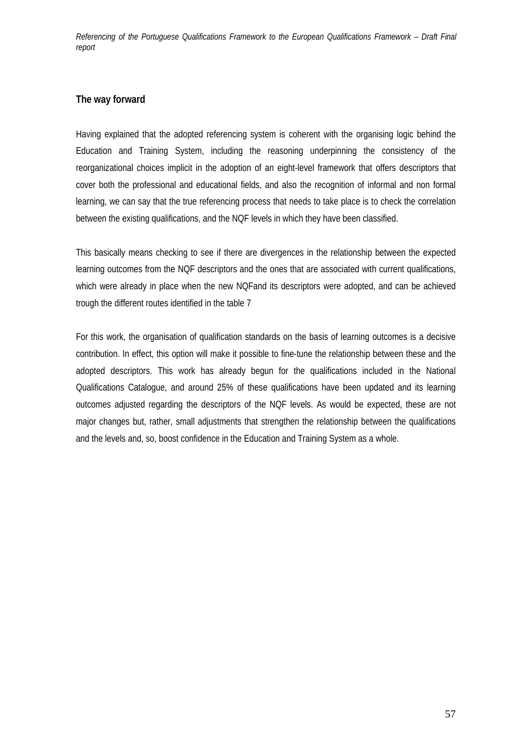## **The way forward**

Having explained that the adopted referencing system is coherent with the organising logic behind the Education and Training System, including the reasoning underpinning the consistency of the reorganizational choices implicit in the adoption of an eight-level framework that offers descriptors that cover both the professional and educational fields, and also the recognition of informal and non formal learning, we can say that the true referencing process that needs to take place is to check the correlation between the existing qualifications, and the NQF levels in which they have been classified.

This basically means checking to see if there are divergences in the relationship between the expected learning outcomes from the NQF descriptors and the ones that are associated with current qualifications, which were already in place when the new NQFand its descriptors were adopted, and can be achieved trough the different routes identified in the table 7

For this work, the organisation of qualification standards on the basis of learning outcomes is a decisive contribution. In effect, this option will make it possible to fine-tune the relationship between these and the adopted descriptors. This work has already begun for the qualifications included in the National Qualifications Catalogue, and around 25% of these qualifications have been updated and its learning outcomes adjusted regarding the descriptors of the NQF levels. As would be expected, these are not major changes but, rather, small adjustments that strengthen the relationship between the qualifications and the levels and, so, boost confidence in the Education and Training System as a whole.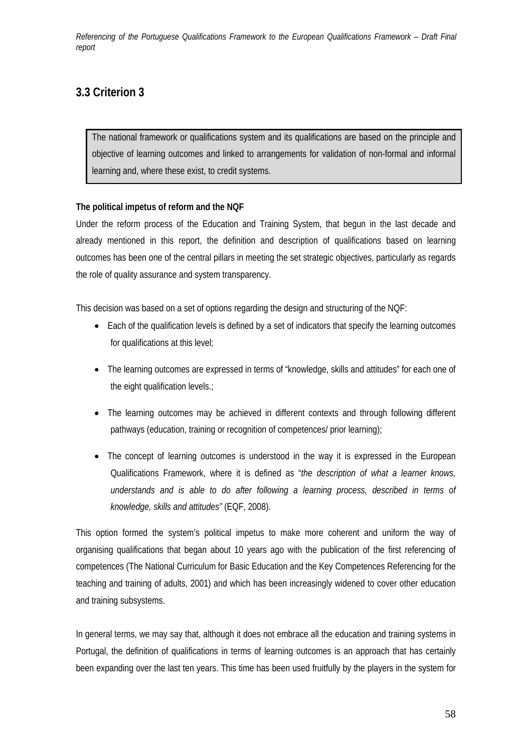# **3.3 Criterion 3**

The national framework or qualifications system and its qualifications are based on the principle and objective of learning outcomes and linked to arrangements for validation of non-formal and informal learning and, where these exist, to credit systems.

# **The political impetus of reform and the NQF**

Under the reform process of the Education and Training System, that begun in the last decade and already mentioned in this report, the definition and description of qualifications based on learning outcomes has been one of the central pillars in meeting the set strategic objectives, particularly as regards the role of quality assurance and system transparency.

This decision was based on a set of options regarding the design and structuring of the NQF:

- Each of the qualification levels is defined by a set of indicators that specify the learning outcomes for qualifications at this level;
- The learning outcomes are expressed in terms of "knowledge, skills and attitudes" for each one of the eight qualification levels.;
- The learning outcomes may be achieved in different contexts and through following different pathways (education, training or recognition of competences/ prior learning);
- The concept of learning outcomes is understood in the way it is expressed in the European Qualifications Framework, where it is defined as "*the description of what a learner knows, understands and is able to do after following a learning process, described in terms of knowledge, skills and attitudes"* (EQF, 2008).

This option formed the system's political impetus to make more coherent and uniform the way of organising qualifications that began about 10 years ago with the publication of the first referencing of competences (The National Curriculum for Basic Education and the Key Competences Referencing for the teaching and training of adults, 2001) and which has been increasingly widened to cover other education and training subsystems.

In general terms, we may say that, although it does not embrace all the education and training systems in Portugal, the definition of qualifications in terms of learning outcomes is an approach that has certainly been expanding over the last ten years. This time has been used fruitfully by the players in the system for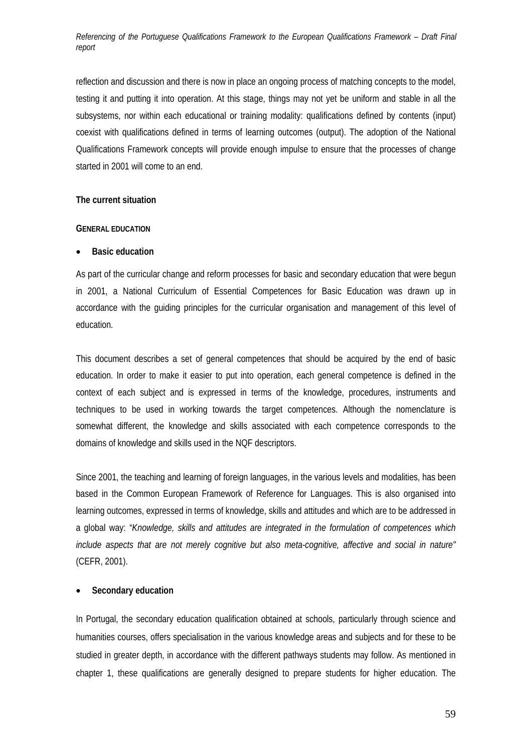reflection and discussion and there is now in place an ongoing process of matching concepts to the model, testing it and putting it into operation. At this stage, things may not yet be uniform and stable in all the subsystems, nor within each educational or training modality: qualifications defined by contents (input) coexist with qualifications defined in terms of learning outcomes (output). The adoption of the National Qualifications Framework concepts will provide enough impulse to ensure that the processes of change started in 2001 will come to an end.

## **The current situation**

### **GENERAL EDUCATION**

## • **Basic education**

As part of the curricular change and reform processes for basic and secondary education that were begun in 2001, a National Curriculum of Essential Competences for Basic Education was drawn up in accordance with the guiding principles for the curricular organisation and management of this level of education.

This document describes a set of general competences that should be acquired by the end of basic education. In order to make it easier to put into operation, each general competence is defined in the context of each subject and is expressed in terms of the knowledge, procedures, instruments and techniques to be used in working towards the target competences. Although the nomenclature is somewhat different, the knowledge and skills associated with each competence corresponds to the domains of knowledge and skills used in the NQF descriptors.

Since 2001, the teaching and learning of foreign languages, in the various levels and modalities, has been based in the Common European Framework of Reference for Languages. This is also organised into learning outcomes, expressed in terms of knowledge, skills and attitudes and which are to be addressed in a global way: "*Knowledge, skills and attitudes are integrated in the formulation of competences which include aspects that are not merely cognitive but also meta-cognitive, affective and social in nature"*  (CEFR, 2001).

## • **Secondary education**

In Portugal, the secondary education qualification obtained at schools, particularly through science and humanities courses, offers specialisation in the various knowledge areas and subjects and for these to be studied in greater depth, in accordance with the different pathways students may follow. As mentioned in chapter 1, these qualifications are generally designed to prepare students for higher education. The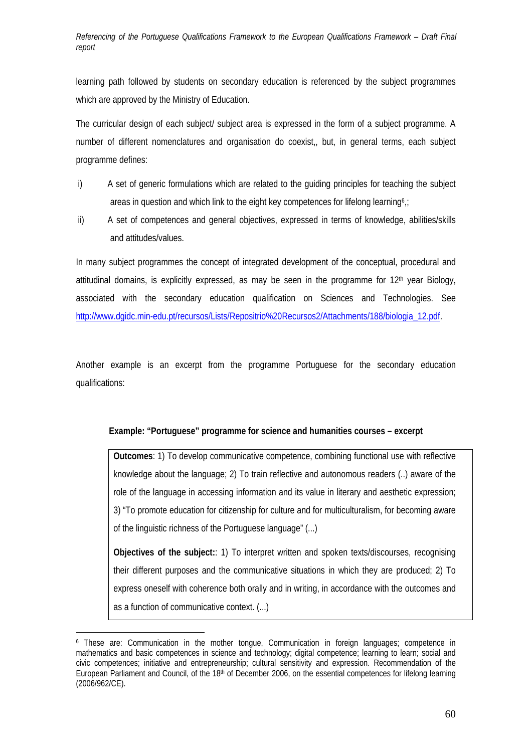learning path followed by students on secondary education is referenced by the subject programmes which are approved by the Ministry of Education.

The curricular design of each subject/ subject area is expressed in the form of a subject programme. A number of different nomenclatures and organisation do coexist,, but, in general terms, each subject programme defines:

- i) A set of generic formulations which are related to the guiding principles for teaching the subject areas in question and which link to the eight key competences for lifelong learning<sup>6</sup>,;
- ii) A set of competences and general objectives, expressed in terms of knowledge, abilities/skills and attitudes/values.

In many subject programmes the concept of integrated development of the conceptual, procedural and attitudinal domains, is explicitly expressed, as may be seen in the programme for  $12<sup>th</sup>$  year Biology, associated with the secondary education qualification on Sciences and Technologies. See http://www.dgidc.min-edu.pt/recursos/Lists/Repositrio%20Recursos2/Attachments/188/biologia\_12.pdf.

Another example is an excerpt from the programme Portuguese for the secondary education qualifications:

## **Example: "Portuguese" programme for science and humanities courses – excerpt**

**Outcomes**: 1) To develop communicative competence, combining functional use with reflective knowledge about the language; 2) To train reflective and autonomous readers (..) aware of the role of the language in accessing information and its value in literary and aesthetic expression; 3) "To promote education for citizenship for culture and for multiculturalism, for becoming aware of the linguistic richness of the Portuguese language" (...)

**Objectives of the subject:**: 1) To interpret written and spoken texts/discourses, recognising their different purposes and the communicative situations in which they are produced; 2) To express oneself with coherence both orally and in writing, in accordance with the outcomes and as a function of communicative context. (...)

1

<sup>6</sup> These are: Communication in the mother tongue, Communication in foreign languages; competence in mathematics and basic competences in science and technology; digital competence; learning to learn; social and civic competences; initiative and entrepreneurship; cultural sensitivity and expression. Recommendation of the European Parliament and Council, of the 18<sup>th</sup> of December 2006, on the essential competences for lifelong learning (2006/962/CE).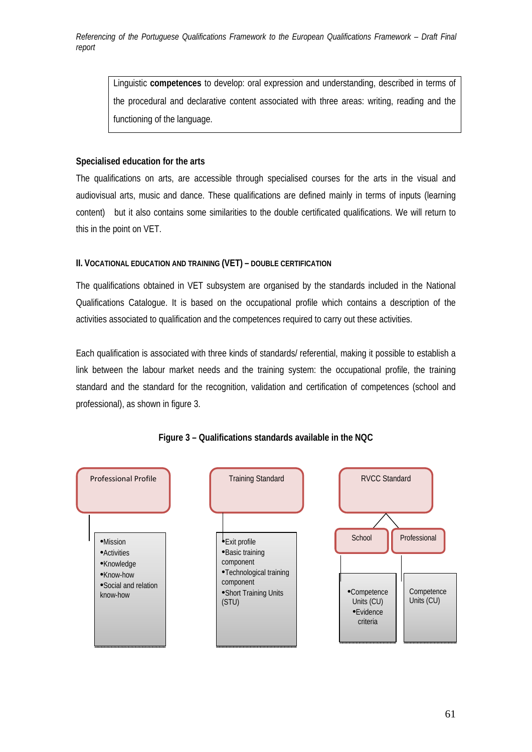Linguistic **competences** to develop: oral expression and understanding, described in terms of the procedural and declarative content associated with three areas: writing, reading and the functioning of the language.

### **Specialised education for the arts**

The qualifications on arts, are accessible through specialised courses for the arts in the visual and audiovisual arts, music and dance. These qualifications are defined mainly in terms of inputs (learning content) but it also contains some similarities to the double certificated qualifications. We will return to this in the point on VET.

### **II. VOCATIONAL EDUCATION AND TRAINING (VET) – DOUBLE CERTIFICATION**

The qualifications obtained in VET subsystem are organised by the standards included in the National Qualifications Catalogue. It is based on the occupational profile which contains a description of the activities associated to qualification and the competences required to carry out these activities.

Each qualification is associated with three kinds of standards/ referential, making it possible to establish a link between the labour market needs and the training system: the occupational profile, the training standard and the standard for the recognition, validation and certification of competences (school and professional), as shown in figure 3.



# **Figure 3 – Qualifications standards available in the NQC**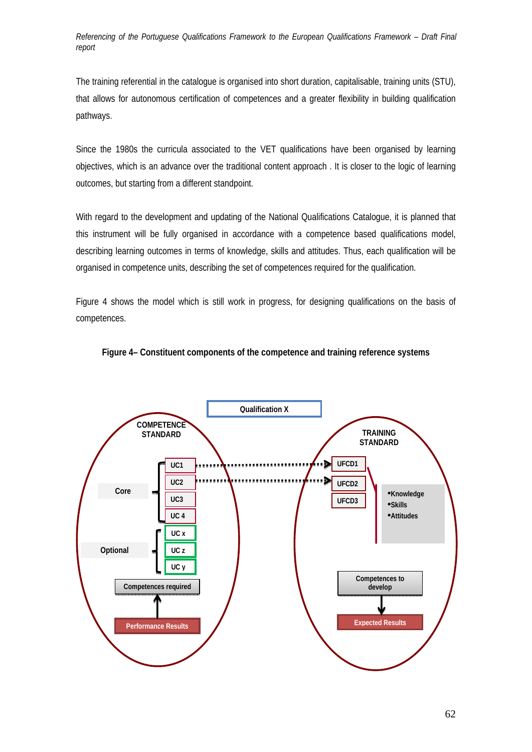The training referential in the catalogue is organised into short duration, capitalisable, training units (STU), that allows for autonomous certification of competences and a greater flexibility in building qualification pathways.

Since the 1980s the curricula associated to the VET qualifications have been organised by learning objectives, which is an advance over the traditional content approach . It is closer to the logic of learning outcomes, but starting from a different standpoint.

With regard to the development and updating of the National Qualifications Catalogue, it is planned that this instrument will be fully organised in accordance with a competence based qualifications model, describing learning outcomes in terms of knowledge, skills and attitudes. Thus, each qualification will be organised in competence units, describing the set of competences required for the qualification.

Figure 4 shows the model which is still work in progress, for designing qualifications on the basis of competences.



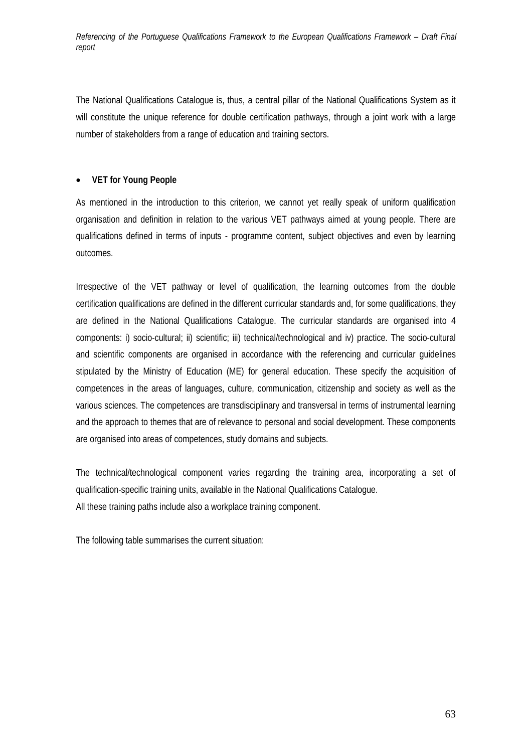The National Qualifications Catalogue is, thus, a central pillar of the National Qualifications System as it will constitute the unique reference for double certification pathways, through a joint work with a large number of stakeholders from a range of education and training sectors.

## • **VET for Young People**

As mentioned in the introduction to this criterion, we cannot yet really speak of uniform qualification organisation and definition in relation to the various VET pathways aimed at young people. There are qualifications defined in terms of inputs - programme content, subject objectives and even by learning outcomes.

Irrespective of the VET pathway or level of qualification, the learning outcomes from the double certification qualifications are defined in the different curricular standards and, for some qualifications, they are defined in the National Qualifications Catalogue. The curricular standards are organised into 4 components: i) socio-cultural; ii) scientific; iii) technical/technological and iv) practice. The socio-cultural and scientific components are organised in accordance with the referencing and curricular guidelines stipulated by the Ministry of Education (ME) for general education. These specify the acquisition of competences in the areas of languages, culture, communication, citizenship and society as well as the various sciences. The competences are transdisciplinary and transversal in terms of instrumental learning and the approach to themes that are of relevance to personal and social development. These components are organised into areas of competences, study domains and subjects.

The technical/technological component varies regarding the training area, incorporating a set of qualification-specific training units, available in the National Qualifications Catalogue. All these training paths include also a workplace training component.

The following table summarises the current situation: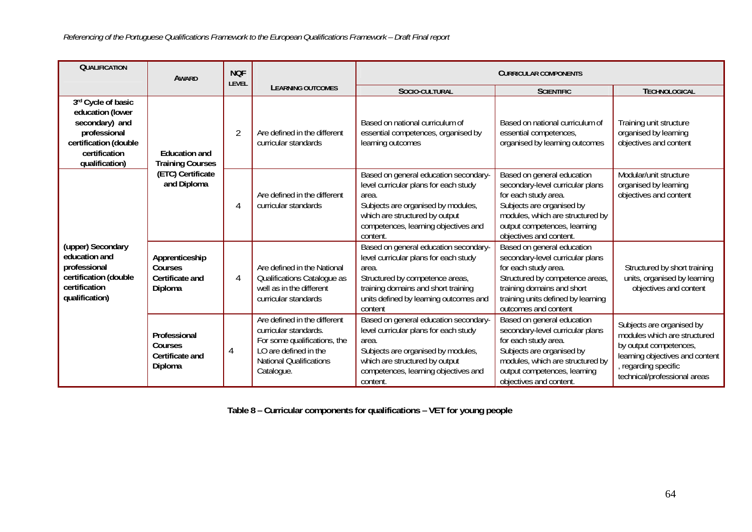| <b>QUALIFICATION</b>                                                                                                                 | <b>NQF</b><br>AWARD<br><b>LEVEL</b>                     |                |                                                                                                                                                                | <b>CURRICULAR COMPONENTS</b>                                                                                                                                                                                           |                                                                                                                                                                                                                       |                                                                                                                                                                                |                                                                                             |                                                                            |
|--------------------------------------------------------------------------------------------------------------------------------------|---------------------------------------------------------|----------------|----------------------------------------------------------------------------------------------------------------------------------------------------------------|------------------------------------------------------------------------------------------------------------------------------------------------------------------------------------------------------------------------|-----------------------------------------------------------------------------------------------------------------------------------------------------------------------------------------------------------------------|--------------------------------------------------------------------------------------------------------------------------------------------------------------------------------|---------------------------------------------------------------------------------------------|----------------------------------------------------------------------------|
|                                                                                                                                      |                                                         |                | <b>LEARNING OUTCOMES</b>                                                                                                                                       | SOCIO-CULTURAL                                                                                                                                                                                                         | <b>SCIENTIFIC</b>                                                                                                                                                                                                     | <b>TECHNOLOGICAL</b>                                                                                                                                                           |                                                                                             |                                                                            |
| 3rd Cycle of basic<br>education (lower<br>secondary) and<br>professional<br>certification (double<br>certification<br>qualification) | $\overline{2}$<br><b>Education and</b>                  |                | <b>Training Courses</b>                                                                                                                                        |                                                                                                                                                                                                                        | Are defined in the different<br>curricular standards                                                                                                                                                                  | Based on national curriculum of<br>essential competences, organised by<br>learning outcomes                                                                                    | Based on national curriculum of<br>essential competences,<br>organised by learning outcomes | Training unit structure<br>organised by learning<br>objectives and content |
| (upper) Secondary<br>education and<br>professional<br>certification (double<br>certification<br>qualification)                       | (ETC) Certificate<br>and Diploma                        | $\overline{4}$ | Are defined in the different<br>curricular standards                                                                                                           | Based on general education secondary-<br>level curricular plans for each study<br>area.<br>Subjects are organised by modules,<br>which are structured by output<br>competences, learning objectives and<br>content.    | Based on general education<br>secondary-level curricular plans<br>for each study area.<br>Subjects are organised by<br>modules, which are structured by<br>output competences, learning<br>objectives and content.    | Modular/unit structure<br>organised by learning<br>objectives and content                                                                                                      |                                                                                             |                                                                            |
|                                                                                                                                      | Apprenticeship<br>Courses<br>Certificate and<br>Diploma | $\overline{4}$ | Are defined in the National<br>Qualifications Catalogue as<br>well as in the different<br>curricular standards                                                 | Based on general education secondary-<br>level curricular plans for each study<br>area.<br>Structured by competence areas,<br>training domains and short training<br>units defined by learning outcomes and<br>content | Based on general education<br>secondary-level curricular plans<br>for each study area.<br>Structured by competence areas,<br>training domains and short<br>training units defined by learning<br>outcomes and content | Structured by short training<br>units, organised by learning<br>objectives and content                                                                                         |                                                                                             |                                                                            |
|                                                                                                                                      | Professional<br>Courses<br>Certificate and<br>Diploma   | 4              | Are defined in the different<br>curricular standards.<br>For some qualifications, the<br>LO are defined in the<br><b>National Qualifications</b><br>Catalogue. | Based on general education secondary-<br>level curricular plans for each study<br>area.<br>Subjects are organised by modules,<br>which are structured by output<br>competences, learning objectives and<br>content.    | Based on general education<br>secondary-level curricular plans<br>for each study area.<br>Subjects are organised by<br>modules, which are structured by<br>output competences, learning<br>objectives and content.    | Subjects are organised by<br>modules which are structured<br>by output competences,<br>learning objectives and content<br>, regarding specific<br>technical/professional areas |                                                                                             |                                                                            |

**Table 8 – Curricular components for qualifications – VET for young people**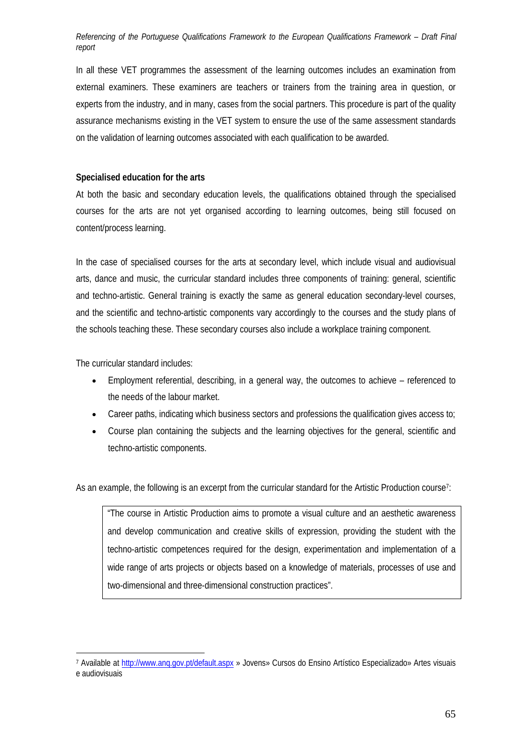In all these VET programmes the assessment of the learning outcomes includes an examination from external examiners. These examiners are teachers or trainers from the training area in question, or experts from the industry, and in many, cases from the social partners. This procedure is part of the quality assurance mechanisms existing in the VET system to ensure the use of the same assessment standards on the validation of learning outcomes associated with each qualification to be awarded.

## **Specialised education for the arts**

At both the basic and secondary education levels, the qualifications obtained through the specialised courses for the arts are not yet organised according to learning outcomes, being still focused on content/process learning.

In the case of specialised courses for the arts at secondary level, which include visual and audiovisual arts, dance and music, the curricular standard includes three components of training: general, scientific and techno-artistic. General training is exactly the same as general education secondary-level courses, and the scientific and techno-artistic components vary accordingly to the courses and the study plans of the schools teaching these. These secondary courses also include a workplace training component.

The curricular standard includes:

1

- Employment referential, describing, in a general way, the outcomes to achieve referenced to the needs of the labour market.
- Career paths, indicating which business sectors and professions the qualification gives access to;
- Course plan containing the subjects and the learning objectives for the general, scientific and techno-artistic components.

As an example, the following is an excerpt from the curricular standard for the Artistic Production course?

"The course in Artistic Production aims to promote a visual culture and an aesthetic awareness and develop communication and creative skills of expression, providing the student with the techno-artistic competences required for the design, experimentation and implementation of a wide range of arts projects or objects based on a knowledge of materials, processes of use and two-dimensional and three-dimensional construction practices".

<sup>7</sup> Available at http://www.anq.gov.pt/default.aspx » Jovens» Cursos do Ensino Artístico Especializado» Artes visuais e audiovisuais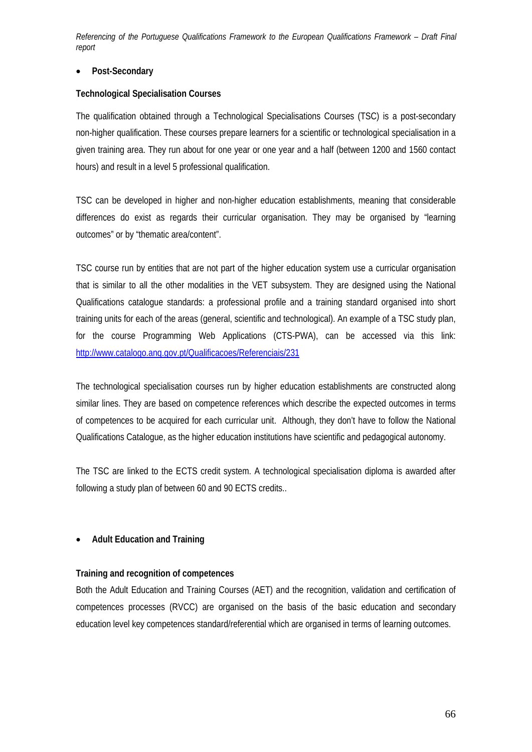# • **Post-Secondary**

## **Technological Specialisation Courses**

The qualification obtained through a Technological Specialisations Courses (TSC) is a post-secondary non-higher qualification. These courses prepare learners for a scientific or technological specialisation in a given training area. They run about for one year or one year and a half (between 1200 and 1560 contact hours) and result in a level 5 professional qualification.

TSC can be developed in higher and non-higher education establishments, meaning that considerable differences do exist as regards their curricular organisation. They may be organised by "learning outcomes" or by "thematic area/content".

TSC course run by entities that are not part of the higher education system use a curricular organisation that is similar to all the other modalities in the VET subsystem. They are designed using the National Qualifications catalogue standards: a professional profile and a training standard organised into short training units for each of the areas (general, scientific and technological). An example of a TSC study plan, for the course Programming Web Applications (CTS-PWA), can be accessed via this link: http://www.catalogo.anq.gov.pt/Qualificacoes/Referenciais/231

The technological specialisation courses run by higher education establishments are constructed along similar lines. They are based on competence references which describe the expected outcomes in terms of competences to be acquired for each curricular unit. Although, they don't have to follow the National Qualifications Catalogue, as the higher education institutions have scientific and pedagogical autonomy.

The TSC are linked to the ECTS credit system. A technological specialisation diploma is awarded after following a study plan of between 60 and 90 ECTS credits..

# • **Adult Education and Training**

# **Training and recognition of competences**

Both the Adult Education and Training Courses (AET) and the recognition, validation and certification of competences processes (RVCC) are organised on the basis of the basic education and secondary education level key competences standard/referential which are organised in terms of learning outcomes.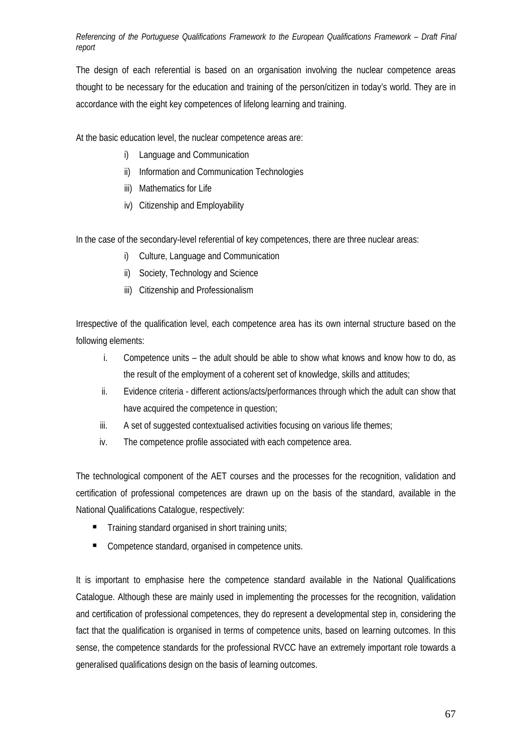The design of each referential is based on an organisation involving the nuclear competence areas thought to be necessary for the education and training of the person/citizen in today's world. They are in accordance with the eight key competences of lifelong learning and training.

At the basic education level, the nuclear competence areas are:

- i) Language and Communication
- ii) Information and Communication Technologies
- iii) Mathematics for Life
- iv) Citizenship and Employability

In the case of the secondary-level referential of key competences, there are three nuclear areas:

- i) Culture, Language and Communication
- ii) Society, Technology and Science
- iii) Citizenship and Professionalism

Irrespective of the qualification level, each competence area has its own internal structure based on the following elements:

- i. Competence units the adult should be able to show what knows and know how to do, as the result of the employment of a coherent set of knowledge, skills and attitudes;
- ii. Evidence criteria different actions/acts/performances through which the adult can show that have acquired the competence in question;
- iii. A set of suggested contextualised activities focusing on various life themes;
- iv. The competence profile associated with each competence area.

The technological component of the AET courses and the processes for the recognition, validation and certification of professional competences are drawn up on the basis of the standard, available in the National Qualifications Catalogue, respectively:

- Training standard organised in short training units;
- Competence standard, organised in competence units.

It is important to emphasise here the competence standard available in the National Qualifications Catalogue. Although these are mainly used in implementing the processes for the recognition, validation and certification of professional competences, they do represent a developmental step in, considering the fact that the qualification is organised in terms of competence units, based on learning outcomes. In this sense, the competence standards for the professional RVCC have an extremely important role towards a generalised qualifications design on the basis of learning outcomes.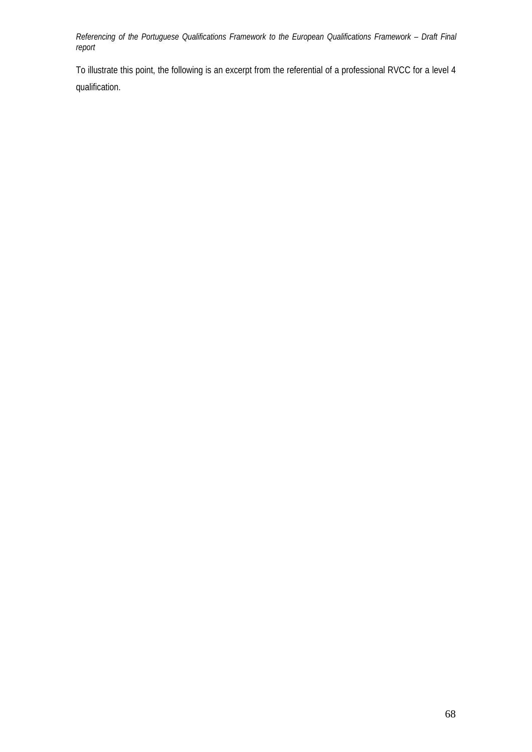To illustrate this point, the following is an excerpt from the referential of a professional RVCC for a level 4 qualification.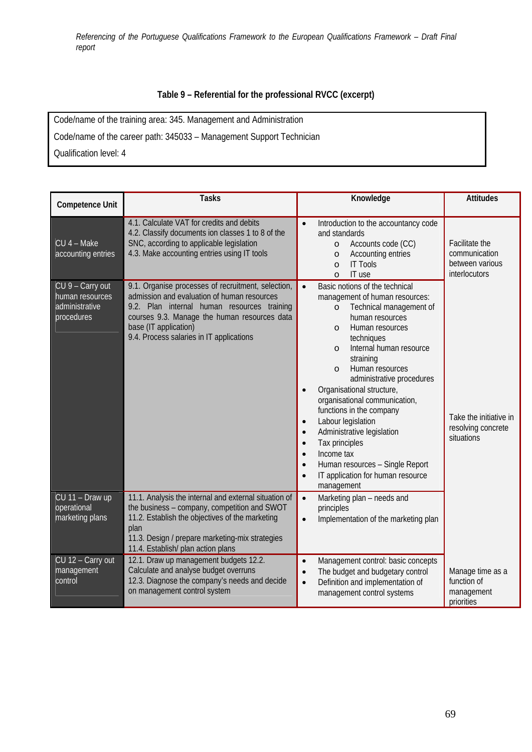# **Table 9 – Referential for the professional RVCC (excerpt)**

Code/name of the training area: 345. Management and Administration Code/name of the career path: 345033 – Management Support Technician Qualification level: 4

| <b>Competence Unit</b>                                                | <b>Tasks</b>                                                                                                                                                                                                                                                          | Knowledge                                                                                                                                                                                                                                                                                                                                                                                                                                                                                                                                                                                                                                          | <b>Attitudes</b>                                                    |
|-----------------------------------------------------------------------|-----------------------------------------------------------------------------------------------------------------------------------------------------------------------------------------------------------------------------------------------------------------------|----------------------------------------------------------------------------------------------------------------------------------------------------------------------------------------------------------------------------------------------------------------------------------------------------------------------------------------------------------------------------------------------------------------------------------------------------------------------------------------------------------------------------------------------------------------------------------------------------------------------------------------------------|---------------------------------------------------------------------|
| $CU 4 - Make$<br>accounting entries                                   | 4.1. Calculate VAT for credits and debits<br>4.2. Classify documents ion classes 1 to 8 of the<br>SNC, according to applicable legislation<br>4.3. Make accounting entries using IT tools                                                                             | Introduction to the accountancy code<br>$\bullet$<br>and standards<br>Accounts code (CC)<br>$\circ$<br>Accounting entries<br>$\circ$<br><b>IT Tools</b><br>$\circ$<br>IT use<br>$\circ$                                                                                                                                                                                                                                                                                                                                                                                                                                                            | Facilitate the<br>communication<br>between various<br>interlocutors |
| $CU 9 - Carry out$<br>human resources<br>administrative<br>procedures | 9.1. Organise processes of recruitment, selection,<br>admission and evaluation of human resources<br>9.2. Plan internal human resources training<br>courses 9.3. Manage the human resources data<br>base (IT application)<br>9.4. Process salaries in IT applications | Basic notions of the technical<br>$\bullet$<br>management of human resources:<br>Technical management of<br>$\circ$<br>human resources<br>Human resources<br>$\circ$<br>techniques<br>Internal human resource<br>$\circ$<br>straining<br>Human resources<br>$\circ$<br>administrative procedures<br>Organisational structure,<br>organisational communication,<br>functions in the company<br>Labour legislation<br>$\bullet$<br>Administrative legislation<br>$\bullet$<br>Tax principles<br>$\bullet$<br>Income tax<br>$\bullet$<br>Human resources - Single Report<br>$\bullet$<br>IT application for human resource<br>$\bullet$<br>management | Take the initiative in<br>resolving concrete<br>situations          |
| $CU 11 - Draw up$<br>operational<br>marketing plans                   | 11.1. Analysis the internal and external situation of<br>the business - company, competition and SWOT<br>11.2. Establish the objectives of the marketing<br>plan<br>11.3. Design / prepare marketing-mix strategies<br>11.4. Establish/ plan action plans             | Marketing plan - needs and<br>$\bullet$<br>principles<br>Implementation of the marketing plan<br>$\bullet$                                                                                                                                                                                                                                                                                                                                                                                                                                                                                                                                         |                                                                     |
| CU 12 - Carry out<br>management<br>control                            | 12.1. Draw up management budgets 12.2.<br>Calculate and analyse budget overruns<br>12.3. Diagnose the company's needs and decide<br>on management control system                                                                                                      | Management control: basic concepts<br>$\bullet$<br>The budget and budgetary control<br>$\bullet$<br>Definition and implementation of<br>$\bullet$<br>management control systems                                                                                                                                                                                                                                                                                                                                                                                                                                                                    | Manage time as a<br>function of<br>management<br>priorities         |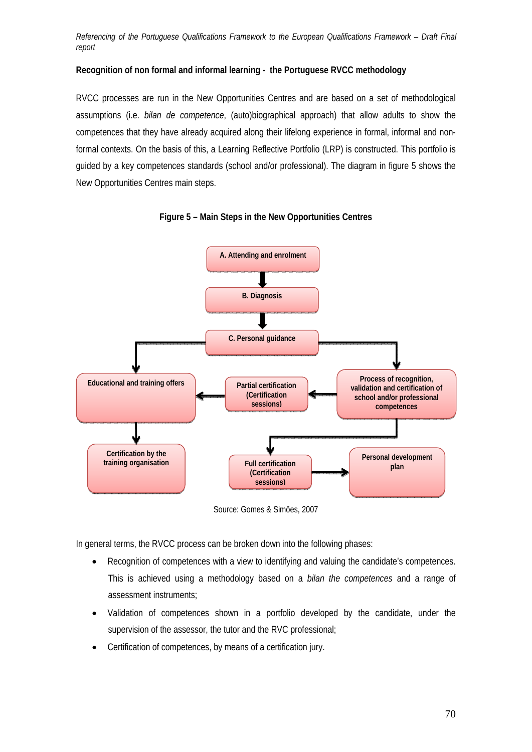## **Recognition of non formal and informal learning - the Portuguese RVCC methodology**

RVCC processes are run in the New Opportunities Centres and are based on a set of methodological assumptions (i.e. *bilan de competence*, (auto)biographical approach) that allow adults to show the competences that they have already acquired along their lifelong experience in formal, informal and nonformal contexts. On the basis of this, a Learning Reflective Portfolio (LRP) is constructed. This portfolio is guided by a key competences standards (school and/or professional). The diagram in figure 5 shows the New Opportunities Centres main steps.



#### **Figure 5 – Main Steps in the New Opportunities Centres**

Source: Gomes & Simões, 2007

In general terms, the RVCC process can be broken down into the following phases:

- Recognition of competences with a view to identifying and valuing the candidate's competences. This is achieved using a methodology based on a *bilan the competences* and a range of assessment instruments;
- Validation of competences shown in a portfolio developed by the candidate, under the supervision of the assessor, the tutor and the RVC professional;
- Certification of competences, by means of a certification jury.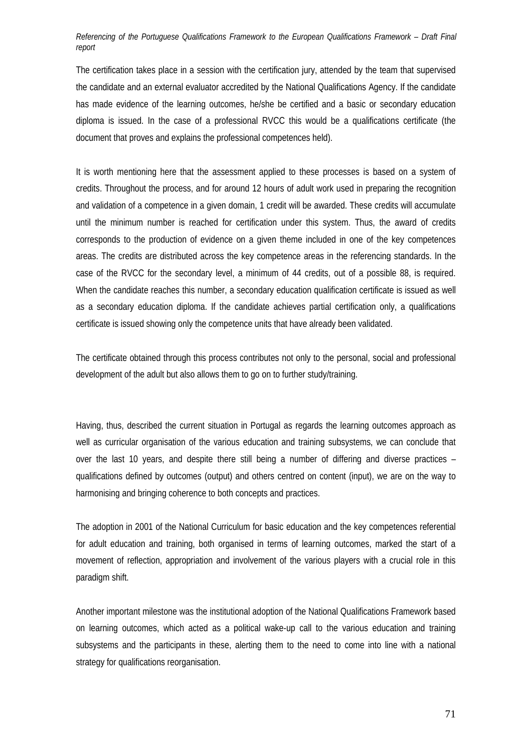The certification takes place in a session with the certification jury, attended by the team that supervised the candidate and an external evaluator accredited by the National Qualifications Agency. If the candidate has made evidence of the learning outcomes, he/she be certified and a basic or secondary education diploma is issued. In the case of a professional RVCC this would be a qualifications certificate (the document that proves and explains the professional competences held).

It is worth mentioning here that the assessment applied to these processes is based on a system of credits. Throughout the process, and for around 12 hours of adult work used in preparing the recognition and validation of a competence in a given domain, 1 credit will be awarded. These credits will accumulate until the minimum number is reached for certification under this system. Thus, the award of credits corresponds to the production of evidence on a given theme included in one of the key competences areas. The credits are distributed across the key competence areas in the referencing standards. In the case of the RVCC for the secondary level, a minimum of 44 credits, out of a possible 88, is required. When the candidate reaches this number, a secondary education qualification certificate is issued as well as a secondary education diploma. If the candidate achieves partial certification only, a qualifications certificate is issued showing only the competence units that have already been validated.

The certificate obtained through this process contributes not only to the personal, social and professional development of the adult but also allows them to go on to further study/training.

Having, thus, described the current situation in Portugal as regards the learning outcomes approach as well as curricular organisation of the various education and training subsystems, we can conclude that over the last 10 years, and despite there still being a number of differing and diverse practices – qualifications defined by outcomes (output) and others centred on content (input), we are on the way to harmonising and bringing coherence to both concepts and practices.

The adoption in 2001 of the National Curriculum for basic education and the key competences referential for adult education and training, both organised in terms of learning outcomes, marked the start of a movement of reflection, appropriation and involvement of the various players with a crucial role in this paradigm shift.

Another important milestone was the institutional adoption of the National Qualifications Framework based on learning outcomes, which acted as a political wake-up call to the various education and training subsystems and the participants in these, alerting them to the need to come into line with a national strategy for qualifications reorganisation.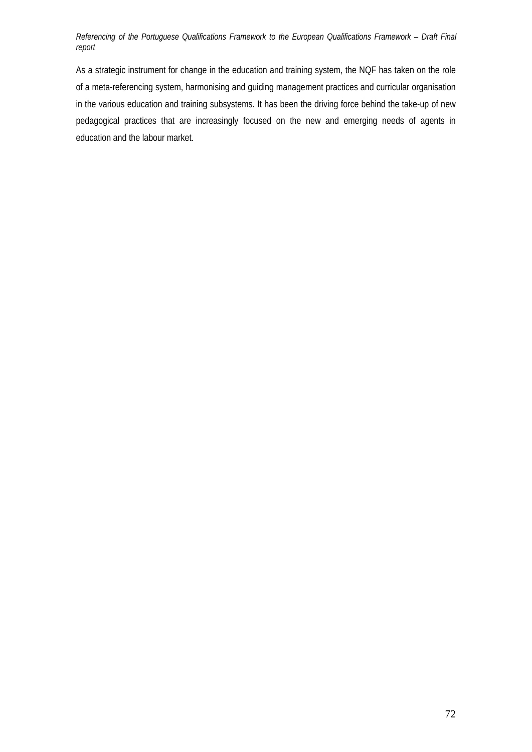As a strategic instrument for change in the education and training system, the NQF has taken on the role of a meta-referencing system, harmonising and guiding management practices and curricular organisation in the various education and training subsystems. It has been the driving force behind the take-up of new pedagogical practices that are increasingly focused on the new and emerging needs of agents in education and the labour market.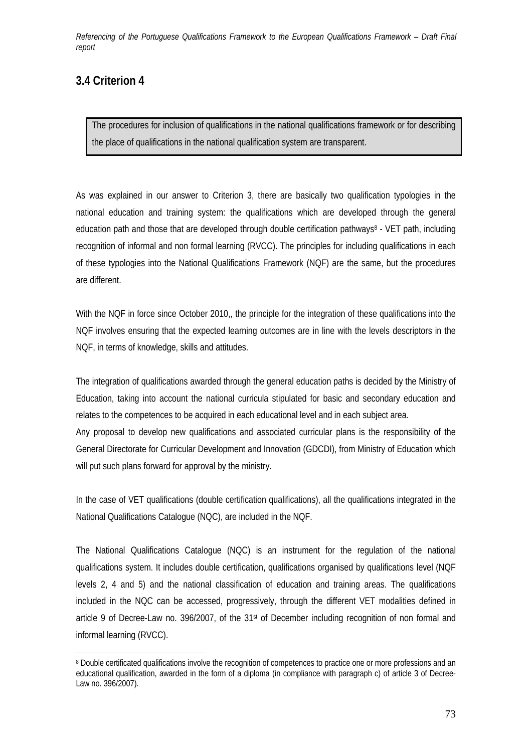# **3.4 Criterion 4**

1

The procedures for inclusion of qualifications in the national qualifications framework or for describing the place of qualifications in the national qualification system are transparent.

As was explained in our answer to Criterion 3, there are basically two qualification typologies in the national education and training system: the qualifications which are developed through the general education path and those that are developed through double certification pathways<sup>8</sup> - VET path, including recognition of informal and non formal learning (RVCC). The principles for including qualifications in each of these typologies into the National Qualifications Framework (NQF) are the same, but the procedures are different.

With the NQF in force since October 2010,, the principle for the integration of these qualifications into the NQF involves ensuring that the expected learning outcomes are in line with the levels descriptors in the NQF, in terms of knowledge, skills and attitudes.

The integration of qualifications awarded through the general education paths is decided by the Ministry of Education, taking into account the national curricula stipulated for basic and secondary education and relates to the competences to be acquired in each educational level and in each subject area. Any proposal to develop new qualifications and associated curricular plans is the responsibility of the General Directorate for Curricular Development and Innovation (GDCDI), from Ministry of Education which will put such plans forward for approval by the ministry.

In the case of VET qualifications (double certification qualifications), all the qualifications integrated in the National Qualifications Catalogue (NQC), are included in the NQF.

The National Qualifications Catalogue (NQC) is an instrument for the regulation of the national qualifications system. It includes double certification, qualifications organised by qualifications level (NQF levels 2, 4 and 5) and the national classification of education and training areas. The qualifications included in the NQC can be accessed, progressively, through the different VET modalities defined in article 9 of Decree-Law no. 396/2007, of the 31<sup>st</sup> of December including recognition of non formal and informal learning (RVCC).

<sup>&</sup>lt;sup>8</sup> Double certificated qualifications involve the recognition of competences to practice one or more professions and an educational qualification, awarded in the form of a diploma (in compliance with paragraph c) of article 3 of Decree-Law no. 396/2007).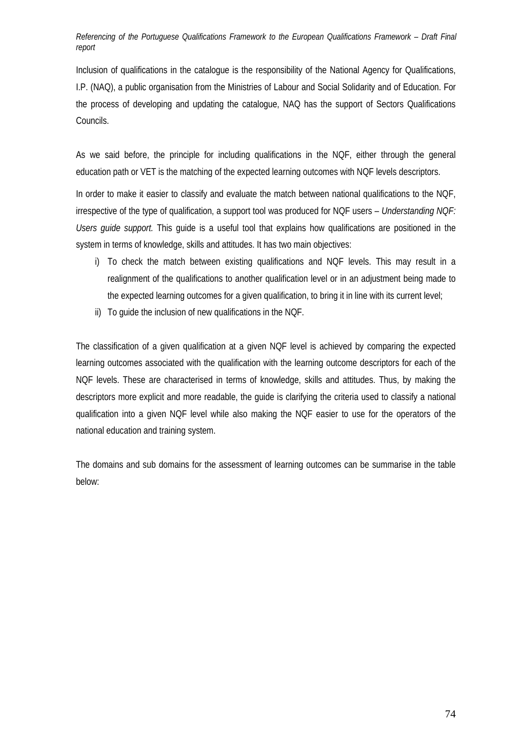Inclusion of qualifications in the catalogue is the responsibility of the National Agency for Qualifications, I.P. (NAQ), a public organisation from the Ministries of Labour and Social Solidarity and of Education. For the process of developing and updating the catalogue, NAQ has the support of Sectors Qualifications Councils.

As we said before, the principle for including qualifications in the NQF, either through the general education path or VET is the matching of the expected learning outcomes with NQF levels descriptors.

In order to make it easier to classify and evaluate the match between national qualifications to the NQF, irrespective of the type of qualification, a support tool was produced for NQF users – *Understanding NQF: Users guide support.* This guide is a useful tool that explains how qualifications are positioned in the system in terms of knowledge, skills and attitudes. It has two main objectives:

- i) To check the match between existing qualifications and NQF levels. This may result in a realignment of the qualifications to another qualification level or in an adjustment being made to the expected learning outcomes for a given qualification, to bring it in line with its current level;
- ii) To guide the inclusion of new qualifications in the NQF.

The classification of a given qualification at a given NQF level is achieved by comparing the expected learning outcomes associated with the qualification with the learning outcome descriptors for each of the NQF levels. These are characterised in terms of knowledge, skills and attitudes. Thus, by making the descriptors more explicit and more readable, the guide is clarifying the criteria used to classify a national qualification into a given NQF level while also making the NQF easier to use for the operators of the national education and training system.

The domains and sub domains for the assessment of learning outcomes can be summarise in the table below: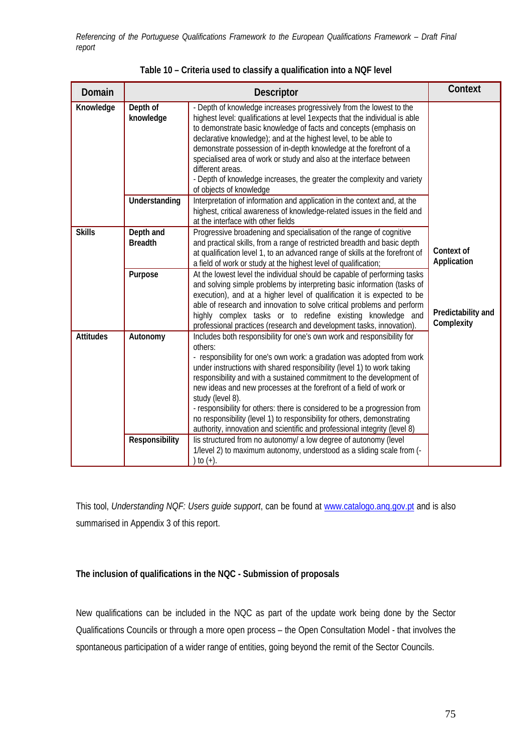| Domain           |                             | Context                                                                                                                                                                                                                                                                                                                                                                                                                                                                                                                                                                                                                                      |                                  |
|------------------|-----------------------------|----------------------------------------------------------------------------------------------------------------------------------------------------------------------------------------------------------------------------------------------------------------------------------------------------------------------------------------------------------------------------------------------------------------------------------------------------------------------------------------------------------------------------------------------------------------------------------------------------------------------------------------------|----------------------------------|
| Knowledge        | Depth of<br>knowledge       | - Depth of knowledge increases progressively from the lowest to the<br>highest level: qualifications at level 1 expects that the individual is able<br>to demonstrate basic knowledge of facts and concepts (emphasis on<br>declarative knowledge); and at the highest level, to be able to<br>demonstrate possession of in-depth knowledge at the forefront of a<br>specialised area of work or study and also at the interface between<br>different areas.<br>- Depth of knowledge increases, the greater the complexity and variety<br>of objects of knowledge                                                                            |                                  |
|                  | Understanding               | Interpretation of information and application in the context and, at the<br>highest, critical awareness of knowledge-related issues in the field and<br>at the interface with other fields                                                                                                                                                                                                                                                                                                                                                                                                                                                   |                                  |
| <b>Skills</b>    | Depth and<br><b>Breadth</b> | Progressive broadening and specialisation of the range of cognitive<br>and practical skills, from a range of restricted breadth and basic depth<br>at qualification level 1, to an advanced range of skills at the forefront of<br>a field of work or study at the highest level of qualification;                                                                                                                                                                                                                                                                                                                                           | Context of<br>Application        |
|                  | Purpose                     | At the lowest level the individual should be capable of performing tasks<br>and solving simple problems by interpreting basic information (tasks of<br>execution), and at a higher level of qualification it is expected to be<br>able of research and innovation to solve critical problems and perform<br>highly complex tasks or to redefine existing knowledge and<br>professional practices (research and development tasks, innovation).                                                                                                                                                                                               | Predictability and<br>Complexity |
| <b>Attitudes</b> | Autonomy                    | Includes both responsibility for one's own work and responsibility for<br>others:<br>- responsibility for one's own work: a gradation was adopted from work<br>under instructions with shared responsibility (level 1) to work taking<br>responsibility and with a sustained commitment to the development of<br>new ideas and new processes at the forefront of a field of work or<br>study (level 8).<br>- responsibility for others: there is considered to be a progression from<br>no responsibility (level 1) to responsibility for others, demonstrating<br>authority, innovation and scientific and professional integrity (level 8) |                                  |
|                  | Responsibility              | lis structured from no autonomy/ a low degree of autonomy (level<br>1/level 2) to maximum autonomy, understood as a sliding scale from (-<br>) to $(+)$ .                                                                                                                                                                                                                                                                                                                                                                                                                                                                                    |                                  |

This tool, *Understanding NQF: Users guide support*, can be found at www.catalogo.anq.gov.pt and is also summarised in Appendix 3 of this report.

### **The inclusion of qualifications in the NQC - Submission of proposals**

New qualifications can be included in the NQC as part of the update work being done by the Sector Qualifications Councils or through a more open process – the Open Consultation Model - that involves the spontaneous participation of a wider range of entities, going beyond the remit of the Sector Councils.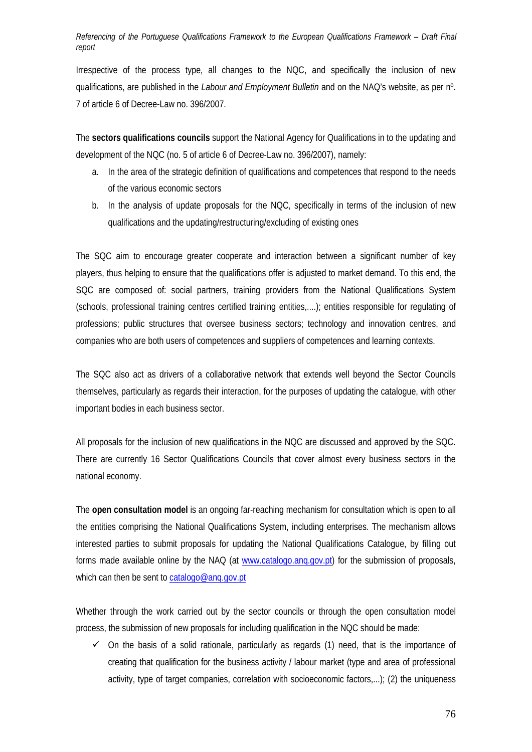Irrespective of the process type, all changes to the NQC, and specifically the inclusion of new qualifications, are published in the *Labour and Employment Bulletin* and on the NAQ's website, as per nº. 7 of article 6 of Decree-Law no. 396/2007.

The **sectors qualifications councils** support the National Agency for Qualifications in to the updating and development of the NQC (no. 5 of article 6 of Decree-Law no. 396/2007), namely:

- a. In the area of the strategic definition of qualifications and competences that respond to the needs of the various economic sectors
- b. In the analysis of update proposals for the NQC, specifically in terms of the inclusion of new qualifications and the updating/restructuring/excluding of existing ones

The SQC aim to encourage greater cooperate and interaction between a significant number of key players, thus helping to ensure that the qualifications offer is adjusted to market demand. To this end, the SQC are composed of: social partners, training providers from the National Qualifications System (schools, professional training centres certified training entities,....); entities responsible for regulating of professions; public structures that oversee business sectors; technology and innovation centres, and companies who are both users of competences and suppliers of competences and learning contexts.

The SQC also act as drivers of a collaborative network that extends well beyond the Sector Councils themselves, particularly as regards their interaction, for the purposes of updating the catalogue, with other important bodies in each business sector.

All proposals for the inclusion of new qualifications in the NQC are discussed and approved by the SQC. There are currently 16 Sector Qualifications Councils that cover almost every business sectors in the national economy.

The **open consultation model** is an ongoing far-reaching mechanism for consultation which is open to all the entities comprising the National Qualifications System, including enterprises. The mechanism allows interested parties to submit proposals for updating the National Qualifications Catalogue, by filling out forms made available online by the NAQ (at www.catalogo.anq.gov.pt) for the submission of proposals, which can then be sent to catalogo@ang.gov.pt

Whether through the work carried out by the sector councils or through the open consultation model process, the submission of new proposals for including qualification in the NQC should be made:

 $\checkmark$  On the basis of a solid rationale, particularly as regards (1) need, that is the importance of creating that qualification for the business activity / labour market (type and area of professional activity, type of target companies, correlation with socioeconomic factors,...); (2) the uniqueness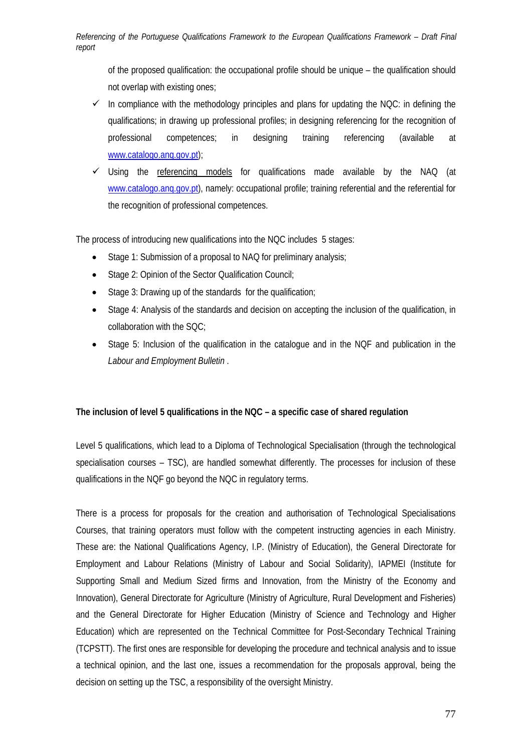of the proposed qualification: the occupational profile should be unique – the qualification should not overlap with existing ones;

- $\checkmark$  In compliance with the methodology principles and plans for updating the NQC: in defining the qualifications; in drawing up professional profiles; in designing referencing for the recognition of professional competences; in designing training referencing (available at www.catalogo.anq.gov.pt);
- $\checkmark$  Using the referencing models for qualifications made available by the NAQ (at www.catalogo.ang.gov.pt), namely: occupational profile; training referential and the referential for the recognition of professional competences.

The process of introducing new qualifications into the NQC includes 5 stages:

- Stage 1: Submission of a proposal to NAQ for preliminary analysis;
- Stage 2: Opinion of the Sector Qualification Council;
- Stage 3: Drawing up of the standards for the qualification;
- Stage 4: Analysis of the standards and decision on accepting the inclusion of the qualification, in collaboration with the SQC;
- Stage 5: Inclusion of the qualification in the catalogue and in the NQF and publication in the *Labour and Employment Bulletin* .

### **The inclusion of level 5 qualifications in the NQC – a specific case of shared regulation**

Level 5 qualifications, which lead to a Diploma of Technological Specialisation (through the technological specialisation courses – TSC), are handled somewhat differently. The processes for inclusion of these qualifications in the NQF go beyond the NQC in regulatory terms.

There is a process for proposals for the creation and authorisation of Technological Specialisations Courses, that training operators must follow with the competent instructing agencies in each Ministry. These are: the National Qualifications Agency, I.P. (Ministry of Education), the General Directorate for Employment and Labour Relations (Ministry of Labour and Social Solidarity), IAPMEI (Institute for Supporting Small and Medium Sized firms and Innovation, from the Ministry of the Economy and Innovation), General Directorate for Agriculture (Ministry of Agriculture, Rural Development and Fisheries) and the General Directorate for Higher Education (Ministry of Science and Technology and Higher Education) which are represented on the Technical Committee for Post-Secondary Technical Training (TCPSTT). The first ones are responsible for developing the procedure and technical analysis and to issue a technical opinion, and the last one, issues a recommendation for the proposals approval, being the decision on setting up the TSC, a responsibility of the oversight Ministry.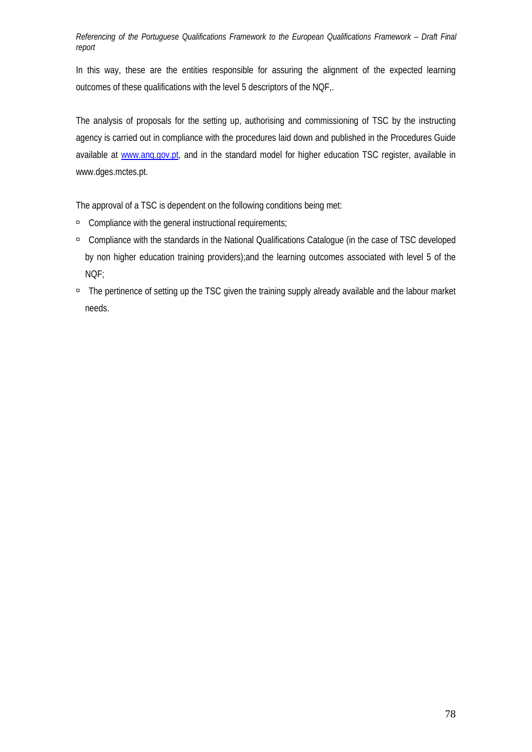In this way, these are the entities responsible for assuring the alignment of the expected learning outcomes of these qualifications with the level 5 descriptors of the NQF,.

The analysis of proposals for the setting up, authorising and commissioning of TSC by the instructing agency is carried out in compliance with the procedures laid down and published in the Procedures Guide available at www.anq.gov.pt, and in the standard model for higher education TSC register, available in www.dges.mctes.pt.

The approval of a TSC is dependent on the following conditions being met:

- à Compliance with the general instructional requirements;
- à Compliance with the standards in the National Qualifications Catalogue (in the case of TSC developed by non higher education training providers);and the learning outcomes associated with level 5 of the NQF;
- à The pertinence of setting up the TSC given the training supply already available and the labour market needs.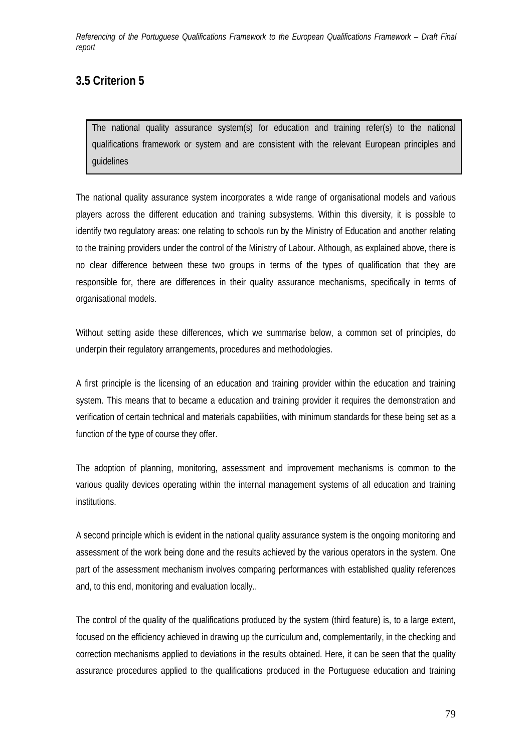## **3.5 Criterion 5**

The national quality assurance system(s) for education and training refer(s) to the national qualifications framework or system and are consistent with the relevant European principles and guidelines

The national quality assurance system incorporates a wide range of organisational models and various players across the different education and training subsystems. Within this diversity, it is possible to identify two regulatory areas: one relating to schools run by the Ministry of Education and another relating to the training providers under the control of the Ministry of Labour. Although, as explained above, there is no clear difference between these two groups in terms of the types of qualification that they are responsible for, there are differences in their quality assurance mechanisms, specifically in terms of organisational models.

Without setting aside these differences, which we summarise below, a common set of principles, do underpin their regulatory arrangements, procedures and methodologies.

A first principle is the licensing of an education and training provider within the education and training system. This means that to became a education and training provider it requires the demonstration and verification of certain technical and materials capabilities, with minimum standards for these being set as a function of the type of course they offer.

The adoption of planning, monitoring, assessment and improvement mechanisms is common to the various quality devices operating within the internal management systems of all education and training institutions.

A second principle which is evident in the national quality assurance system is the ongoing monitoring and assessment of the work being done and the results achieved by the various operators in the system. One part of the assessment mechanism involves comparing performances with established quality references and, to this end, monitoring and evaluation locally..

The control of the quality of the qualifications produced by the system (third feature) is, to a large extent, focused on the efficiency achieved in drawing up the curriculum and, complementarily, in the checking and correction mechanisms applied to deviations in the results obtained. Here, it can be seen that the quality assurance procedures applied to the qualifications produced in the Portuguese education and training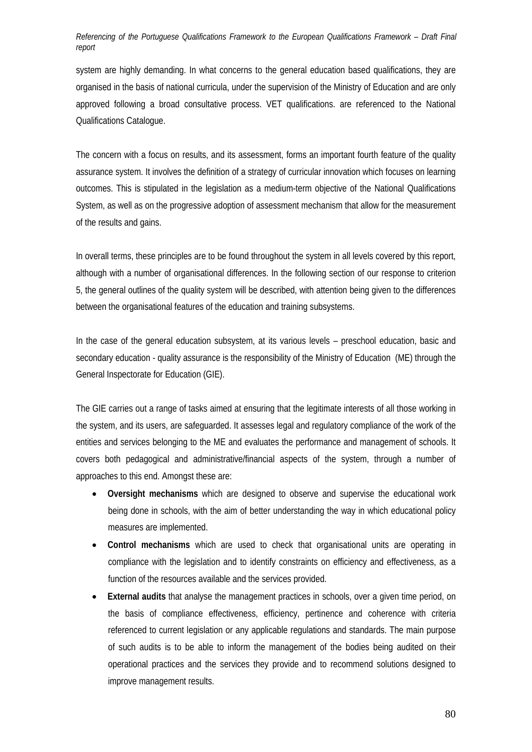system are highly demanding. In what concerns to the general education based qualifications, they are organised in the basis of national curricula, under the supervision of the Ministry of Education and are only approved following a broad consultative process. VET qualifications. are referenced to the National Qualifications Catalogue.

The concern with a focus on results, and its assessment, forms an important fourth feature of the quality assurance system. It involves the definition of a strategy of curricular innovation which focuses on learning outcomes. This is stipulated in the legislation as a medium-term objective of the National Qualifications System, as well as on the progressive adoption of assessment mechanism that allow for the measurement of the results and gains.

In overall terms, these principles are to be found throughout the system in all levels covered by this report, although with a number of organisational differences. In the following section of our response to criterion 5, the general outlines of the quality system will be described, with attention being given to the differences between the organisational features of the education and training subsystems.

In the case of the general education subsystem, at its various levels – preschool education, basic and secondary education - quality assurance is the responsibility of the Ministry of Education (ME) through the General Inspectorate for Education (GIE).

The GIE carries out a range of tasks aimed at ensuring that the legitimate interests of all those working in the system, and its users, are safeguarded. It assesses legal and regulatory compliance of the work of the entities and services belonging to the ME and evaluates the performance and management of schools. It covers both pedagogical and administrative/financial aspects of the system, through a number of approaches to this end. Amongst these are:

- **Oversight mechanisms** which are designed to observe and supervise the educational work being done in schools, with the aim of better understanding the way in which educational policy measures are implemented.
- **Control mechanisms** which are used to check that organisational units are operating in compliance with the legislation and to identify constraints on efficiency and effectiveness, as a function of the resources available and the services provided.
- **External audits** that analyse the management practices in schools, over a given time period, on the basis of compliance effectiveness, efficiency, pertinence and coherence with criteria referenced to current legislation or any applicable regulations and standards. The main purpose of such audits is to be able to inform the management of the bodies being audited on their operational practices and the services they provide and to recommend solutions designed to improve management results.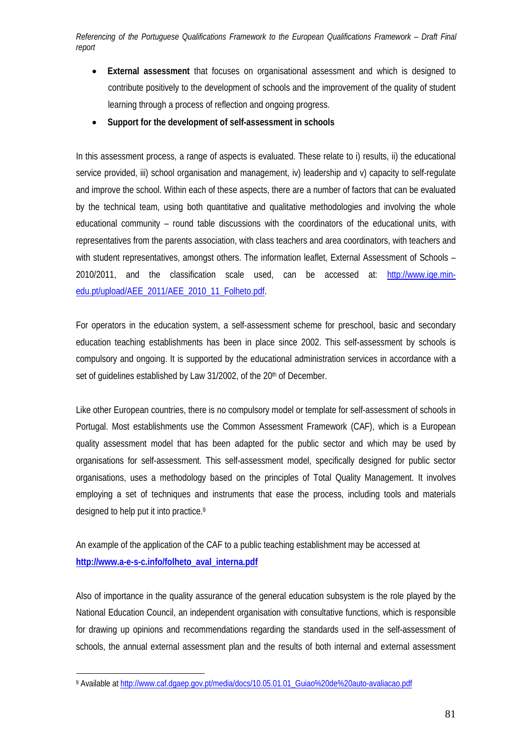- **External assessment** that focuses on organisational assessment and which is designed to contribute positively to the development of schools and the improvement of the quality of student learning through a process of reflection and ongoing progress.
- **Support for the development of self-assessment in schools**

In this assessment process, a range of aspects is evaluated. These relate to i) results, ii) the educational service provided, iii) school organisation and management, iv) leadership and v) capacity to self-regulate and improve the school. Within each of these aspects, there are a number of factors that can be evaluated by the technical team, using both quantitative and qualitative methodologies and involving the whole educational community – round table discussions with the coordinators of the educational units, with representatives from the parents association, with class teachers and area coordinators, with teachers and with student representatives, amongst others. The information leaflet, External Assessment of Schools -2010/2011, and the classification scale used, can be accessed at: http://www.ige.minedu.pt/upload/AEE\_2011/AEE\_2010\_11\_Folheto.pdf.

For operators in the education system, a self-assessment scheme for preschool, basic and secondary education teaching establishments has been in place since 2002. This self-assessment by schools is compulsory and ongoing. It is supported by the educational administration services in accordance with a set of quidelines established by Law 31/2002, of the 20<sup>th</sup> of December.

Like other European countries, there is no compulsory model or template for self-assessment of schools in Portugal. Most establishments use the Common Assessment Framework (CAF), which is a European quality assessment model that has been adapted for the public sector and which may be used by organisations for self-assessment. This self-assessment model, specifically designed for public sector organisations, uses a methodology based on the principles of Total Quality Management. It involves employing a set of techniques and instruments that ease the process, including tools and materials designed to help put it into practice.9

An example of the application of the CAF to a public teaching establishment may be accessed at **http://www.a-e-s-c.info/folheto\_aval\_interna.pdf** 

Also of importance in the quality assurance of the general education subsystem is the role played by the National Education Council, an independent organisation with consultative functions, which is responsible for drawing up opinions and recommendations regarding the standards used in the self-assessment of schools, the annual external assessment plan and the results of both internal and external assessment

<u>.</u>

<sup>9</sup> Available at http://www.caf.dgaep.gov.pt/media/docs/10.05.01.01\_Guiao%20de%20auto-avaliacao.pdf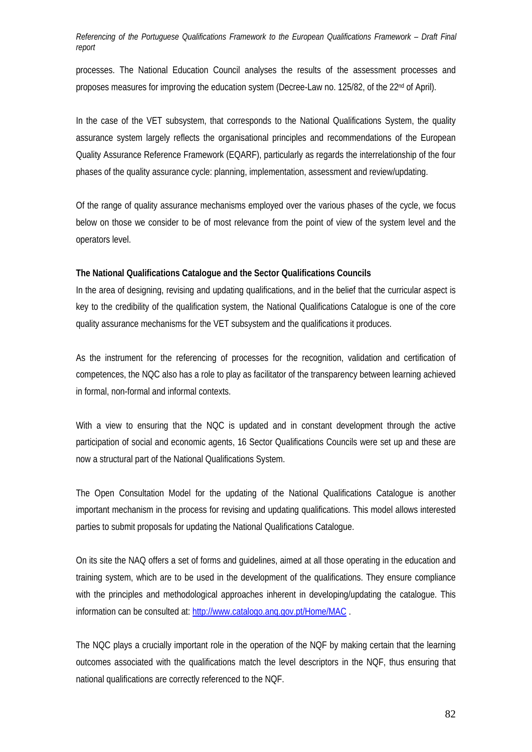processes. The National Education Council analyses the results of the assessment processes and proposes measures for improving the education system (Decree-Law no. 125/82, of the  $22<sup>nd</sup>$  of April).

In the case of the VET subsystem, that corresponds to the National Qualifications System, the quality assurance system largely reflects the organisational principles and recommendations of the European Quality Assurance Reference Framework (EQARF), particularly as regards the interrelationship of the four phases of the quality assurance cycle: planning, implementation, assessment and review/updating.

Of the range of quality assurance mechanisms employed over the various phases of the cycle, we focus below on those we consider to be of most relevance from the point of view of the system level and the operators level.

### **The National Qualifications Catalogue and the Sector Qualifications Councils**

In the area of designing, revising and updating qualifications, and in the belief that the curricular aspect is key to the credibility of the qualification system, the National Qualifications Catalogue is one of the core quality assurance mechanisms for the VET subsystem and the qualifications it produces.

As the instrument for the referencing of processes for the recognition, validation and certification of competences, the NQC also has a role to play as facilitator of the transparency between learning achieved in formal, non-formal and informal contexts.

With a view to ensuring that the NQC is updated and in constant development through the active participation of social and economic agents, 16 Sector Qualifications Councils were set up and these are now a structural part of the National Qualifications System.

The Open Consultation Model for the updating of the National Qualifications Catalogue is another important mechanism in the process for revising and updating qualifications. This model allows interested parties to submit proposals for updating the National Qualifications Catalogue.

On its site the NAQ offers a set of forms and guidelines, aimed at all those operating in the education and training system, which are to be used in the development of the qualifications. They ensure compliance with the principles and methodological approaches inherent in developing/updating the catalogue. This information can be consulted at: http://www.catalogo.ang.gov.pt/Home/MAC.

The NQC plays a crucially important role in the operation of the NQF by making certain that the learning outcomes associated with the qualifications match the level descriptors in the NQF, thus ensuring that national qualifications are correctly referenced to the NQF.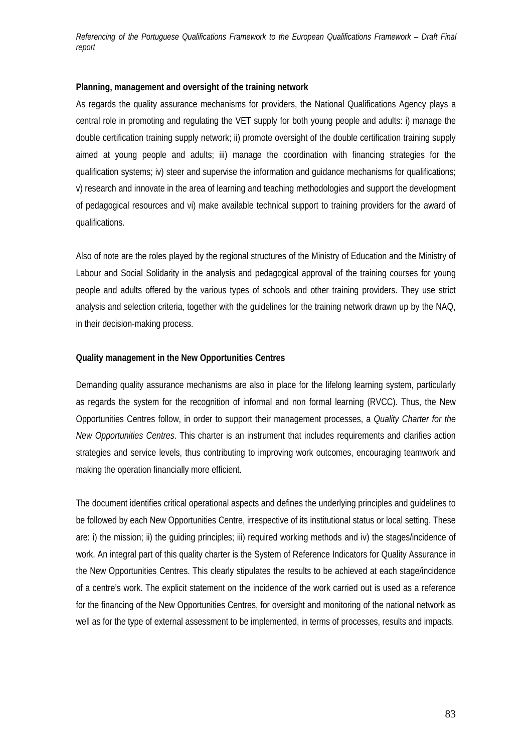#### **Planning, management and oversight of the training network**

As regards the quality assurance mechanisms for providers, the National Qualifications Agency plays a central role in promoting and regulating the VET supply for both young people and adults: i) manage the double certification training supply network; ii) promote oversight of the double certification training supply aimed at young people and adults; iii) manage the coordination with financing strategies for the qualification systems; iv) steer and supervise the information and guidance mechanisms for qualifications; v) research and innovate in the area of learning and teaching methodologies and support the development of pedagogical resources and vi) make available technical support to training providers for the award of qualifications.

Also of note are the roles played by the regional structures of the Ministry of Education and the Ministry of Labour and Social Solidarity in the analysis and pedagogical approval of the training courses for young people and adults offered by the various types of schools and other training providers. They use strict analysis and selection criteria, together with the guidelines for the training network drawn up by the NAQ, in their decision-making process.

### **Quality management in the New Opportunities Centres**

Demanding quality assurance mechanisms are also in place for the lifelong learning system, particularly as regards the system for the recognition of informal and non formal learning (RVCC). Thus, the New Opportunities Centres follow, in order to support their management processes, a *Quality Charter for the New Opportunities Centres*. This charter is an instrument that includes requirements and clarifies action strategies and service levels, thus contributing to improving work outcomes, encouraging teamwork and making the operation financially more efficient.

The document identifies critical operational aspects and defines the underlying principles and guidelines to be followed by each New Opportunities Centre, irrespective of its institutional status or local setting. These are: i) the mission; ii) the guiding principles; iii) required working methods and iv) the stages/incidence of work. An integral part of this quality charter is the System of Reference Indicators for Quality Assurance in the New Opportunities Centres. This clearly stipulates the results to be achieved at each stage/incidence of a centre's work. The explicit statement on the incidence of the work carried out is used as a reference for the financing of the New Opportunities Centres, for oversight and monitoring of the national network as well as for the type of external assessment to be implemented, in terms of processes, results and impacts.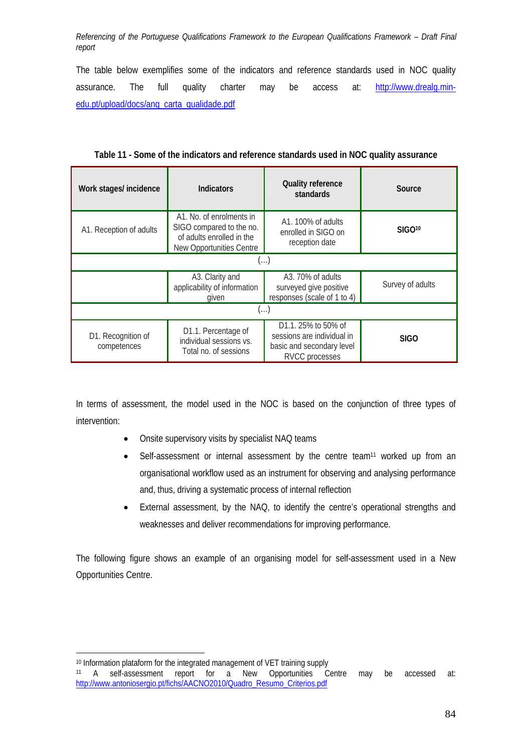The table below exemplifies some of the indicators and reference standards used in NOC quality assurance. The full quality charter may be access at: http://www.drealg.minedu.pt/upload/docs/ang\_carta\_qualidade.pdf

| Work stages/ incidence            | Indicators                                                                                                                             |                                                                                                                    | Source             |  |  |  |  |  |
|-----------------------------------|----------------------------------------------------------------------------------------------------------------------------------------|--------------------------------------------------------------------------------------------------------------------|--------------------|--|--|--|--|--|
| A1. Reception of adults           | A1. No. of enrolments in<br>SIGO compared to the no.<br>of adults enrolled in the<br>New Opportunities Centre                          | A1. 100% of adults<br>enrolled in SIGO on<br>reception date                                                        | SIGO <sup>10</sup> |  |  |  |  |  |
| $\left( \ldots \right)$           |                                                                                                                                        |                                                                                                                    |                    |  |  |  |  |  |
|                                   | A3. 70% of adults<br>A3. Clarity and<br>applicability of information<br>surveyed give positive<br>responses (scale of 1 to 4)<br>given |                                                                                                                    | Survey of adults   |  |  |  |  |  |
| $\left( \ldots \right)$           |                                                                                                                                        |                                                                                                                    |                    |  |  |  |  |  |
| D1. Recognition of<br>competences | D1.1. Percentage of<br>individual sessions vs.<br>Total no. of sessions                                                                | D <sub>1.1</sub> 25% to 50% of<br>sessions are individual in<br>basic and secondary level<br><b>RVCC</b> processes | <b>SIGO</b>        |  |  |  |  |  |

**Table 11 - Some of the indicators and reference standards used in NOC quality assurance** 

In terms of assessment, the model used in the NOC is based on the conjunction of three types of intervention:

- Onsite supervisory visits by specialist NAQ teams
- Self-assessment or internal assessment by the centre team<sup>11</sup> worked up from an organisational workflow used as an instrument for observing and analysing performance and, thus, driving a systematic process of internal reflection
- External assessment, by the NAQ, to identify the centre's operational strengths and weaknesses and deliver recommendations for improving performance.

The following figure shows an example of an organising model for self-assessment used in a New Opportunities Centre.

1

<sup>&</sup>lt;sup>10</sup> Information plataform for the integrated management of VET training supply

<sup>11</sup> A self-assessment report for a New Opportunities Centre may be accessed at: http://www.antoniosergio.pt/fichs/AACNO2010/Quadro\_Resumo\_Criterios.pdf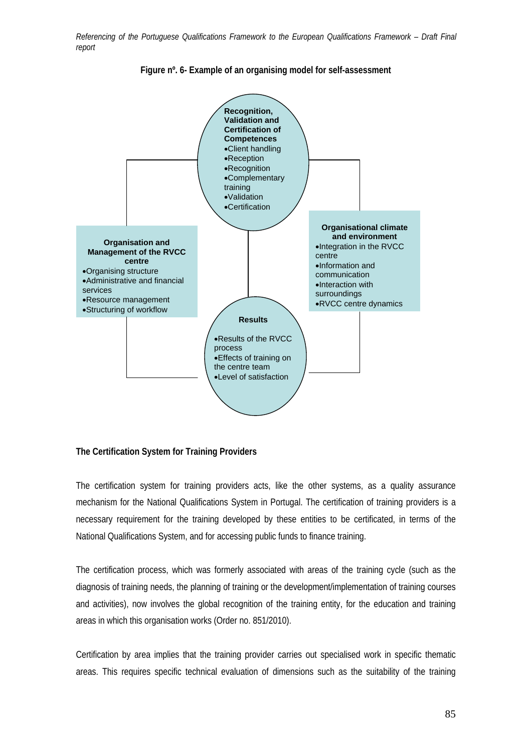

**Figure nº. 6- Example of an organising model for self-assessment** 

### **The Certification System for Training Providers**

The certification system for training providers acts, like the other systems, as a quality assurance mechanism for the National Qualifications System in Portugal. The certification of training providers is a necessary requirement for the training developed by these entities to be certificated, in terms of the National Qualifications System, and for accessing public funds to finance training.

The certification process, which was formerly associated with areas of the training cycle (such as the diagnosis of training needs, the planning of training or the development/implementation of training courses and activities), now involves the global recognition of the training entity, for the education and training areas in which this organisation works (Order no. 851/2010).

Certification by area implies that the training provider carries out specialised work in specific thematic areas. This requires specific technical evaluation of dimensions such as the suitability of the training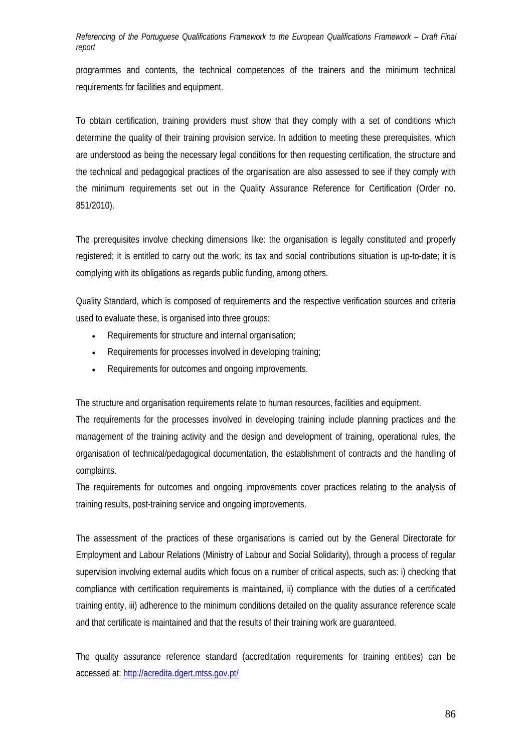programmes and contents, the technical competences of the trainers and the minimum technical requirements for facilities and equipment.

To obtain certification, training providers must show that they comply with a set of conditions which determine the quality of their training provision service. In addition to meeting these prerequisites, which are understood as being the necessary legal conditions for then requesting certification, the structure and the technical and pedagogical practices of the organisation are also assessed to see if they comply with the minimum requirements set out in the Quality Assurance Reference for Certification (Order no. 851/2010).

The prerequisites involve checking dimensions like: the organisation is legally constituted and properly registered; it is entitled to carry out the work; its tax and social contributions situation is up-to-date; it is complying with its obligations as regards public funding, among others.

Quality Standard, which is composed of requirements and the respective verification sources and criteria used to evaluate these, is organised into three groups:

- Requirements for structure and internal organisation;
- Requirements for processes involved in developing training;
- Requirements for outcomes and ongoing improvements.

The structure and organisation requirements relate to human resources, facilities and equipment.

The requirements for the processes involved in developing training include planning practices and the management of the training activity and the design and development of training, operational rules, the organisation of technical/pedagogical documentation, the establishment of contracts and the handling of complaints.

The requirements for outcomes and ongoing improvements cover practices relating to the analysis of training results, post-training service and ongoing improvements.

The assessment of the practices of these organisations is carried out by the General Directorate for Employment and Labour Relations (Ministry of Labour and Social Solidarity), through a process of regular supervision involving external audits which focus on a number of critical aspects, such as: i) checking that compliance with certification requirements is maintained, ii) compliance with the duties of a certificated training entity, iii) adherence to the minimum conditions detailed on the quality assurance reference scale and that certificate is maintained and that the results of their training work are guaranteed.

The quality assurance reference standard (accreditation requirements for training entities) can be accessed at: http://acredita.dgert.mtss.gov.pt/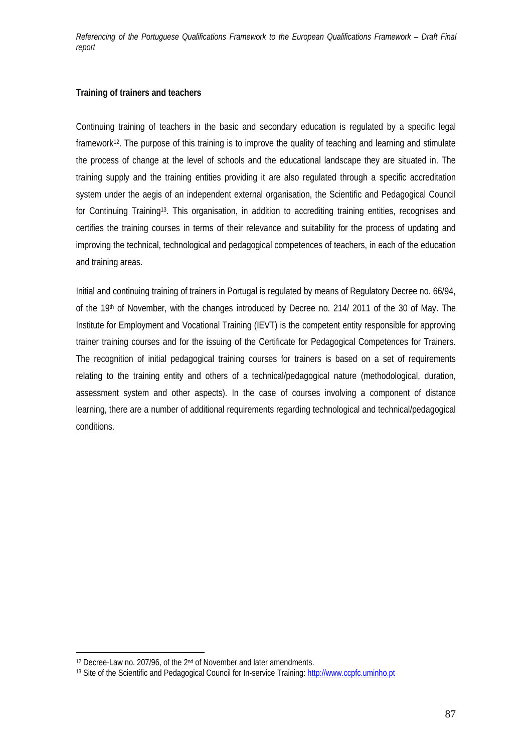### **Training of trainers and teachers**

Continuing training of teachers in the basic and secondary education is regulated by a specific legal framework<sup>12</sup>. The purpose of this training is to improve the quality of teaching and learning and stimulate the process of change at the level of schools and the educational landscape they are situated in. The training supply and the training entities providing it are also regulated through a specific accreditation system under the aegis of an independent external organisation, the Scientific and Pedagogical Council for Continuing Training13. This organisation, in addition to accrediting training entities, recognises and certifies the training courses in terms of their relevance and suitability for the process of updating and improving the technical, technological and pedagogical competences of teachers, in each of the education and training areas.

Initial and continuing training of trainers in Portugal is regulated by means of Regulatory Decree no. 66/94, of the 19th of November, with the changes introduced by Decree no. 214/ 2011 of the 30 of May. The Institute for Employment and Vocational Training (IEVT) is the competent entity responsible for approving trainer training courses and for the issuing of the Certificate for Pedagogical Competences for Trainers. The recognition of initial pedagogical training courses for trainers is based on a set of requirements relating to the training entity and others of a technical/pedagogical nature (methodological, duration, assessment system and other aspects). In the case of courses involving a component of distance learning, there are a number of additional requirements regarding technological and technical/pedagogical conditions.

1

<sup>&</sup>lt;sup>12</sup> Decree-Law no. 207/96, of the 2<sup>nd</sup> of November and later amendments.

<sup>&</sup>lt;sup>13</sup> Site of the Scientific and Pedagogical Council for In-service Training: http://www.ccpfc.uminho.pt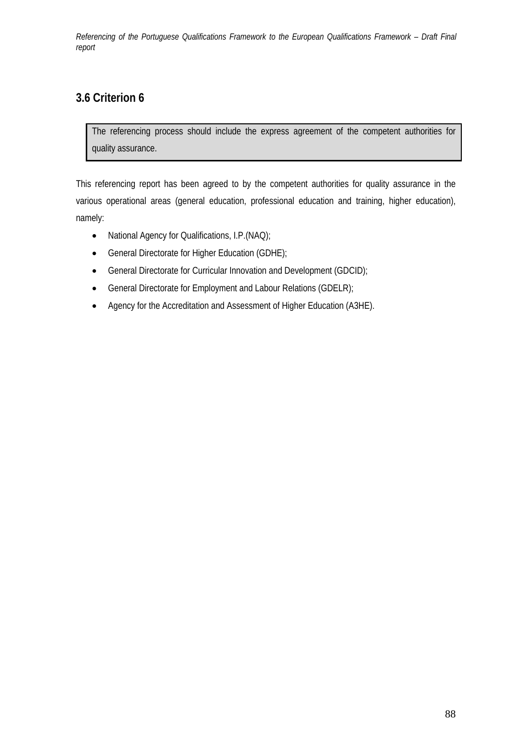# **3.6 Criterion 6**

The referencing process should include the express agreement of the competent authorities for quality assurance.

This referencing report has been agreed to by the competent authorities for quality assurance in the various operational areas (general education, professional education and training, higher education), namely:

- National Agency for Qualifications, I.P.(NAQ);
- General Directorate for Higher Education (GDHE);
- General Directorate for Curricular Innovation and Development (GDCID);
- General Directorate for Employment and Labour Relations (GDELR);
- Agency for the Accreditation and Assessment of Higher Education (A3HE).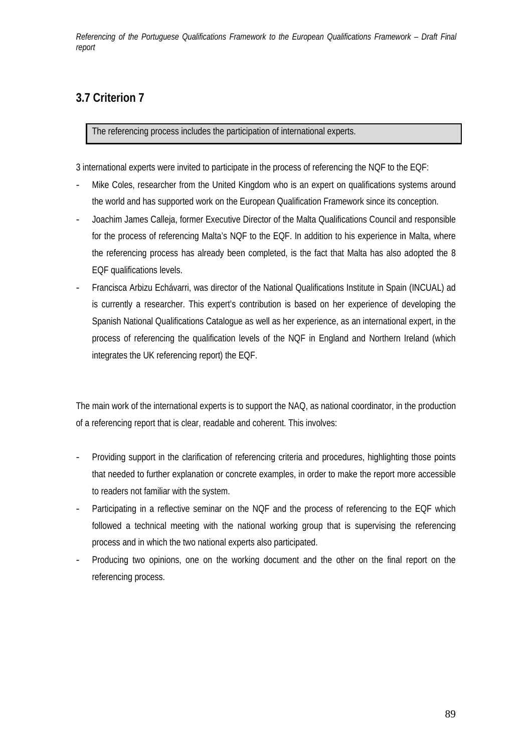# **3.7 Criterion 7**

The referencing process includes the participation of international experts.

3 international experts were invited to participate in the process of referencing the NQF to the EQF:

- Mike Coles, researcher from the United Kingdom who is an expert on qualifications systems around the world and has supported work on the European Qualification Framework since its conception.
- Joachim James Calleja, former Executive Director of the Malta Qualifications Council and responsible for the process of referencing Malta's NQF to the EQF. In addition to his experience in Malta, where the referencing process has already been completed, is the fact that Malta has also adopted the 8 EQF qualifications levels.
- Francisca Arbizu Echávarri, was director of the National Qualifications Institute in Spain (INCUAL) ad is currently a researcher. This expert's contribution is based on her experience of developing the Spanish National Qualifications Catalogue as well as her experience, as an international expert, in the process of referencing the qualification levels of the NQF in England and Northern Ireland (which integrates the UK referencing report) the EQF.

The main work of the international experts is to support the NAQ, as national coordinator, in the production of a referencing report that is clear, readable and coherent. This involves:

- Providing support in the clarification of referencing criteria and procedures, highlighting those points that needed to further explanation or concrete examples, in order to make the report more accessible to readers not familiar with the system.
- Participating in a reflective seminar on the NQF and the process of referencing to the EQF which followed a technical meeting with the national working group that is supervising the referencing process and in which the two national experts also participated.
- Producing two opinions, one on the working document and the other on the final report on the referencing process.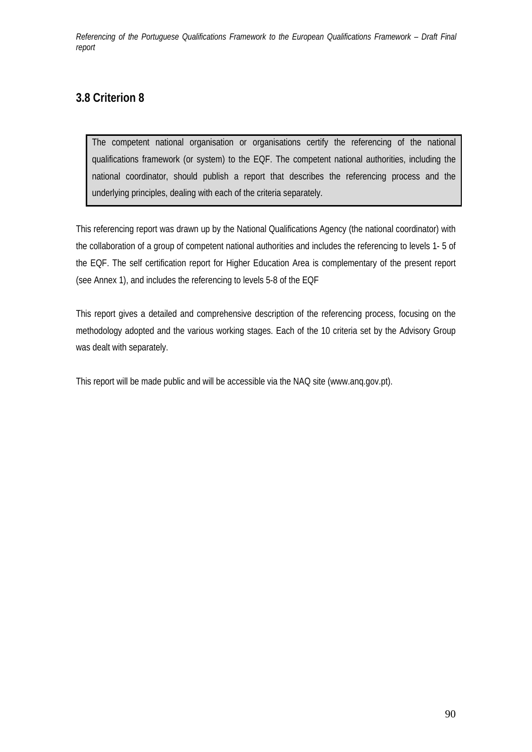# **3.8 Criterion 8**

The competent national organisation or organisations certify the referencing of the national qualifications framework (or system) to the EQF. The competent national authorities, including the national coordinator, should publish a report that describes the referencing process and the underlying principles, dealing with each of the criteria separately.

This referencing report was drawn up by the National Qualifications Agency (the national coordinator) with the collaboration of a group of competent national authorities and includes the referencing to levels 1- 5 of the EQF. The self certification report for Higher Education Area is complementary of the present report (see Annex 1), and includes the referencing to levels 5-8 of the EQF

This report gives a detailed and comprehensive description of the referencing process, focusing on the methodology adopted and the various working stages. Each of the 10 criteria set by the Advisory Group was dealt with separately.

This report will be made public and will be accessible via the NAQ site (www.anq.gov.pt).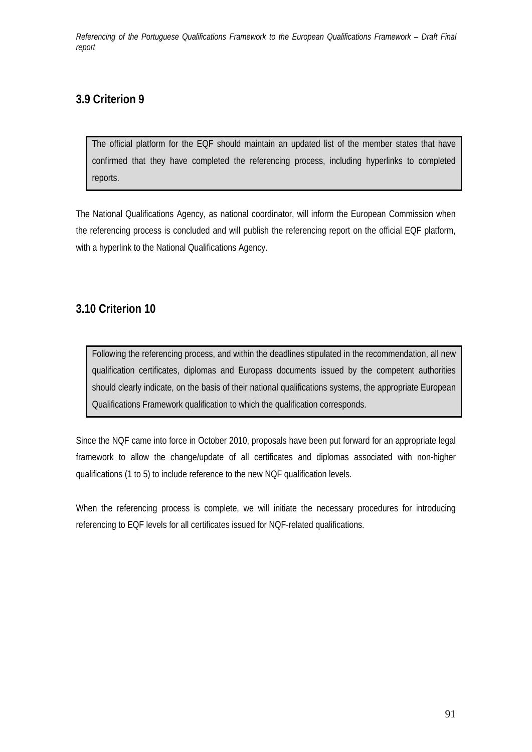# **3.9 Criterion 9**

The official platform for the EQF should maintain an updated list of the member states that have confirmed that they have completed the referencing process, including hyperlinks to completed reports.

The National Qualifications Agency, as national coordinator, will inform the European Commission when the referencing process is concluded and will publish the referencing report on the official EQF platform, with a hyperlink to the National Qualifications Agency.

# **3.10 Criterion 10**

Following the referencing process, and within the deadlines stipulated in the recommendation, all new qualification certificates, diplomas and Europass documents issued by the competent authorities should clearly indicate, on the basis of their national qualifications systems, the appropriate European Qualifications Framework qualification to which the qualification corresponds.

Since the NQF came into force in October 2010, proposals have been put forward for an appropriate legal framework to allow the change/update of all certificates and diplomas associated with non-higher qualifications (1 to 5) to include reference to the new NQF qualification levels.

When the referencing process is complete, we will initiate the necessary procedures for introducing referencing to EQF levels for all certificates issued for NQF-related qualifications.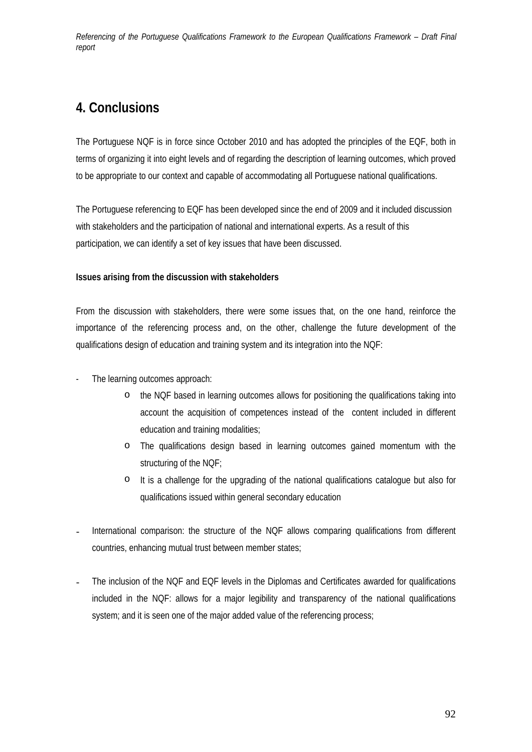# **4. Conclusions**

The Portuguese NQF is in force since October 2010 and has adopted the principles of the EQF, both in terms of organizing it into eight levels and of regarding the description of learning outcomes, which proved to be appropriate to our context and capable of accommodating all Portuguese national qualifications.

The Portuguese referencing to EQF has been developed since the end of 2009 and it included discussion with stakeholders and the participation of national and international experts. As a result of this participation, we can identify a set of key issues that have been discussed.

### **Issues arising from the discussion with stakeholders**

From the discussion with stakeholders, there were some issues that, on the one hand, reinforce the importance of the referencing process and, on the other, challenge the future development of the qualifications design of education and training system and its integration into the NQF:

- The learning outcomes approach:
	- o the NQF based in learning outcomes allows for positioning the qualifications taking into account the acquisition of competences instead of the content included in different education and training modalities;
	- o The qualifications design based in learning outcomes gained momentum with the structuring of the NQF;
	- o It is a challenge for the upgrading of the national qualifications catalogue but also for qualifications issued within general secondary education
- International comparison: the structure of the NQF allows comparing qualifications from different countries, enhancing mutual trust between member states;
- The inclusion of the NQF and EQF levels in the Diplomas and Certificates awarded for qualifications included in the NQF: allows for a major legibility and transparency of the national qualifications system; and it is seen one of the major added value of the referencing process;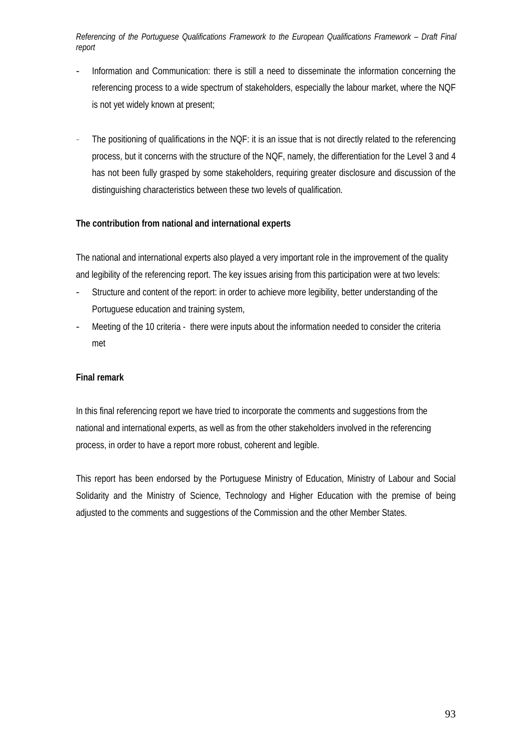- Information and Communication: there is still a need to disseminate the information concerning the referencing process to a wide spectrum of stakeholders, especially the labour market, where the NQF is not yet widely known at present;
- The positioning of qualifications in the NQF: it is an issue that is not directly related to the referencing process, but it concerns with the structure of the NQF, namely, the differentiation for the Level 3 and 4 has not been fully grasped by some stakeholders, requiring greater disclosure and discussion of the distinguishing characteristics between these two levels of qualification.

### **The contribution from national and international experts**

The national and international experts also played a very important role in the improvement of the quality and legibility of the referencing report. The key issues arising from this participation were at two levels:

- Structure and content of the report: in order to achieve more legibility, better understanding of the Portuguese education and training system,
- Meeting of the 10 criteria there were inputs about the information needed to consider the criteria met

### **Final remark**

In this final referencing report we have tried to incorporate the comments and suggestions from the national and international experts, as well as from the other stakeholders involved in the referencing process, in order to have a report more robust, coherent and legible.

This report has been endorsed by the Portuguese Ministry of Education, Ministry of Labour and Social Solidarity and the Ministry of Science, Technology and Higher Education with the premise of being adjusted to the comments and suggestions of the Commission and the other Member States.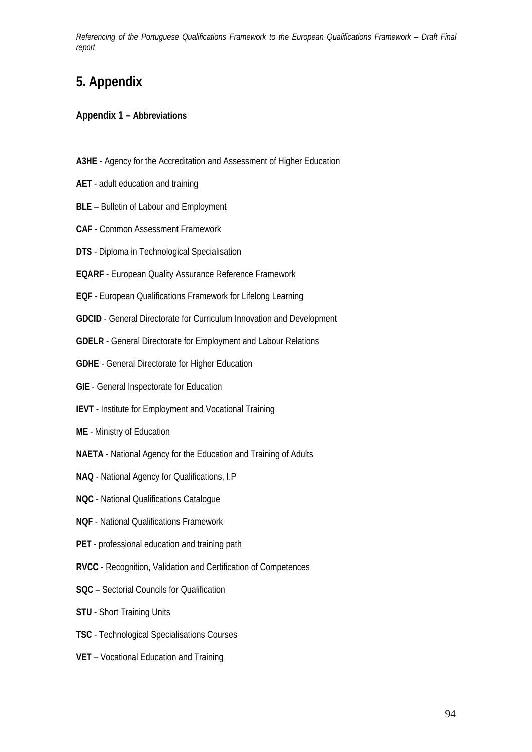# **5. Appendix**

**Appendix 1 – Abbreviations**

- **A3HE** Agency for the Accreditation and Assessment of Higher Education
- **AET**  adult education and training
- **BLE** Bulletin of Labour and Employment
- **CAF** Common Assessment Framework
- **DTS**  Diploma in Technological Specialisation
- **EQARF** European Quality Assurance Reference Framework
- **EQF** European Qualifications Framework for Lifelong Learning
- **GDCID** General Directorate for Curriculum Innovation and Development
- **GDELR** General Directorate for Employment and Labour Relations
- **GDHE** General Directorate for Higher Education
- **GIE**  General Inspectorate for Education
- **IEVT** Institute for Employment and Vocational Training
- **ME**  Ministry of Education
- **NAETA** National Agency for the Education and Training of Adults
- **NAQ** National Agency for Qualifications, I.P
- **NQC** National Qualifications Catalogue
- **NQF** National Qualifications Framework
- **PET**  professional education and training path
- **RVCC** Recognition, Validation and Certification of Competences
- **SQC** Sectorial Councils for Qualification
- **STU** Short Training Units
- **TSC** Technological Specialisations Courses
- **VET** Vocational Education and Training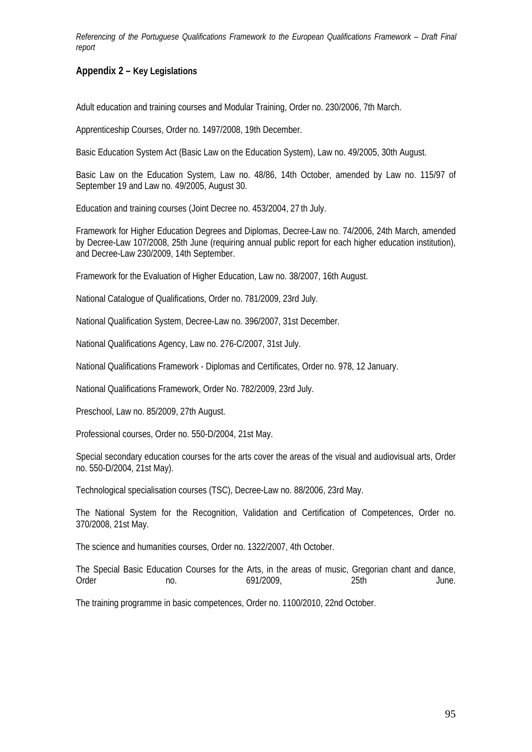### **Appendix 2 – Key Legislations**

Adult education and training courses and Modular Training, Order no. 230/2006, 7th March.

Apprenticeship Courses, Order no. 1497/2008, 19th December.

Basic Education System Act (Basic Law on the Education System), Law no. 49/2005, 30th August.

Basic Law on the Education System, Law no. 48/86, 14th October, amended by Law no. 115/97 of September 19 and Law no. 49/2005, August 30.

Education and training courses (Joint Decree no. 453/2004, 27 th July.

Framework for Higher Education Degrees and Diplomas, Decree-Law no. 74/2006, 24th March, amended by Decree-Law 107/2008, 25th June (requiring annual public report for each higher education institution), and Decree-Law 230/2009, 14th September.

Framework for the Evaluation of Higher Education, Law no. 38/2007, 16th August.

National Catalogue of Qualifications, Order no. 781/2009, 23rd July.

National Qualification System, Decree-Law no. 396/2007, 31st December.

National Qualifications Agency, Law no. 276-C/2007, 31st July.

National Qualifications Framework - Diplomas and Certificates, Order no. 978, 12 January.

National Qualifications Framework, Order No. 782/2009, 23rd July.

Preschool, Law no. 85/2009, 27th August.

Professional courses, Order no. 550-D/2004, 21st May.

Special secondary education courses for the arts cover the areas of the visual and audiovisual arts, Order no. 550-D/2004, 21st May).

Technological specialisation courses (TSC), Decree-Law no. 88/2006, 23rd May.

The National System for the Recognition, Validation and Certification of Competences, Order no. 370/2008, 21st May.

The science and humanities courses, Order no. 1322/2007, 4th October.

The Special Basic Education Courses for the Arts, in the areas of music, Gregorian chant and dance, Order no. 691/2009, 25th June.

The training programme in basic competences, Order no. 1100/2010, 22nd October.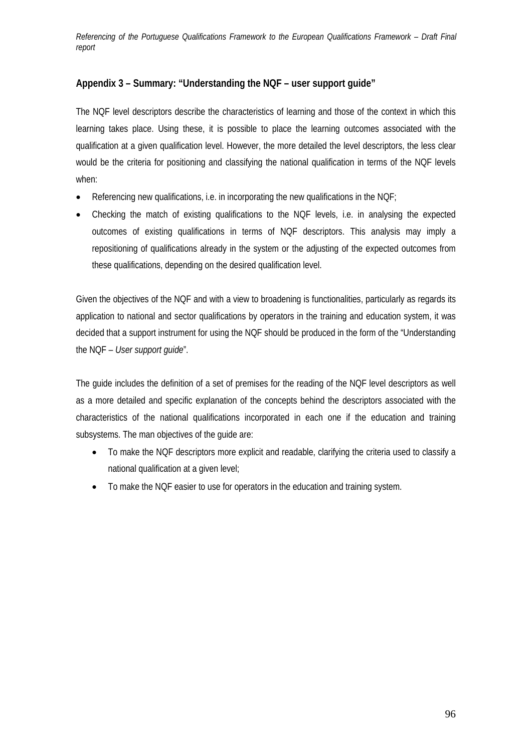## **Appendix 3 – Summary: "Understanding the NQF – user support guide"**

The NQF level descriptors describe the characteristics of learning and those of the context in which this learning takes place. Using these, it is possible to place the learning outcomes associated with the qualification at a given qualification level. However, the more detailed the level descriptors, the less clear would be the criteria for positioning and classifying the national qualification in terms of the NQF levels when:

- Referencing new qualifications, i.e. in incorporating the new qualifications in the NQF;
- Checking the match of existing qualifications to the NQF levels, i.e. in analysing the expected outcomes of existing qualifications in terms of NQF descriptors. This analysis may imply a repositioning of qualifications already in the system or the adjusting of the expected outcomes from these qualifications, depending on the desired qualification level.

Given the objectives of the NQF and with a view to broadening is functionalities, particularly as regards its application to national and sector qualifications by operators in the training and education system, it was decided that a support instrument for using the NQF should be produced in the form of the "Understanding the NQF – *User support guide*".

The guide includes the definition of a set of premises for the reading of the NQF level descriptors as well as a more detailed and specific explanation of the concepts behind the descriptors associated with the characteristics of the national qualifications incorporated in each one if the education and training subsystems. The man objectives of the guide are:

- To make the NQF descriptors more explicit and readable, clarifying the criteria used to classify a national qualification at a given level;
- To make the NQF easier to use for operators in the education and training system.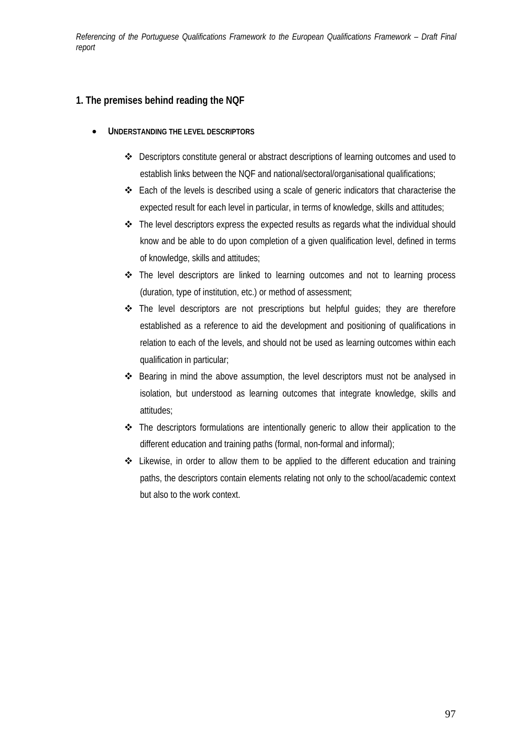## **1. The premises behind reading the NQF**

- **UNDERSTANDING THE LEVEL DESCRIPTORS**
	- Descriptors constitute general or abstract descriptions of learning outcomes and used to establish links between the NQF and national/sectoral/organisational qualifications;
	- Each of the levels is described using a scale of generic indicators that characterise the expected result for each level in particular, in terms of knowledge, skills and attitudes;
	- The level descriptors express the expected results as regards what the individual should know and be able to do upon completion of a given qualification level, defined in terms of knowledge, skills and attitudes;
	- The level descriptors are linked to learning outcomes and not to learning process (duration, type of institution, etc.) or method of assessment;
	- \* The level descriptors are not prescriptions but helpful guides; they are therefore established as a reference to aid the development and positioning of qualifications in relation to each of the levels, and should not be used as learning outcomes within each qualification in particular;
	- Bearing in mind the above assumption, the level descriptors must not be analysed in isolation, but understood as learning outcomes that integrate knowledge, skills and attitudes;
	- \* The descriptors formulations are intentionally generic to allow their application to the different education and training paths (formal, non-formal and informal);
	- Likewise, in order to allow them to be applied to the different education and training paths, the descriptors contain elements relating not only to the school/academic context but also to the work context.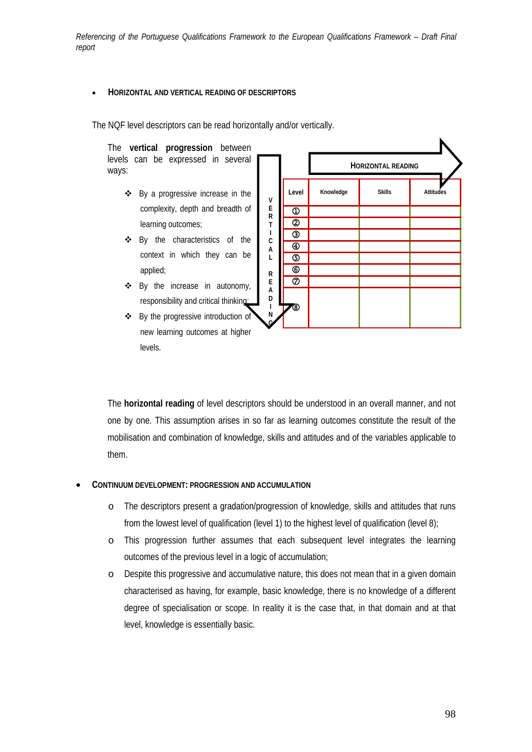#### • **HORIZONTAL AND VERTICAL READING OF DESCRIPTORS**

The NQF level descriptors can be read horizontally and/or vertically.

The **vertical progression** between levels can be expressed in several ways:

- By a progressive increase in the complexity, depth and breadth of learning outcomes;
- By the characteristics of the context in which they can be applied;
- By the increase in autonomy, responsibility and critical thinking;
- By the progressive introduction of new learning outcomes at higher levels.



The **horizontal reading** of level descriptors should be understood in an overall manner, and not one by one. This assumption arises in so far as learning outcomes constitute the result of the mobilisation and combination of knowledge, skills and attitudes and of the variables applicable to them.

#### • **CONTINUUM DEVELOPMENT: PROGRESSION AND ACCUMULATION**

- o The descriptors present a gradation/progression of knowledge, skills and attitudes that runs from the lowest level of qualification (level 1) to the highest level of qualification (level 8);
- o This progression further assumes that each subsequent level integrates the learning outcomes of the previous level in a logic of accumulation;
- o Despite this progressive and accumulative nature, this does not mean that in a given domain characterised as having, for example, basic knowledge, there is no knowledge of a different degree of specialisation or scope. In reality it is the case that, in that domain and at that level, knowledge is essentially basic.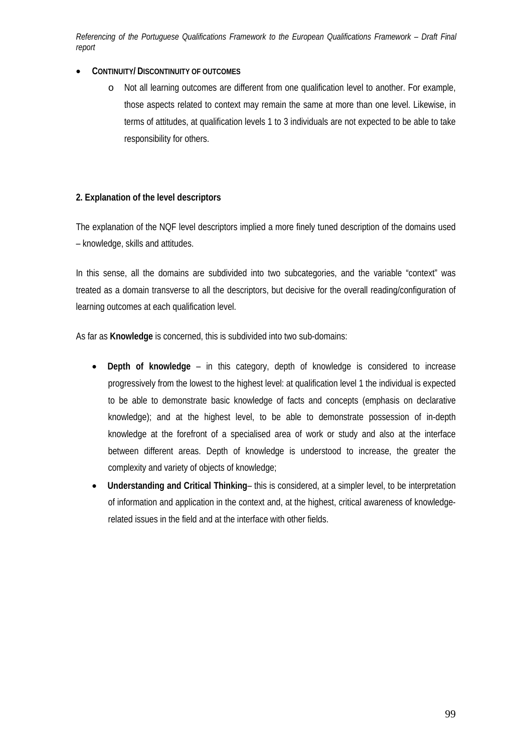### • **CONTINUITY/ DISCONTINUITY OF OUTCOMES**

o Not all learning outcomes are different from one qualification level to another. For example, those aspects related to context may remain the same at more than one level. Likewise, in terms of attitudes, at qualification levels 1 to 3 individuals are not expected to be able to take responsibility for others.

### **2. Explanation of the level descriptors**

The explanation of the NQF level descriptors implied a more finely tuned description of the domains used – knowledge, skills and attitudes.

In this sense, all the domains are subdivided into two subcategories, and the variable "context" was treated as a domain transverse to all the descriptors, but decisive for the overall reading/configuration of learning outcomes at each qualification level.

As far as **Knowledge** is concerned, this is subdivided into two sub-domains:

- **Depth of knowledge** in this category, depth of knowledge is considered to increase progressively from the lowest to the highest level: at qualification level 1 the individual is expected to be able to demonstrate basic knowledge of facts and concepts (emphasis on declarative knowledge); and at the highest level, to be able to demonstrate possession of in-depth knowledge at the forefront of a specialised area of work or study and also at the interface between different areas. Depth of knowledge is understood to increase, the greater the complexity and variety of objects of knowledge;
- **Understanding and Critical Thinking** this is considered, at a simpler level, to be interpretation of information and application in the context and, at the highest, critical awareness of knowledgerelated issues in the field and at the interface with other fields.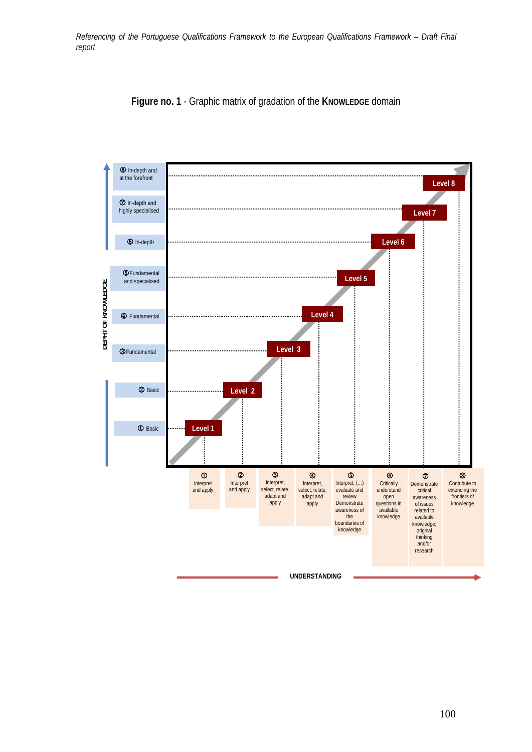

Figure no. 1 - Graphic matrix of gradation of the KNOWLEDGE domain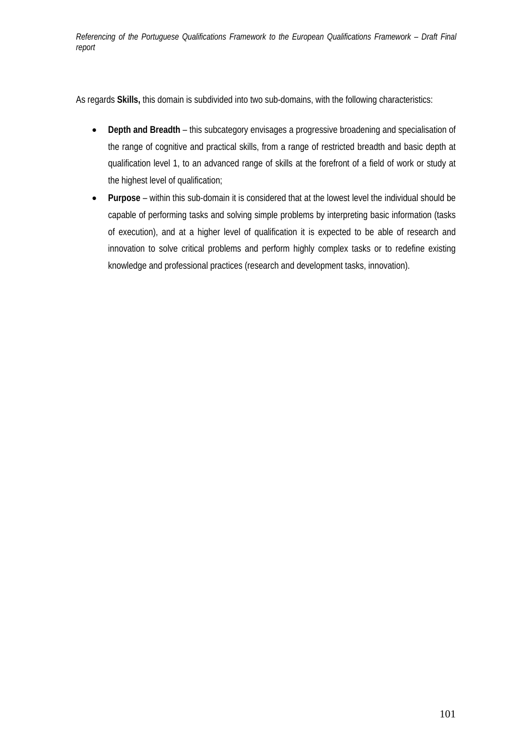As regards **Skills,** this domain is subdivided into two sub-domains, with the following characteristics:

- **Depth and Breadth**  this subcategory envisages a progressive broadening and specialisation of the range of cognitive and practical skills, from a range of restricted breadth and basic depth at qualification level 1, to an advanced range of skills at the forefront of a field of work or study at the highest level of qualification;
- **Purpose**  within this sub-domain it is considered that at the lowest level the individual should be capable of performing tasks and solving simple problems by interpreting basic information (tasks of execution), and at a higher level of qualification it is expected to be able of research and innovation to solve critical problems and perform highly complex tasks or to redefine existing knowledge and professional practices (research and development tasks, innovation).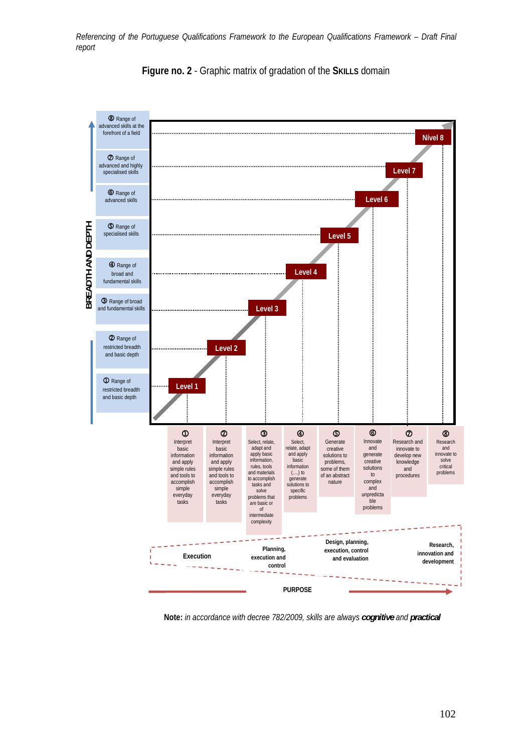



**Note:** *in accordance with decree 782/2009, skills are always cognitive and practical*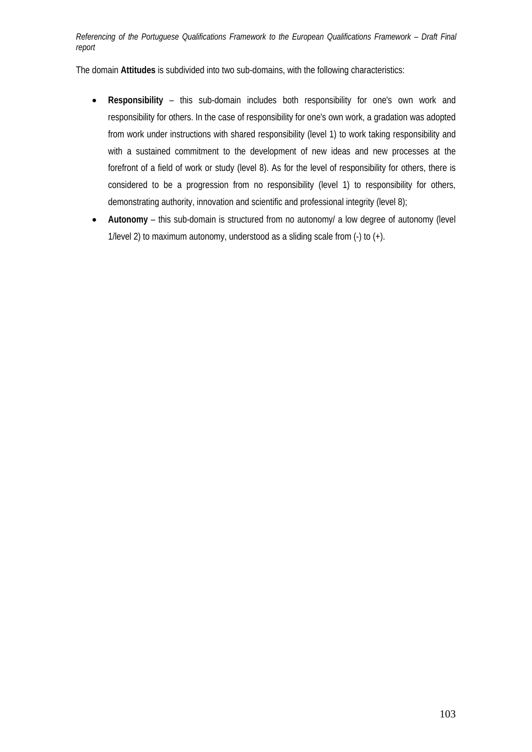The domain **Attitudes** is subdivided into two sub-domains, with the following characteristics:

- **Responsibility** this sub-domain includes both responsibility for one's own work and responsibility for others. In the case of responsibility for one's own work, a gradation was adopted from work under instructions with shared responsibility (level 1) to work taking responsibility and with a sustained commitment to the development of new ideas and new processes at the forefront of a field of work or study (level 8). As for the level of responsibility for others, there is considered to be a progression from no responsibility (level 1) to responsibility for others, demonstrating authority, innovation and scientific and professional integrity (level 8);
- **Autonomy**  this sub-domain is structured from no autonomy/ a low degree of autonomy (level 1/level 2) to maximum autonomy, understood as a sliding scale from (-) to (+).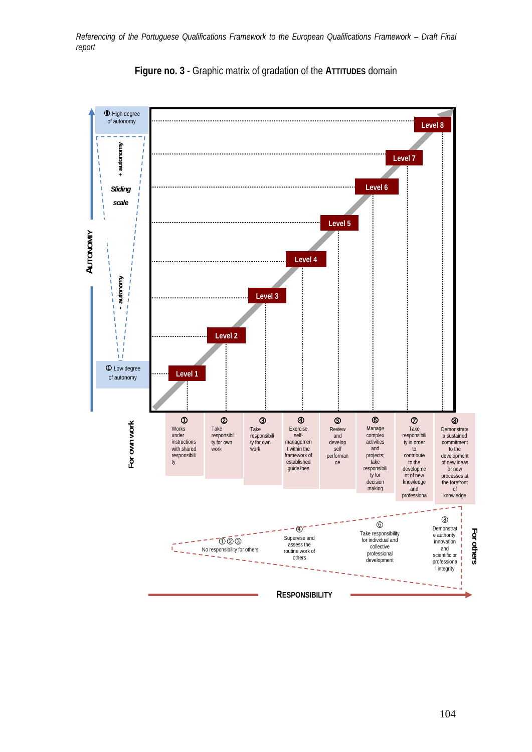

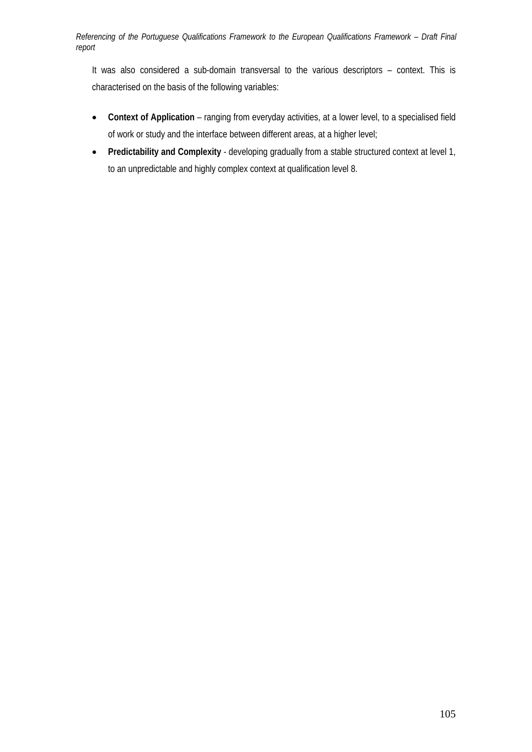It was also considered a sub-domain transversal to the various descriptors – context. This is characterised on the basis of the following variables:

- **Context of Application**  ranging from everyday activities, at a lower level, to a specialised field of work or study and the interface between different areas, at a higher level;
- **Predictability and Complexity**  developing gradually from a stable structured context at level 1, to an unpredictable and highly complex context at qualification level 8.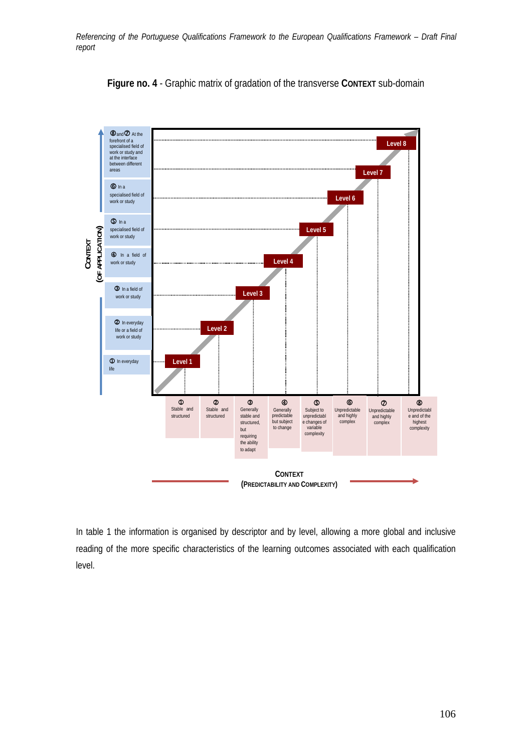

**Figure no. 4** - Graphic matrix of gradation of the transverse **CONTEXT** sub-domain

In table 1 the information is organised by descriptor and by level, allowing a more global and inclusive reading of the more specific characteristics of the learning outcomes associated with each qualification level.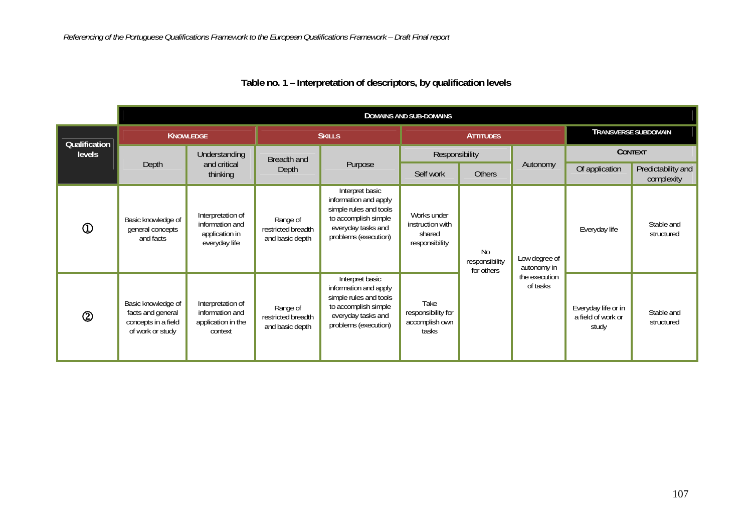|                         | <b>DOMAINS AND SUB-DOMAINS</b>                                                     |                                                                         |                                                   |                                                                                                                                          |                                                             |                                    |                                                           |                                                    |                                  |  |
|-------------------------|------------------------------------------------------------------------------------|-------------------------------------------------------------------------|---------------------------------------------------|------------------------------------------------------------------------------------------------------------------------------------------|-------------------------------------------------------------|------------------------------------|-----------------------------------------------------------|----------------------------------------------------|----------------------------------|--|
| Qualification<br>levels | <b>KNOWLEDGE</b>                                                                   |                                                                         | <b>SKILLS</b>                                     |                                                                                                                                          | <b>ATTITUDES</b>                                            |                                    |                                                           | TRANSVERSE SUBDOMAIN                               |                                  |  |
|                         | Depth                                                                              | Understanding<br>and critical<br>thinking                               | Breadth and<br>Depth                              | Purpose                                                                                                                                  | Responsibility                                              |                                    |                                                           | <b>CONTEXT</b>                                     |                                  |  |
|                         |                                                                                    |                                                                         |                                                   |                                                                                                                                          | Self work                                                   | <b>Others</b>                      | Autonomy                                                  | Of application                                     | Predictability and<br>complexity |  |
| $\bigcirc$              | Basic knowledge of<br>general concepts<br>and facts                                | Interpretation of<br>information and<br>application in<br>everyday life | Range of<br>restricted breadth<br>and basic depth | Interpret basic<br>information and apply<br>simple rules and tools<br>to accomplish simple<br>everyday tasks and<br>problems (execution) | Works under<br>instruction with<br>shared<br>responsibility | No<br>responsibility<br>for others | Low degree of<br>autonomy in<br>the execution<br>of tasks | Everyday life                                      | Stable and<br>structured         |  |
| $^{\circledR}$          | Basic knowledge of<br>facts and general<br>concepts in a field<br>of work or study | Interpretation of<br>information and<br>application in the<br>context   | Range of<br>restricted breadth<br>and basic depth | Interpret basic<br>information and apply<br>simple rules and tools<br>to accomplish simple<br>everyday tasks and<br>problems (execution) | Take<br>responsibility for<br>accomplish own<br>tasks       |                                    |                                                           | Everyday life or in<br>a field of work or<br>study | Stable and<br>structured         |  |

# **Table no. 1 – Interpretation of descriptors, by qualification levels**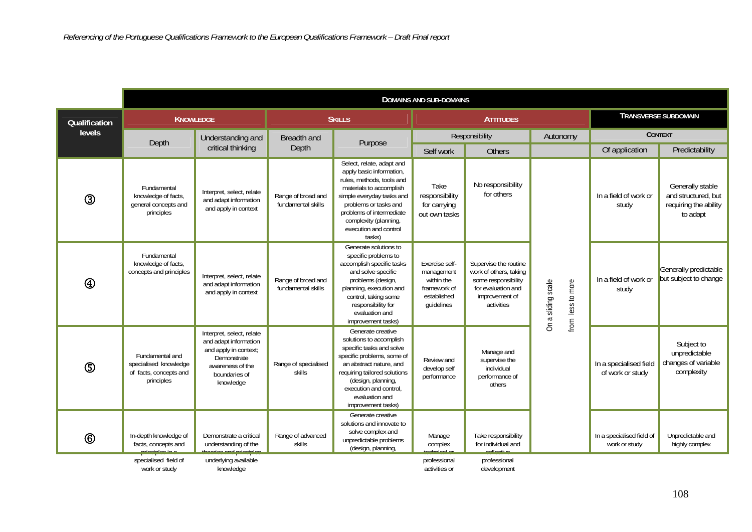|                                | <b>DOMAINS AND SUB-DOMAINS</b>                                                   |                                                                                                                                              |                                          |                                                                                                                                                                                                                                                             |                                                                                         |                                                                                                                              |                                                  |                                            |                                                                              |
|--------------------------------|----------------------------------------------------------------------------------|----------------------------------------------------------------------------------------------------------------------------------------------|------------------------------------------|-------------------------------------------------------------------------------------------------------------------------------------------------------------------------------------------------------------------------------------------------------------|-----------------------------------------------------------------------------------------|------------------------------------------------------------------------------------------------------------------------------|--------------------------------------------------|--------------------------------------------|------------------------------------------------------------------------------|
| Qualification<br><b>levels</b> | <b>KNOWLEDGE</b>                                                                 |                                                                                                                                              | <b>SKILLS</b>                            |                                                                                                                                                                                                                                                             | <b>ATTITUDES</b>                                                                        |                                                                                                                              |                                                  | <b>TRANSVERSE SUBDOMAIN</b>                |                                                                              |
|                                | Depth                                                                            | Understanding and<br>critical thinking                                                                                                       | Breadth and<br>Depth                     | Purpose                                                                                                                                                                                                                                                     | Responsibility                                                                          |                                                                                                                              | Autonomy                                         | <b>CONTEXT</b>                             |                                                                              |
|                                |                                                                                  |                                                                                                                                              |                                          |                                                                                                                                                                                                                                                             | Self work                                                                               | <b>Others</b>                                                                                                                |                                                  | Of application                             | Predictability                                                               |
| $\circledS$                    | Fundamental<br>knowledge of facts,<br>general concepts and<br>principles         | Interpret, select, relate<br>and adapt information<br>and apply in context                                                                   | Range of broad and<br>fundamental skills | Select, relate, adapt and<br>apply basic information,<br>rules, methods, tools and<br>materials to accomplish<br>simple everyday tasks and<br>problems or tasks and<br>problems of intermediate<br>complexity (planning,<br>execution and control<br>tasks) | Take<br>responsibility<br>for carrying<br>out own tasks                                 | No responsibility<br>for others                                                                                              | from less to more<br>a sliding scale<br>$\delta$ | In a field of work or<br>study             | Generally stable<br>and structured, but<br>requiring the ability<br>to adapt |
| $\bigcirc$                     | Fundamental<br>knowledge of facts,<br>concepts and principles                    | Interpret, select, relate<br>and adapt information<br>and apply in context                                                                   | Range of broad and<br>fundamental skills | Generate solutions to<br>specific problems to<br>accomplish specific tasks<br>and solve specific<br>problems (design,<br>planning, execution and<br>control, taking some<br>responsibility for<br>evaluation and<br>improvement tasks)                      | Exercise self-<br>management<br>within the<br>framework of<br>established<br>quidelines | Supervise the routine<br>work of others, taking<br>some responsibility<br>for evaluation and<br>improvement of<br>activities |                                                  | In a field of work or<br>study             | Generally predictable<br>but subject to change                               |
| $\circledS$                    | Fundamental and<br>specialised knowledge<br>of facts, concepts and<br>principles | Interpret, select, relate<br>and adapt information<br>and apply in context;<br>Demonstrate<br>awareness of the<br>boundaries of<br>knowledge | Range of specialised<br>skills           | Generate creative<br>solutions to accomplish<br>specific tasks and solve<br>specific problems, some of<br>an abstract nature, and<br>requiring tailored solutions<br>(design, planning,<br>execution and control.<br>evaluation and<br>improvement tasks)   | Review and<br>develop self<br>performance                                               | Manage and<br>supervise the<br>individual<br>performance of<br>others                                                        |                                                  | In a specialised field<br>of work or study | Subject to<br>unpredictable<br>changes of variable<br>complexity             |
| $^{\circledR}$                 | In-depth knowledge of<br>facts, concepts and<br>specialised field of             | Demonstrate a critical<br>understanding of the<br>arios and principle<br>underlying available                                                | Range of advanced<br>skills              | Generate creative<br>solutions and innovate to<br>solve complex and<br>unpredictable problems<br>(design, planning,                                                                                                                                         | Manage<br>complex<br>professional                                                       | Take responsibility<br>for individual and<br>professional                                                                    |                                                  | In a specialised field of<br>work or study | Unpredictable and<br>highly complex                                          |
|                                | work or study                                                                    | knowledge                                                                                                                                    |                                          |                                                                                                                                                                                                                                                             | activities or                                                                           | development                                                                                                                  |                                                  |                                            |                                                                              |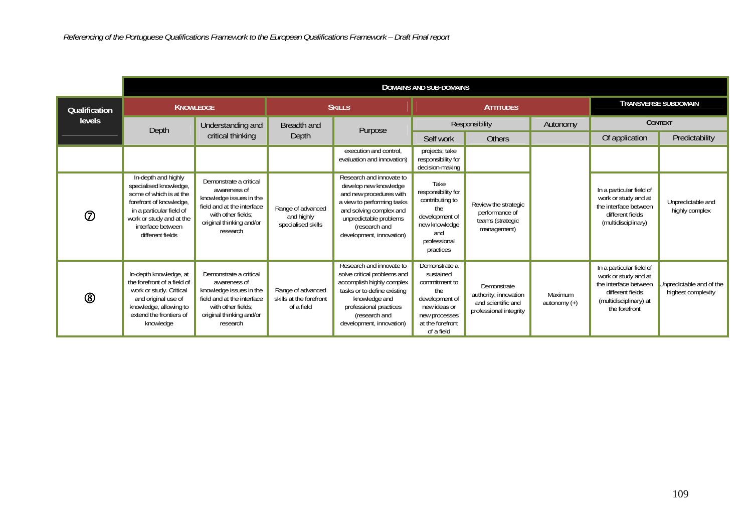|                                | <b>DOMAINS AND SUB-DOMAINS</b>                                                                                                                                                                       |                                                                                                                                                               |                                                            |                                                                                                                                                                                                              |                                                                                                                                         |                                                                                      |                           |                                                                                                                                          |                                                |
|--------------------------------|------------------------------------------------------------------------------------------------------------------------------------------------------------------------------------------------------|---------------------------------------------------------------------------------------------------------------------------------------------------------------|------------------------------------------------------------|--------------------------------------------------------------------------------------------------------------------------------------------------------------------------------------------------------------|-----------------------------------------------------------------------------------------------------------------------------------------|--------------------------------------------------------------------------------------|---------------------------|------------------------------------------------------------------------------------------------------------------------------------------|------------------------------------------------|
| Qualification<br><b>levels</b> | <b>KNOWLEDGE</b>                                                                                                                                                                                     |                                                                                                                                                               | <b>SKILLS</b>                                              |                                                                                                                                                                                                              | <b>ATTITUDES</b>                                                                                                                        |                                                                                      |                           | <b>TRANSVERSE SUBDOMAIN</b>                                                                                                              |                                                |
|                                | Depth                                                                                                                                                                                                | Understanding and<br>critical thinking                                                                                                                        | Breadth and<br>Depth                                       | Purpose                                                                                                                                                                                                      | Responsibility                                                                                                                          |                                                                                      | Autonomy                  | <b>CONTEXT</b>                                                                                                                           |                                                |
|                                |                                                                                                                                                                                                      |                                                                                                                                                               |                                                            |                                                                                                                                                                                                              | Self work                                                                                                                               | <b>Others</b>                                                                        |                           | Of application                                                                                                                           | Predictability                                 |
|                                |                                                                                                                                                                                                      |                                                                                                                                                               |                                                            | execution and control.<br>evaluation and innovation)                                                                                                                                                         | projects; take<br>responsibility for<br>decision-making                                                                                 |                                                                                      |                           |                                                                                                                                          |                                                |
| $\circledcirc$                 | In-depth and highly<br>specialised knowledge,<br>some of which is at the<br>forefront of knowledge,<br>in a particular field of<br>work or study and at the<br>interface between<br>different fields | Demonstrate a critical<br>awareness of<br>knowledge issues in the<br>field and at the interface<br>with other fields:<br>original thinking and/or<br>research | Range of advanced<br>and highly<br>specialised skills      | Research and innovate to<br>develop new knowledge<br>and new procedures with<br>a view to performing tasks<br>and solving complex and<br>unpredictable problems<br>(research and<br>development, innovation) | Take<br>responsibility for<br>contributing to<br>the<br>development of<br>new knowledge<br>and<br>professional<br>practices             | Review the strategic<br>performance of<br>teams (strategic<br>management)            |                           | In a particular field of<br>work or study and at<br>the interface between<br>different fields<br>(multidisciplinary)                     | Unpredictable and<br>highly complex            |
| $\circledR$                    | In-depth knowledge, at<br>the forefront of a field of<br>work or study. Critical<br>and original use of<br>knowledge, allowing to<br>extend the frontiers of<br>knowledge                            | Demonstrate a critical<br>awareness of<br>knowledge issues in the<br>field and at the interface<br>with other fields:<br>original thinking and/or<br>research | Range of advanced<br>skills at the forefront<br>of a field | Research and innovate to<br>solve critical problems and<br>accomplish highly complex<br>tasks or to define existing<br>knowledge and<br>professional practices<br>(research and<br>development, innovation)  | Demonstrate a<br>sustained<br>commitment to<br>the<br>development of<br>new ideas or<br>new processes<br>at the forefront<br>of a field | Demonstrate<br>authority, innovation<br>and scientific and<br>professional integrity | Maximum<br>autonomy $(+)$ | In a particular field of<br>work or study and at<br>the interface between<br>different fields<br>(multidisciplinary) at<br>the forefront | Jnpredictable and of the<br>highest complexity |